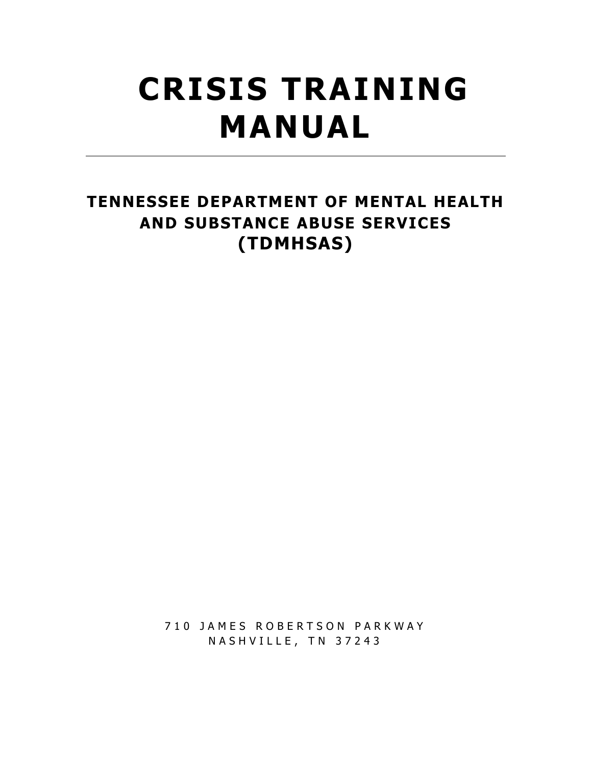# **CRISIS TRAINING MANUAL**

## TENNESSEE DEPARTMENT OF MENTAL HEALTH AND SUBSTANCE ABUSE SERVICES (TDMHSAS)

710 JAMES ROBERTSON PARKWAY NASHVILLE, TN 37243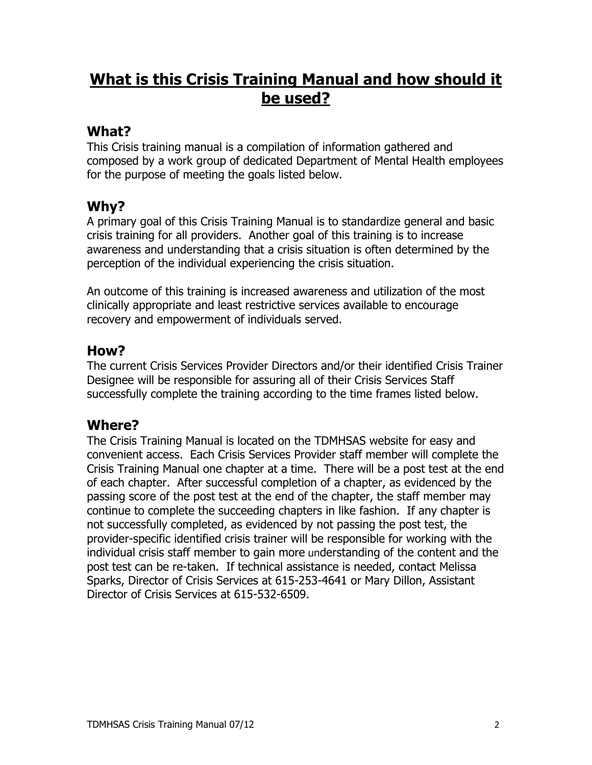## **What is this Crisis Training Manual and how should it** be used?

## What?

This Crisis training manual is a compilation of information gathered and composed by a work group of dedicated Department of Mental Health employees for the purpose of meeting the goals listed below.

## Why?

A primary goal of this Crisis Training Manual is to standardize general and basic crisis training for all providers. Another goal of this training is to increase awareness and understanding that a crisis situation is often determined by the perception of the individual experiencing the crisis situation.

An outcome of this training is increased awareness and utilization of the most clinically appropriate and least restrictive services available to encourage recovery and empowerment of individuals served.

## How?

The current Crisis Services Provider Directors and/or their identified Crisis Trainer Designee will be responsible for assuring all of their Crisis Services Staff successfully complete the training according to the time frames listed below.

## **Where?**

The Crisis Training Manual is located on the TDMHSAS website for easy and convenient access. Each Crisis Services Provider staff member will complete the Crisis Training Manual one chapter at a time. There will be a post test at the end of each chapter. After successful completion of a chapter, as evidenced by the passing score of the post test at the end of the chapter, the staff member may continue to complete the succeeding chapters in like fashion. If any chapter is not successfully completed, as evidenced by not passing the post test, the provider-specific identified crisis trainer will be responsible for working with the individual crisis staff member to gain more understanding of the content and the post test can be re-taken. If technical assistance is needed, contact Melissa Sparks, Director of Crisis Services at 615-253-4641 or Mary Dillon, Assistant Director of Crisis Services at 615-532-6509.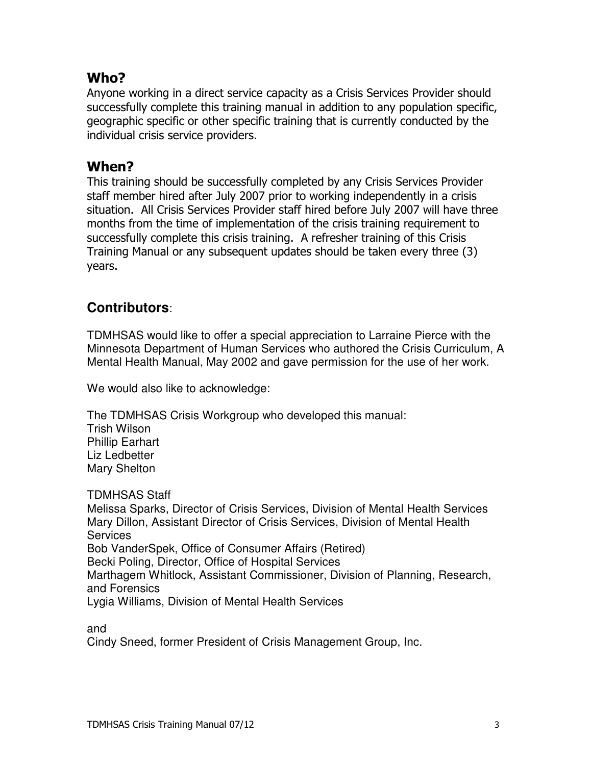## Who?

Anyone working in a direct service capacity as a Crisis Services Provider should successfully complete this training manual in addition to any population specific, geographic specific or other specific training that is currently conducted by the individual crisis service providers.

### When?

This training should be successfully completed by any Crisis Services Provider staff member hired after July 2007 prior to working independently in a crisis situation. All Crisis Services Provider staff hired before July 2007 will have three months from the time of implementation of the crisis training requirement to successfully complete this crisis training. A refresher training of this Crisis Training Manual or any subsequent updates should be taken every three (3) years.

## **Contributors:**

TDMHSAS would like to offer a special appreciation to Larraine Pierce with the Minnesota Department of Human Services who authored the Crisis Curriculum, A Mental Health Manual, May 2002 and gave permission for the use of her work.

We would also like to acknowledge:

The TDMHSAS Crisis Workgroup who developed this manual: Trish Wilson **Phillip Earhart** Liz Ledbetter **Mary Shelton** 

**TDMHSAS Staff** Melissa Sparks, Director of Crisis Services, Division of Mental Health Services Mary Dillon, Assistant Director of Crisis Services, Division of Mental Health **Services** Bob VanderSpek, Office of Consumer Affairs (Retired) Becki Poling, Director, Office of Hospital Services Marthagem Whitlock, Assistant Commissioner, Division of Planning, Research, and Forensics Lygia Williams, Division of Mental Health Services

and Cindy Sneed, former President of Crisis Management Group, Inc.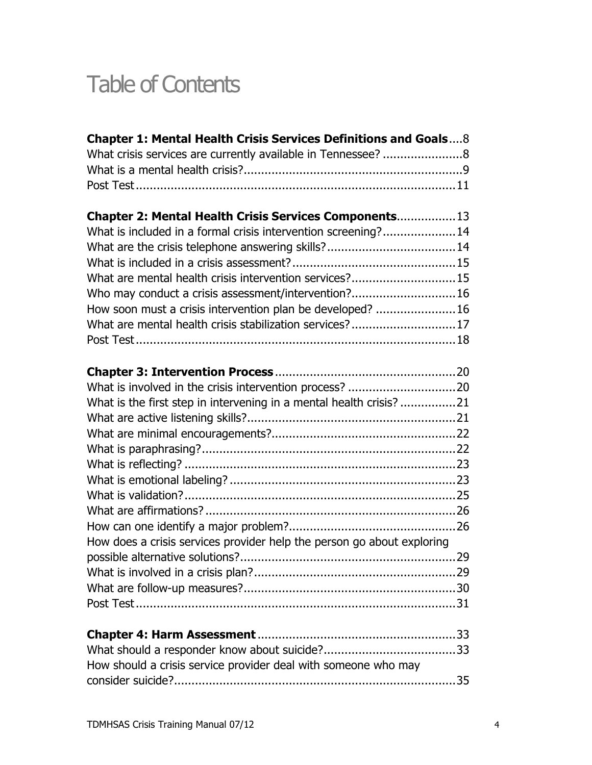## Table of Contents

| Chapter 1: Mental Health Crisis Services Definitions and Goals8        |  |
|------------------------------------------------------------------------|--|
|                                                                        |  |
|                                                                        |  |
|                                                                        |  |
| Chapter 2: Mental Health Crisis Services Components 13                 |  |
| What is included in a formal crisis intervention screening?14          |  |
|                                                                        |  |
|                                                                        |  |
| What are mental health crisis intervention services?15                 |  |
| Who may conduct a crisis assessment/intervention?16                    |  |
| How soon must a crisis intervention plan be developed? 16              |  |
| What are mental health crisis stabilization services?17                |  |
|                                                                        |  |
|                                                                        |  |
|                                                                        |  |
|                                                                        |  |
| What is the first step in intervening in a mental health crisis? 21    |  |
|                                                                        |  |
|                                                                        |  |
|                                                                        |  |
|                                                                        |  |
|                                                                        |  |
|                                                                        |  |
|                                                                        |  |
| How does a crisis services provider help the person go about exploring |  |
|                                                                        |  |
|                                                                        |  |
|                                                                        |  |
|                                                                        |  |
|                                                                        |  |
|                                                                        |  |
| How should a crisis service provider deal with someone who may         |  |
|                                                                        |  |
|                                                                        |  |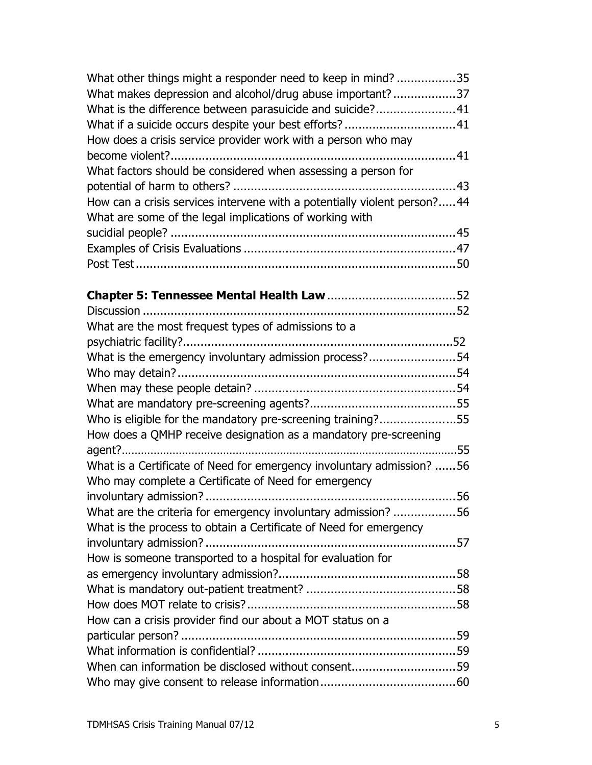| What other things might a responder need to keep in mind?35              |  |
|--------------------------------------------------------------------------|--|
| What makes depression and alcohol/drug abuse important?37                |  |
| What is the difference between parasuicide and suicide?41                |  |
|                                                                          |  |
| How does a crisis service provider work with a person who may            |  |
|                                                                          |  |
| What factors should be considered when assessing a person for            |  |
|                                                                          |  |
| How can a crisis services intervene with a potentially violent person?44 |  |
| What are some of the legal implications of working with                  |  |
|                                                                          |  |
|                                                                          |  |
|                                                                          |  |
|                                                                          |  |
|                                                                          |  |
|                                                                          |  |
| What are the most frequest types of admissions to a                      |  |
|                                                                          |  |
| What is the emergency involuntary admission process?54                   |  |
|                                                                          |  |
|                                                                          |  |
|                                                                          |  |
| Who is eligible for the mandatory pre-screening training?55              |  |
| How does a QMHP receive designation as a mandatory pre-screening         |  |
|                                                                          |  |
| What is a Certificate of Need for emergency involuntary admission? 56    |  |
| Who may complete a Certificate of Need for emergency                     |  |
|                                                                          |  |
| What are the criteria for emergency involuntary admission?56             |  |
| What is the process to obtain a Certificate of Need for emergency        |  |
|                                                                          |  |
| How is someone transported to a hospital for evaluation for              |  |
|                                                                          |  |
|                                                                          |  |
|                                                                          |  |
| How can a crisis provider find our about a MOT status on a               |  |
|                                                                          |  |
|                                                                          |  |
| When can information be disclosed without consent59                      |  |
|                                                                          |  |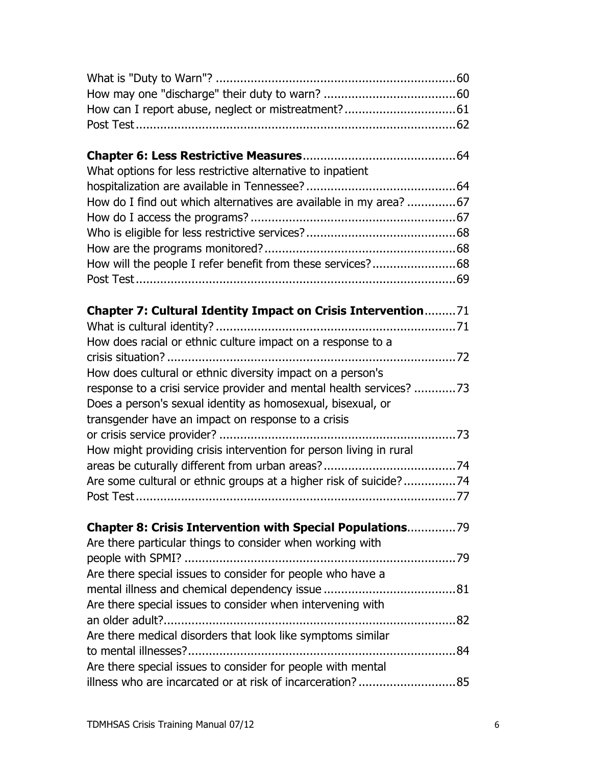| What options for less restrictive alternative to inpatient          |  |
|---------------------------------------------------------------------|--|
|                                                                     |  |
| How do I find out which alternatives are available in my area? 67   |  |
|                                                                     |  |
|                                                                     |  |
|                                                                     |  |
| How will the people I refer benefit from these services?68          |  |
|                                                                     |  |
| Chapter 7: Cultural Identity Impact on Crisis Intervention71        |  |
|                                                                     |  |
| How does racial or ethnic culture impact on a response to a         |  |
|                                                                     |  |
| How does cultural or ethnic diversity impact on a person's          |  |
| response to a crisi service provider and mental health services? 73 |  |
| Does a person's sexual identity as homosexual, bisexual, or         |  |
| transgender have an impact on response to a crisis                  |  |
|                                                                     |  |
| How might providing crisis intervention for person living in rural  |  |
|                                                                     |  |
| Are some cultural or ethnic groups at a higher risk of suicide?74   |  |
|                                                                     |  |
| <b>Chapter 8: Crisis Intervention with Special Populations79</b>    |  |
| Are there particular things to consider when working with           |  |
|                                                                     |  |
| Are there special issues to consider for people who have a          |  |
|                                                                     |  |
| Are there special issues to consider when intervening with          |  |
|                                                                     |  |
| Are there medical disorders that look like symptoms similar         |  |
|                                                                     |  |
| Are there special issues to consider for people with mental         |  |
| illness who are incarcated or at risk of incarceration?85           |  |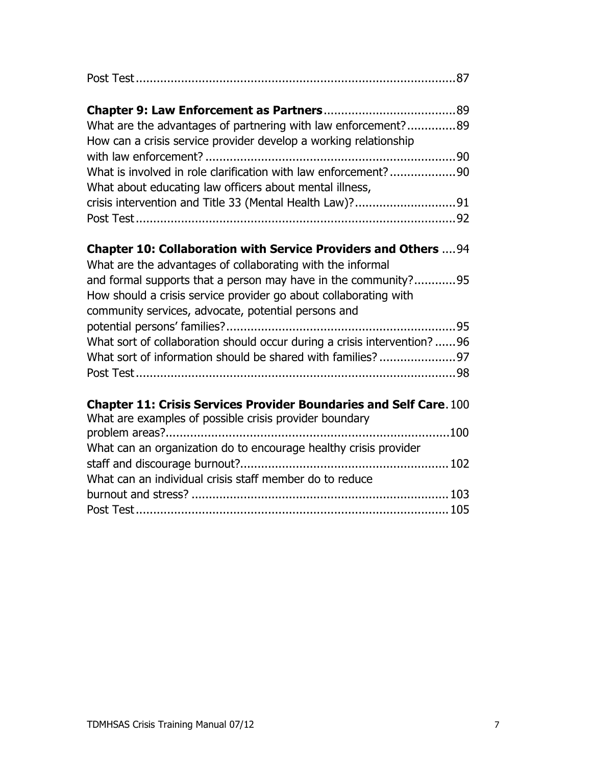| What are the advantages of partnering with law enforcement?89<br>How can a crisis service provider develop a working relationship<br>What is involved in role clarification with law enforcement?90<br>What about educating law officers about mental illness, |  |
|----------------------------------------------------------------------------------------------------------------------------------------------------------------------------------------------------------------------------------------------------------------|--|
|                                                                                                                                                                                                                                                                |  |
| Chapter 10: Collaboration with Service Providers and Others  94<br>What are the advantages of collaborating with the informal                                                                                                                                  |  |
| and formal supports that a person may have in the community?95<br>How should a crisis service provider go about collaborating with<br>community services, advocate, potential persons and                                                                      |  |
| What sort of collaboration should occur during a crisis intervention? 96                                                                                                                                                                                       |  |
| <b>Chapter 11: Crisis Services Provider Boundaries and Self Care. 100</b><br>What are examples of possible crisis provider boundary                                                                                                                            |  |
| What can an organization do to encourage healthy crisis provider                                                                                                                                                                                               |  |
| What can an individual crisis staff member do to reduce                                                                                                                                                                                                        |  |
|                                                                                                                                                                                                                                                                |  |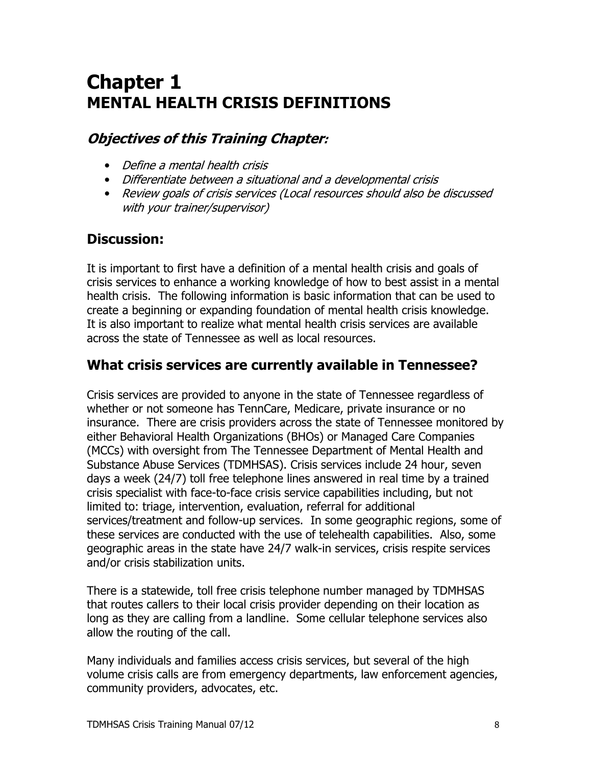## **Chapter 1 MENTAL HEALTH CRISIS DEFINITIONS**

## **Objectives of this Training Chapter:**

- Define a mental health crisis
- Differentiate between a situational and a developmental crisis
- Review goals of crisis services (Local resources should also be discussed with your trainer/supervisor)

## **Discussion:**

It is important to first have a definition of a mental health crisis and goals of crisis services to enhance a working knowledge of how to best assist in a mental health crisis. The following information is basic information that can be used to create a beginning or expanding foundation of mental health crisis knowledge. It is also important to realize what mental health crisis services are available across the state of Tennessee as well as local resources.

## What crisis services are currently available in Tennessee?

Crisis services are provided to anyone in the state of Tennessee regardless of whether or not someone has TennCare, Medicare, private insurance or no insurance. There are crisis providers across the state of Tennessee monitored by either Behavioral Health Organizations (BHOs) or Managed Care Companies (MCCs) with oversight from The Tennessee Department of Mental Health and Substance Abuse Services (TDMHSAS). Crisis services include 24 hour, seven days a week (24/7) toll free telephone lines answered in real time by a trained crisis specialist with face-to-face crisis service capabilities including, but not limited to: triage, intervention, evaluation, referral for additional services/treatment and follow-up services. In some geographic regions, some of these services are conducted with the use of telehealth capabilities. Also, some geographic areas in the state have 24/7 walk-in services, crisis respite services and/or crisis stabilization units.

There is a statewide, toll free crisis telephone number managed by TDMHSAS that routes callers to their local crisis provider depending on their location as long as they are calling from a landline. Some cellular telephone services also allow the routing of the call.

Many individuals and families access crisis services, but several of the high volume crisis calls are from emergency departments, law enforcement agencies, community providers, advocates, etc.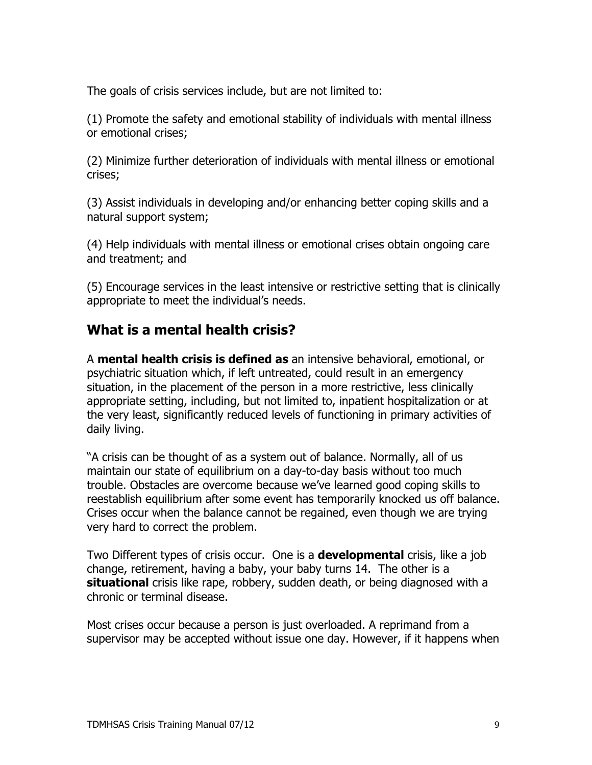The goals of crisis services include, but are not limited to:

(1) Promote the safety and emotional stability of individuals with mental illness or emotional crises;

(2) Minimize further deterioration of individuals with mental illness or emotional crises;

(3) Assist individuals in developing and/or enhancing better coping skills and a natural support system;

(4) Help individuals with mental illness or emotional crises obtain ongoing care and treatment; and

(5) Encourage services in the least intensive or restrictive setting that is clinically appropriate to meet the individual's needs.

## What is a mental health crisis?

A mental health crisis is defined as an intensive behavioral, emotional, or psychiatric situation which, if left untreated, could result in an emergency situation, in the placement of the person in a more restrictive, less clinically appropriate setting, including, but not limited to, inpatient hospitalization or at the very least, significantly reduced levels of functioning in primary activities of daily living.

"A crisis can be thought of as a system out of balance. Normally, all of us maintain our state of equilibrium on a day-to-day basis without too much trouble. Obstacles are overcome because we've learned good coping skills to reestablish equilibrium after some event has temporarily knocked us off balance. Crises occur when the balance cannot be regained, even though we are trying very hard to correct the problem.

Two Different types of crisis occur. One is a **developmental** crisis, like a job change, retirement, having a baby, your baby turns 14. The other is a situational crisis like rape, robbery, sudden death, or being diagnosed with a chronic or terminal disease.

Most crises occur because a person is just overloaded. A reprimand from a supervisor may be accepted without issue one day. However, if it happens when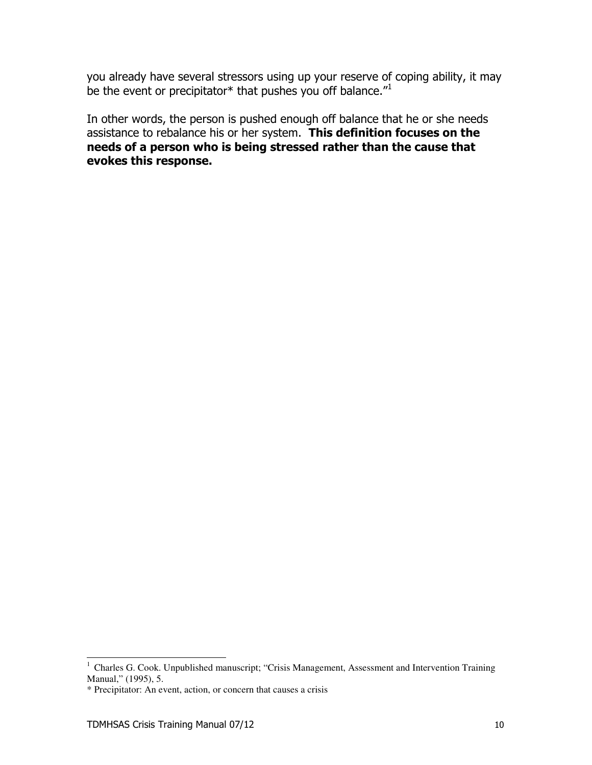you already have several stressors using up your reserve of coping ability, it may be the event or precipitator\* that pushes you off balance."

In other words, the person is pushed enough off balance that he or she needs assistance to rebalance his or her system. This definition focuses on the needs of a person who is being stressed rather than the cause that evokes this response.

<sup>&</sup>lt;sup>1</sup> Charles G. Cook. Unpublished manuscript; "Crisis Management, Assessment and Intervention Training Manual," (1995), 5.

<sup>\*</sup> Precipitator: An event, action, or concern that causes a crisis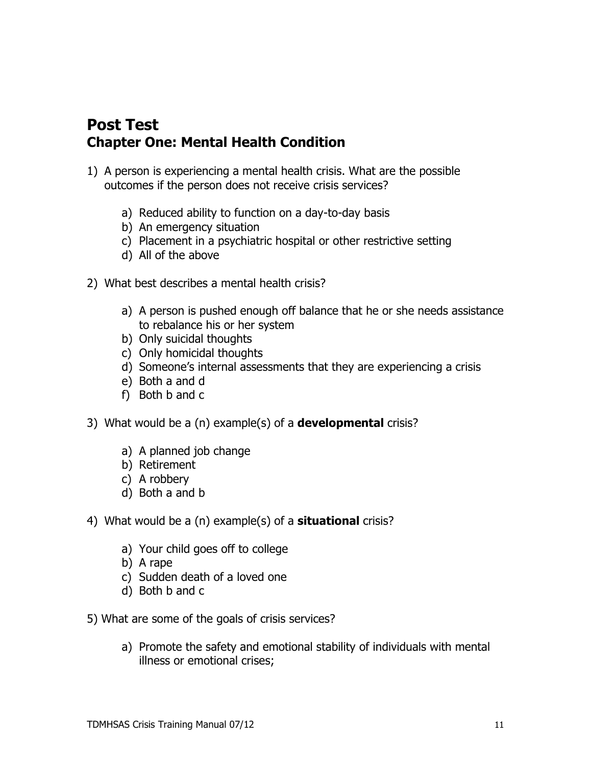## **Post Test Chapter One: Mental Health Condition**

- 1) A person is experiencing a mental health crisis. What are the possible outcomes if the person does not receive crisis services?
	- a) Reduced ability to function on a day-to-day basis
	- b) An emergency situation
	- c) Placement in a psychiatric hospital or other restrictive setting
	- d) All of the above
- 2) What best describes a mental health crisis?
	- a) A person is pushed enough off balance that he or she needs assistance to rebalance his or her system
	- b) Only suicidal thoughts
	- c) Only homicidal thoughts
	- d) Someone's internal assessments that they are experiencing a crisis
	- e) Both a and d
	- f) Both b and c
- 3) What would be a (n) example(s) of a **developmental** crisis?
	- a) A planned job change
	- b) Retirement
	- c) A robbery
	- d) Both a and b
- 4) What would be a (n) example(s) of a **situational** crisis?
	- a) Your child goes off to college
	- b) A rape
	- c) Sudden death of a loved one
	- d) Both b and c
- 5) What are some of the goals of crisis services?
	- a) Promote the safety and emotional stability of individuals with mental illness or emotional crises: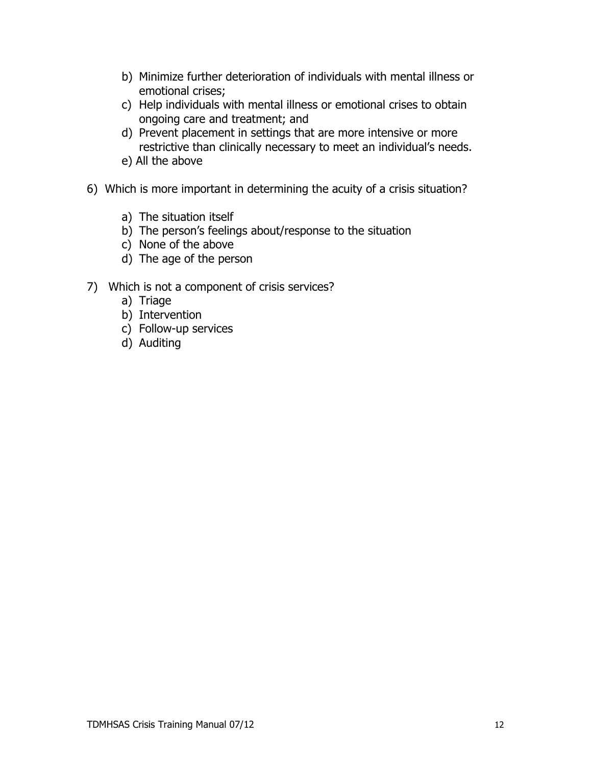- b) Minimize further deterioration of individuals with mental illness or emotional crises;
- c) Help individuals with mental illness or emotional crises to obtain ongoing care and treatment; and
- d) Prevent placement in settings that are more intensive or more restrictive than clinically necessary to meet an individual's needs.
- e) All the above
- 6) Which is more important in determining the acuity of a crisis situation?
	- a) The situation itself
	- b) The person's feelings about/response to the situation
	- c) None of the above
	- d) The age of the person
- 7) Which is not a component of crisis services?
	- a) Triage
	- b) Intervention
	- c) Follow-up services
	- d) Auditing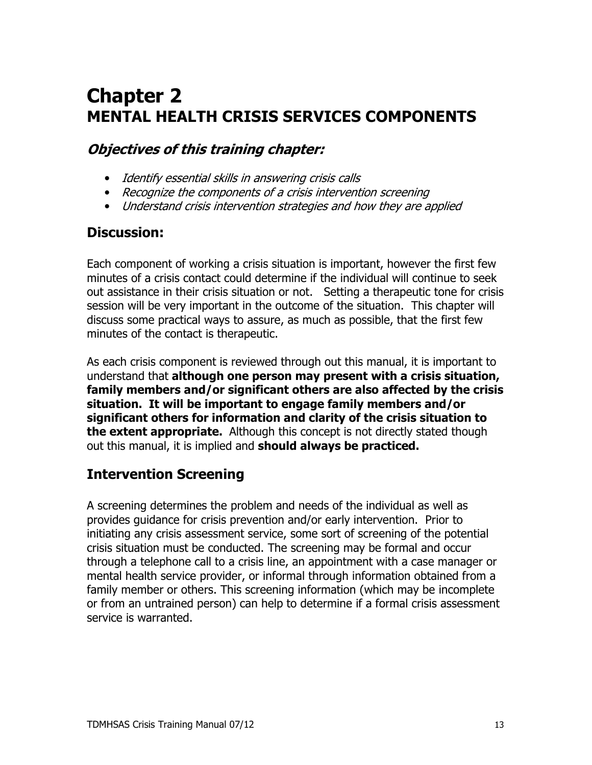## **Chapter 2 MENTAL HEALTH CRISIS SERVICES COMPONENTS**

## **Objectives of this training chapter:**

- Identify essential skills in answering crisis calls
- Recognize the components of a crisis intervention screening
- Understand crisis intervention strategies and how they are applied

## **Discussion:**

Each component of working a crisis situation is important, however the first few minutes of a crisis contact could determine if the individual will continue to seek out assistance in their crisis situation or not. Setting a therapeutic tone for crisis session will be very important in the outcome of the situation. This chapter will discuss some practical ways to assure, as much as possible, that the first few minutes of the contact is therapeutic.

As each crisis component is reviewed through out this manual, it is important to understand that although one person may present with a crisis situation, family members and/or significant others are also affected by the crisis situation. It will be important to engage family members and/or significant others for information and clarity of the crisis situation to **the extent appropriate.** Although this concept is not directly stated though out this manual, it is implied and should always be practiced.

## **Intervention Screening**

A screening determines the problem and needs of the individual as well as provides guidance for crisis prevention and/or early intervention. Prior to initiating any crisis assessment service, some sort of screening of the potential crisis situation must be conducted. The screening may be formal and occur through a telephone call to a crisis line, an appointment with a case manager or mental health service provider, or informal through information obtained from a family member or others. This screening information (which may be incomplete or from an untrained person) can help to determine if a formal crisis assessment service is warranted.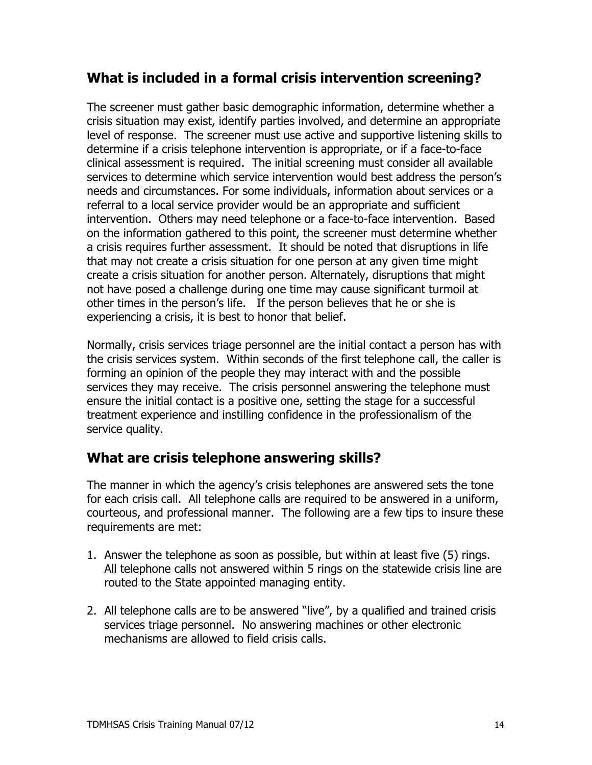## What is included in a formal crisis intervention screening?

The screener must gather basic demographic information, determine whether a crisis situation may exist, identify parties involved, and determine an appropriate level of response. The screener must use active and supportive listening skills to determine if a crisis telephone intervention is appropriate, or if a face-to-face clinical assessment is required. The initial screening must consider all available services to determine which service intervention would best address the person's needs and circumstances. For some individuals, information about services or a referral to a local service provider would be an appropriate and sufficient intervention. Others may need telephone or a face-to-face intervention. Based on the information gathered to this point, the screener must determine whether a crisis requires further assessment. It should be noted that disruptions in life that may not create a crisis situation for one person at any given time might create a crisis situation for another person. Alternately, disruptions that might not have posed a challenge during one time may cause significant turmoil at other times in the person's life. If the person believes that he or she is experiencing a crisis, it is best to honor that belief.

Normally, crisis services triage personnel are the initial contact a person has with the crisis services system. Within seconds of the first telephone call, the caller is forming an opinion of the people they may interact with and the possible services they may receive. The crisis personnel answering the telephone must ensure the initial contact is a positive one, setting the stage for a successful treatment experience and instilling confidence in the professionalism of the service quality.

## What are crisis telephone answering skills?

The manner in which the agency's crisis telephones are answered sets the tone for each crisis call. All telephone calls are required to be answered in a uniform, courteous, and professional manner. The following are a few tips to insure these requirements are met:

- 1. Answer the telephone as soon as possible, but within at least five (5) rings. All telephone calls not answered within 5 rings on the statewide crisis line are routed to the State appointed managing entity.
- 2. All telephone calls are to be answered "live", by a qualified and trained crisis services triage personnel. No answering machines or other electronic mechanisms are allowed to field crisis calls.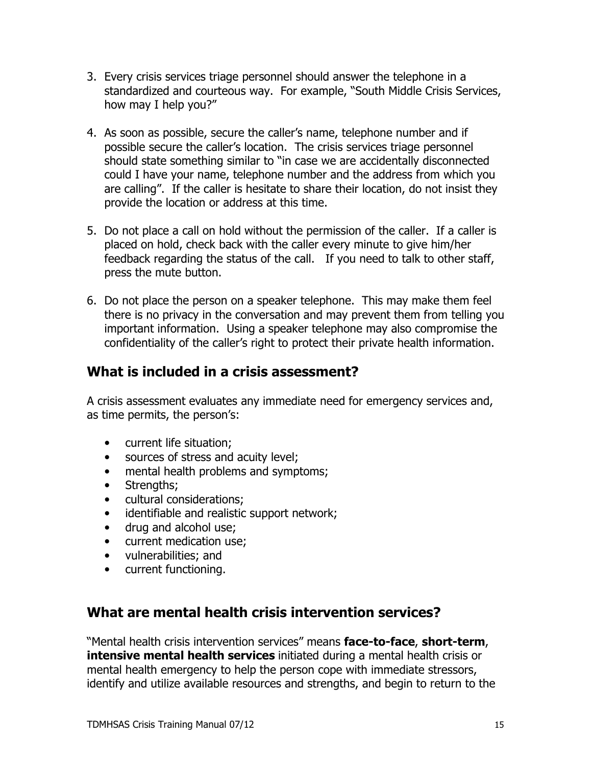- 3. Every crisis services triage personnel should answer the telephone in a standardized and courteous way. For example, "South Middle Crisis Services, how may I help you?"
- 4. As soon as possible, secure the caller's name, telephone number and if possible secure the caller's location. The crisis services triage personnel should state something similar to "in case we are accidentally disconnected could I have your name, telephone number and the address from which you are calling". If the caller is hesitate to share their location, do not insist they provide the location or address at this time.
- 5. Do not place a call on hold without the permission of the caller. If a caller is placed on hold, check back with the caller every minute to give him/her feedback regarding the status of the call. If you need to talk to other staff, press the mute button.
- 6. Do not place the person on a speaker telephone. This may make them feel there is no privacy in the conversation and may prevent them from telling you important information. Using a speaker telephone may also compromise the confidentiality of the caller's right to protect their private health information.

### What is included in a crisis assessment?

A crisis assessment evaluates any immediate need for emergency services and, as time permits, the person's:

- current life situation:  $\bullet$
- sources of stress and acuity level;  $\bullet$
- mental health problems and symptoms;  $\bullet$
- $\bullet$ Strengths;
- cultural considerations;
- identifiable and realistic support network;  $\bullet$
- drug and alcohol use:  $\bullet$
- current medication use;
- vulnerabilities: and
- current functioning.

### What are mental health crisis intervention services?

"Mental health crisis intervention services" means face-to-face, short-term, **intensive mental health services** initiated during a mental health crisis or mental health emergency to help the person cope with immediate stressors, identify and utilize available resources and strengths, and begin to return to the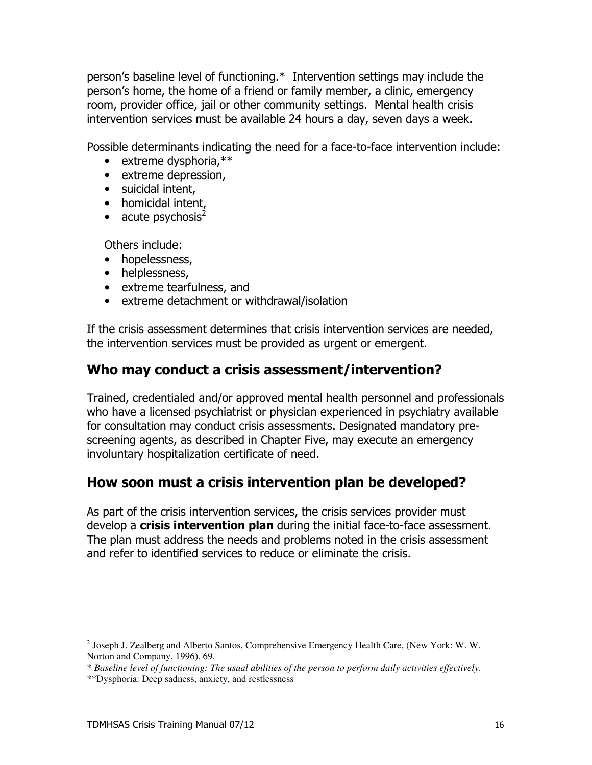person's baseline level of functioning.\* Intervention settings may include the person's home, the home of a friend or family member, a clinic, emergency room, provider office, jail or other community settings. Mental health crisis intervention services must be available 24 hours a day, seven days a week.

Possible determinants indicating the need for a face-to-face intervention include:

- $\bullet$  extreme dysphoria.\*\*
- extreme depression,
- · suicidal intent,
- homicidal intent,
- acute psychosis<sup>2</sup>

Others include:

- hopelessness,
- helplessness,
- extreme tearfulness, and
- extreme detachment or withdrawal/isolation

If the crisis assessment determines that crisis intervention services are needed, the intervention services must be provided as urgent or emergent.

### Who may conduct a crisis assessment/intervention?

Trained, credentialed and/or approved mental health personnel and professionals who have a licensed psychiatrist or physician experienced in psychiatry available for consultation may conduct crisis assessments. Designated mandatory prescreening agents, as described in Chapter Five, may execute an emergency involuntary hospitalization certificate of need.

### How soon must a crisis intervention plan be developed?

As part of the crisis intervention services, the crisis services provider must develop a crisis intervention plan during the initial face-to-face assessment. The plan must address the needs and problems noted in the crisis assessment and refer to identified services to reduce or eliminate the crisis.

 $^{2}$  Joseph J. Zealberg and Alberto Santos, Comprehensive Emergency Health Care, (New York: W. W. Norton and Company, 1996), 69.

<sup>\*</sup> Baseline level of functioning: The usual abilities of the person to perform daily activities effectively.

<sup>\*\*</sup>Dysphoria: Deep sadness, anxiety, and restlessness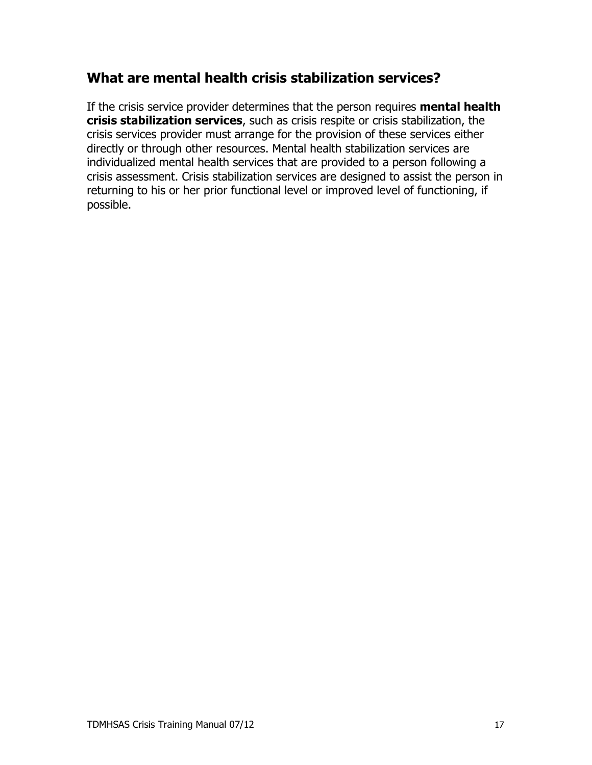## What are mental health crisis stabilization services?

If the crisis service provider determines that the person requires mental health crisis stabilization services, such as crisis respite or crisis stabilization, the crisis services provider must arrange for the provision of these services either directly or through other resources. Mental health stabilization services are individualized mental health services that are provided to a person following a crisis assessment. Crisis stabilization services are designed to assist the person in returning to his or her prior functional level or improved level of functioning, if possible.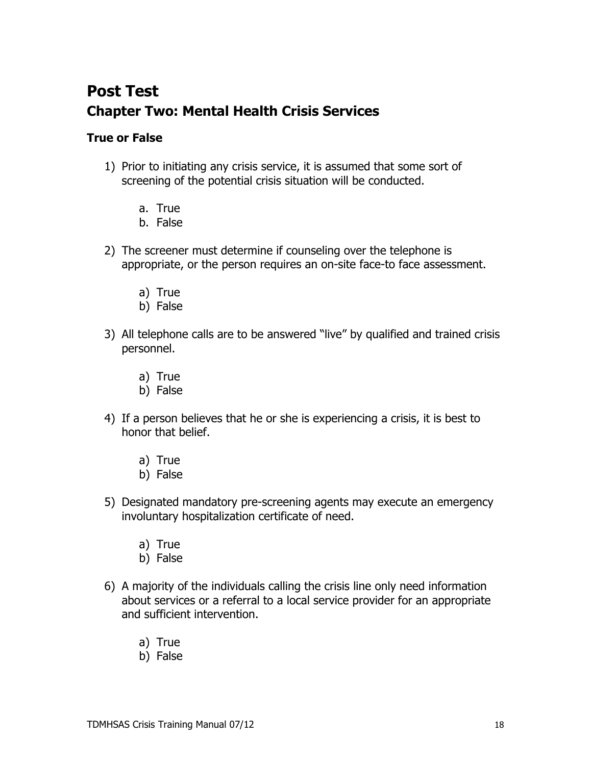## **Post Test Chapter Two: Mental Health Crisis Services**

#### **True or False**

- 1) Prior to initiating any crisis service, it is assumed that some sort of screening of the potential crisis situation will be conducted.
	- a. True
	- b. False
- 2) The screener must determine if counseling over the telephone is appropriate, or the person requires an on-site face-to face assessment.
	- a) True
	- b) False
- 3) All telephone calls are to be answered "live" by qualified and trained crisis personnel.
	- a) True
	- b) False
- 4) If a person believes that he or she is experiencing a crisis, it is best to honor that belief.
	- a) True
	- b) False
- 5) Designated mandatory pre-screening agents may execute an emergency involuntary hospitalization certificate of need.
	- a) True
	- b) False
- 6) A majority of the individuals calling the crisis line only need information about services or a referral to a local service provider for an appropriate and sufficient intervention.
	- a) True
	- b) False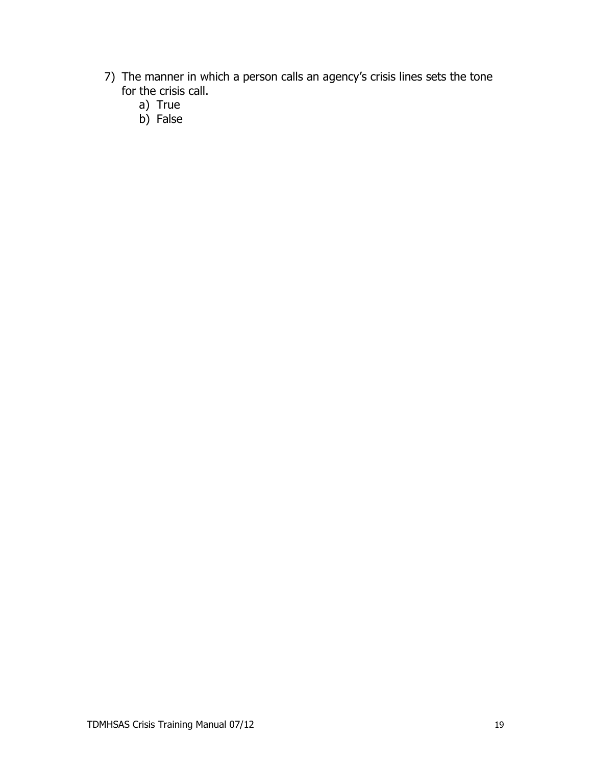- 7) The manner in which a person calls an agency's crisis lines sets the tone for the crisis call.
	- a) True
	- b) False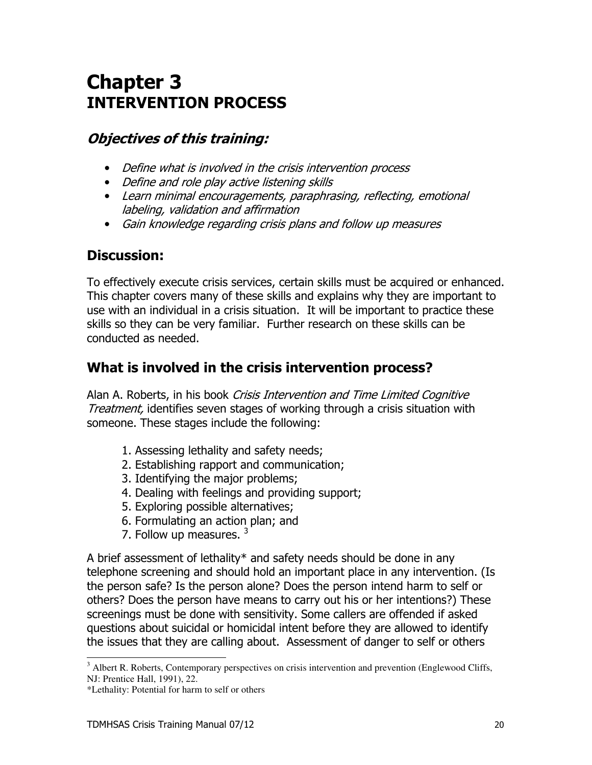## **Chapter 3 INTERVENTION PROCESS**

## **Objectives of this training:**

- Define what is involved in the crisis intervention process
- Define and role play active listening skills
- Learn minimal encouragements, paraphrasing, reflecting, emotional labeling, validation and affirmation
- Gain knowledge regarding crisis plans and follow up measures

## **Discussion:**

To effectively execute crisis services, certain skills must be acquired or enhanced. This chapter covers many of these skills and explains why they are important to use with an individual in a crisis situation. It will be important to practice these skills so they can be very familiar. Further research on these skills can be conducted as needed.

## What is involved in the crisis intervention process?

Alan A. Roberts, in his book Crisis Intervention and Time Limited Cognitive Treatment, identifies seven stages of working through a crisis situation with someone. These stages include the following:

- 1. Assessing lethality and safety needs;
- 2. Establishing rapport and communication;
- 3. Identifying the major problems;
- 4. Dealing with feelings and providing support;
- 5. Exploring possible alternatives;
- 6. Formulating an action plan; and
- 7. Follow up measures.  $3$

A brief assessment of lethality\* and safety needs should be done in any telephone screening and should hold an important place in any intervention. (Is the person safe? Is the person alone? Does the person intend harm to self or others? Does the person have means to carry out his or her intentions?) These screenings must be done with sensitivity. Some callers are offended if asked questions about suicidal or homicidal intent before they are allowed to identify the issues that they are calling about. Assessment of danger to self or others

<sup>&</sup>lt;sup>3</sup> Albert R. Roberts, Contemporary perspectives on crisis intervention and prevention (Englewood Cliffs, NJ: Prentice Hall, 1991), 22.

<sup>\*</sup>Lethality: Potential for harm to self or others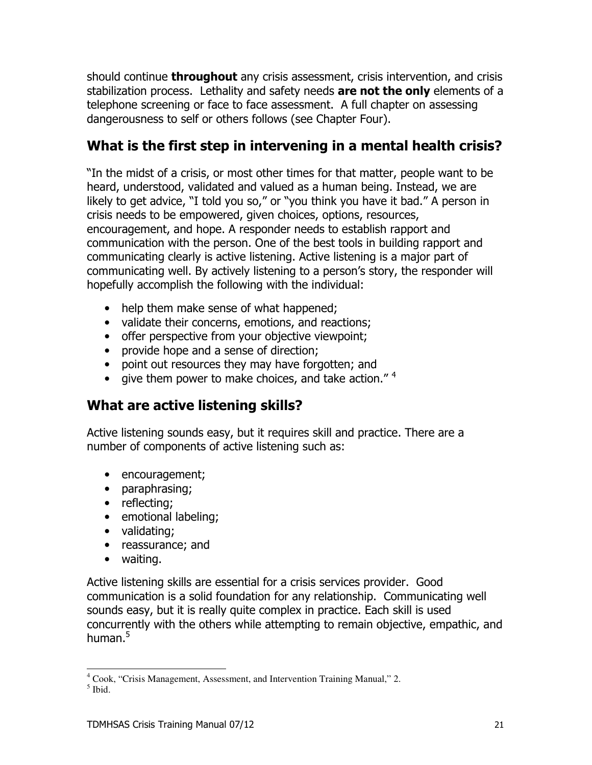should continue **throughout** any crisis assessment, crisis intervention, and crisis stabilization process. Lethality and safety needs are not the only elements of a telephone screening or face to face assessment. A full chapter on assessing dangerousness to self or others follows (see Chapter Four).

## What is the first step in intervening in a mental health crisis?

"In the midst of a crisis, or most other times for that matter, people want to be heard, understood, validated and valued as a human being. Instead, we are likely to get advice, "I told you so," or "you think you have it bad." A person in crisis needs to be empowered, given choices, options, resources, encouragement, and hope. A responder needs to establish rapport and communication with the person. One of the best tools in building rapport and communicating clearly is active listening. Active listening is a major part of communicating well. By actively listening to a person's story, the responder will hopefully accomplish the following with the individual:

- help them make sense of what happened;
- validate their concerns, emotions, and reactions;
- offer perspective from your objective viewpoint:
- provide hope and a sense of direction;
- point out resources they may have forgotten; and
- give them power to make choices, and take action." $4$

## What are active listening skills?

Active listening sounds easy, but it requires skill and practice. There are a number of components of active listening such as:

- encouragement;
- paraphrasing;
- reflecting;
- emotional labeling;
- validating;
- reassurance; and
- waiting.

Active listening skills are essential for a crisis services provider. Good communication is a solid foundation for any relationship. Communicating well sounds easy, but it is really quite complex in practice. Each skill is used concurrently with the others while attempting to remain objective, empathic, and human.<sup>5</sup>

<sup>&</sup>lt;sup>4</sup> Cook. "Crisis Management, Assessment, and Intervention Training Manual," 2.

 $<sup>5</sup>$  Ibid.</sup>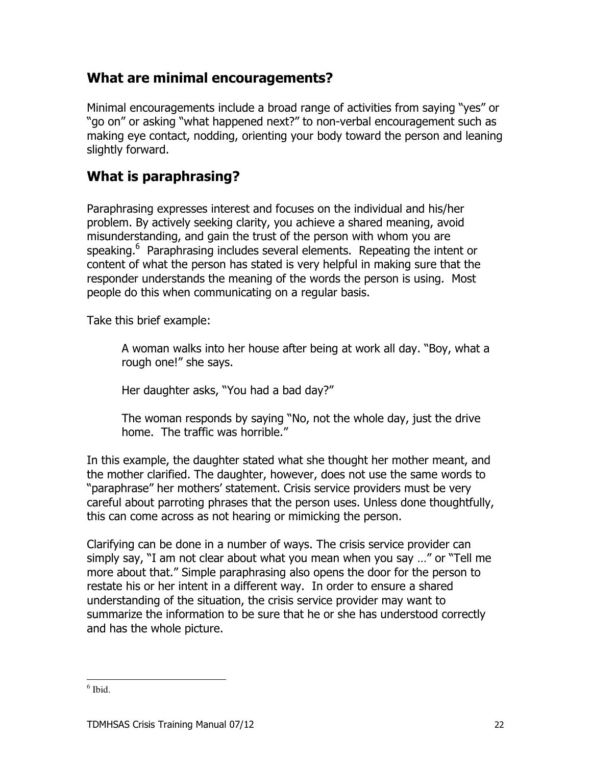## What are minimal encouragements?

Minimal encouragements include a broad range of activities from saying "yes" or "go on" or asking "what happened next?" to non-verbal encouragement such as making eye contact, nodding, orienting your body toward the person and leaning slightly forward.

## **What is paraphrasing?**

Paraphrasing expresses interest and focuses on the individual and his/her problem. By actively seeking clarity, you achieve a shared meaning, avoid misunderstanding, and gain the trust of the person with whom you are speaking.<sup>6</sup> Paraphrasing includes several elements. Repeating the intent or content of what the person has stated is very helpful in making sure that the responder understands the meaning of the words the person is using. Most people do this when communicating on a regular basis.

Take this brief example:

A woman walks into her house after being at work all day. "Boy, what a rough one!" she says.

Her daughter asks, "You had a bad day?"

The woman responds by saying "No, not the whole day, just the drive home. The traffic was horrible."

In this example, the daughter stated what she thought her mother meant, and the mother clarified. The daughter, however, does not use the same words to "paraphrase" her mothers' statement. Crisis service providers must be very careful about parroting phrases that the person uses. Unless done thoughtfully, this can come across as not hearing or mimicking the person.

Clarifying can be done in a number of ways. The crisis service provider can simply say, "I am not clear about what you mean when you say ..." or "Tell me more about that." Simple paraphrasing also opens the door for the person to restate his or her intent in a different way. In order to ensure a shared understanding of the situation, the crisis service provider may want to summarize the information to be sure that he or she has understood correctly and has the whole picture.

 $<sup>6</sup>$  Ibid.</sup>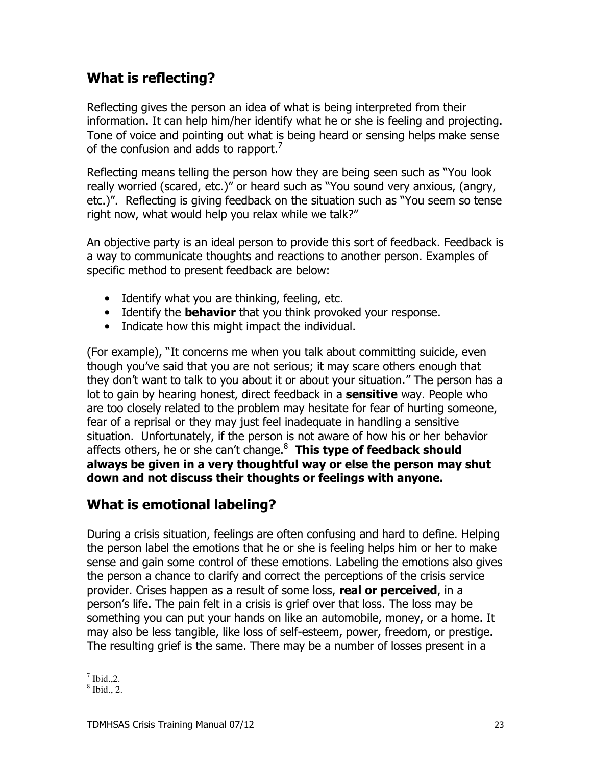## **What is reflecting?**

Reflecting gives the person an idea of what is being interpreted from their information. It can help him/her identify what he or she is feeling and projecting. Tone of voice and pointing out what is being heard or sensing helps make sense of the confusion and adds to rapport.<sup>7</sup>

Reflecting means telling the person how they are being seen such as "You look really worried (scared, etc.)" or heard such as "You sound very anxious, (angry, etc.)". Reflecting is giving feedback on the situation such as "You seem so tense right now, what would help you relax while we talk?"

An objective party is an ideal person to provide this sort of feedback. Feedback is a way to communicate thoughts and reactions to another person. Examples of specific method to present feedback are below:

- Identify what you are thinking, feeling, etc.
- Identify the **behavior** that you think provoked your response.
- Indicate how this might impact the individual.

(For example), "It concerns me when you talk about committing suicide, even though you've said that you are not serious; it may scare others enough that they don't want to talk to you about it or about your situation." The person has a lot to gain by hearing honest, direct feedback in a sensitive way. People who are too closely related to the problem may hesitate for fear of hurting someone, fear of a reprisal or they may just feel inadequate in handling a sensitive situation. Unfortunately, if the person is not aware of how his or her behavior affects others, he or she can't change.<sup>8</sup> This type of feedback should always be given in a very thoughtful way or else the person may shut down and not discuss their thoughts or feelings with anyone.

## What is emotional labeling?

During a crisis situation, feelings are often confusing and hard to define. Helping the person label the emotions that he or she is feeling helps him or her to make sense and gain some control of these emotions. Labeling the emotions also gives the person a chance to clarify and correct the perceptions of the crisis service provider. Crises happen as a result of some loss, real or perceived, in a person's life. The pain felt in a crisis is grief over that loss. The loss may be something you can put your hands on like an automobile, money, or a home. It may also be less tangible, like loss of self-esteem, power, freedom, or prestige. The resulting grief is the same. There may be a number of losses present in a

 $^7$  Ibid 2

 $8$  Ibid., 2.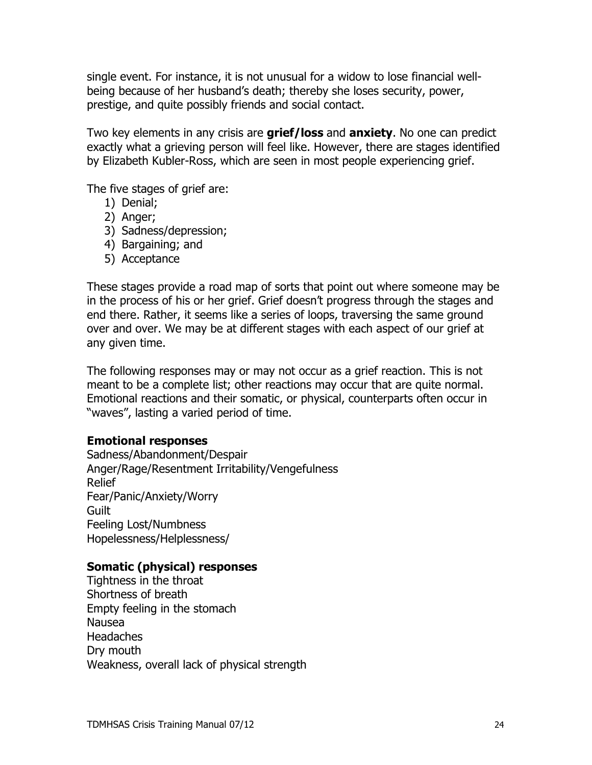single event. For instance, it is not unusual for a widow to lose financial wellbeing because of her husband's death; thereby she loses security, power, prestige, and quite possibly friends and social contact.

Two key elements in any crisis are **grief/loss** and **anxiety**. No one can predict exactly what a grieving person will feel like. However, there are stages identified by Elizabeth Kubler-Ross, which are seen in most people experiencing grief.

The five stages of grief are:

- 1) Denial;
- 2) Anger;
- 3) Sadness/depression;
- 4) Bargaining; and
- 5) Acceptance

These stages provide a road map of sorts that point out where someone may be in the process of his or her grief. Grief doesn't progress through the stages and end there. Rather, it seems like a series of loops, traversing the same ground over and over. We may be at different stages with each aspect of our grief at any given time.

The following responses may or may not occur as a grief reaction. This is not meant to be a complete list; other reactions may occur that are quite normal. Emotional reactions and their somatic, or physical, counterparts often occur in "waves", lasting a varied period of time.

#### **Emotional responses**

Sadness/Abandonment/Despair Anger/Rage/Resentment Irritability/Vengefulness Relief Fear/Panic/Anxiety/Worry Guilt Feeling Lost/Numbness Hopelessness/Helplessness/

#### Somatic (physical) responses

Tightness in the throat Shortness of breath Empty feeling in the stomach **Nausea Headaches** Dry mouth Weakness, overall lack of physical strength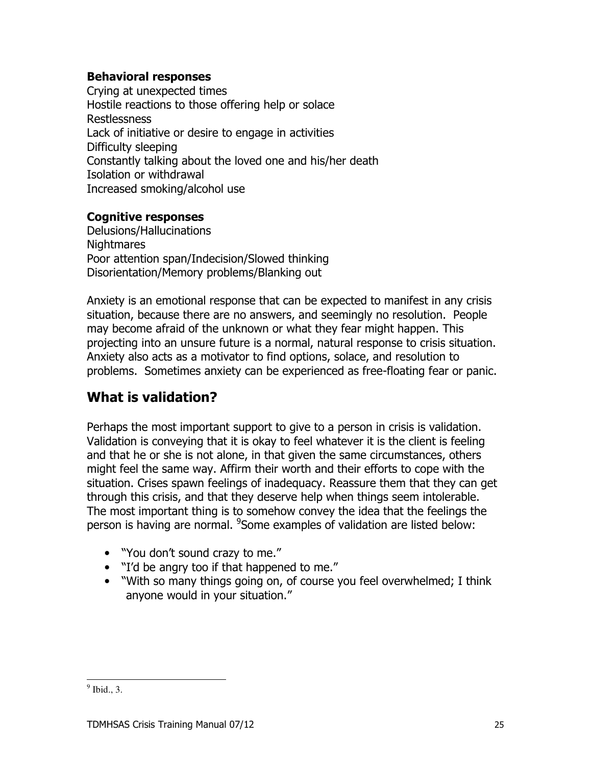#### **Behavioral responses**

Crving at unexpected times Hostile reactions to those offering help or solace **Restlessness** Lack of initiative or desire to engage in activities Difficulty sleeping Constantly talking about the loved one and his/her death Isolation or withdrawal Increased smoking/alcohol use

#### **Cognitive responses**

Delusions/Hallucinations **Nightmares** Poor attention span/Indecision/Slowed thinking Disorientation/Memory problems/Blanking out

Anxiety is an emotional response that can be expected to manifest in any crisis situation, because there are no answers, and seemingly no resolution. People may become afraid of the unknown or what they fear might happen. This projecting into an unsure future is a normal, natural response to crisis situation. Anxiety also acts as a motivator to find options, solace, and resolution to problems. Sometimes anxiety can be experienced as free-floating fear or panic.

## What is validation?

Perhaps the most important support to give to a person in crisis is validation. Validation is conveying that it is okay to feel whatever it is the client is feeling and that he or she is not alone, in that given the same circumstances, others might feel the same way. Affirm their worth and their efforts to cope with the situation. Crises spawn feelings of inadequacy. Reassure them that they can get through this crisis, and that they deserve help when things seem intolerable. The most important thing is to somehow convey the idea that the feelings the person is having are normal. <sup>9</sup>Some examples of validation are listed below:

- "You don't sound crazy to me."
- "I'd be angry too if that happened to me."
- "With so many things going on, of course you feel overwhelmed; I think anyone would in your situation."

 $<sup>9</sup>$  Ibid., 3.</sup>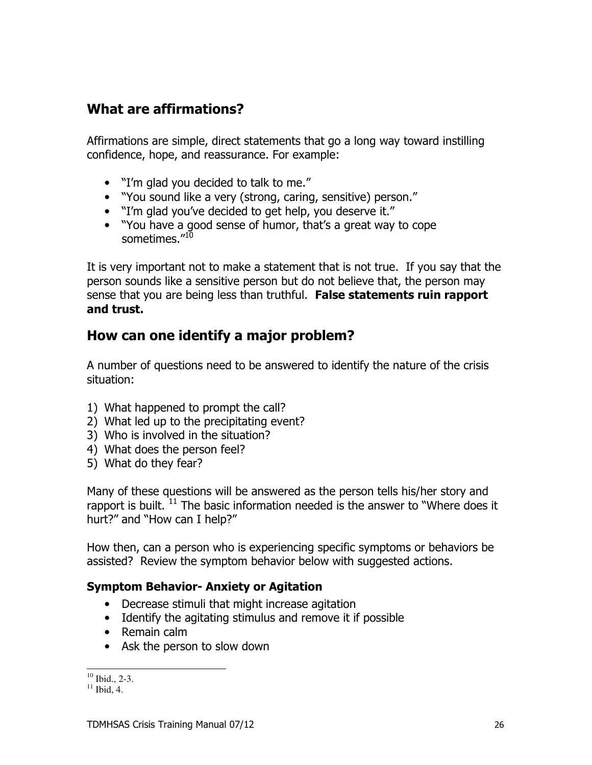## What are affirmations?

Affirmations are simple, direct statements that go a long way toward instilling confidence, hope, and reassurance. For example:

- "I'm glad you decided to talk to me."
- "You sound like a very (strong, caring, sensitive) person."
- "I'm glad you've decided to get help, you deserve it."
- "You have a good sense of humor, that's a great way to cope sometimes."10

It is very important not to make a statement that is not true. If you say that the person sounds like a sensitive person but do not believe that, the person may sense that you are being less than truthful. False statements ruin rapport and trust.

## How can one identify a major problem?

A number of questions need to be answered to identify the nature of the crisis situation:

- 1) What happened to prompt the call?
- 2) What led up to the precipitating event?
- 3) Who is involved in the situation?
- 4) What does the person feel?
- 5) What do they fear?

Many of these questions will be answered as the person tells his/her story and rapport is built.<sup>11</sup> The basic information needed is the answer to "Where does it hurt?" and "How can I help?"

How then, can a person who is experiencing specific symptoms or behaviors be assisted? Review the symptom behavior below with suggested actions.

#### **Symptom Behavior- Anxiety or Agitation**

- Decrease stimuli that might increase agitation
- Identify the agitating stimulus and remove it if possible
- Remain calm
- Ask the person to slow down

 $10$  Ibid., 2-3.

 $11$  Ibid, 4.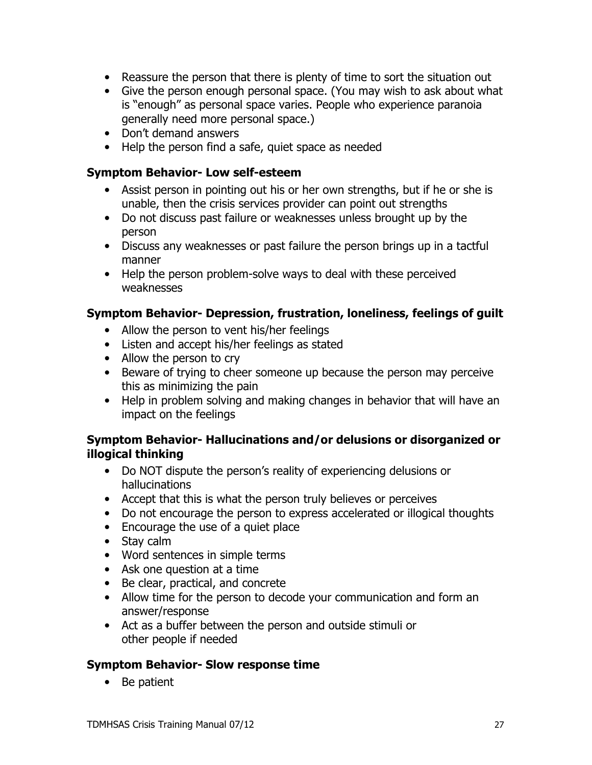- Reassure the person that there is plenty of time to sort the situation out
- Give the person enough personal space. (You may wish to ask about what is "enough" as personal space varies. People who experience paranoia generally need more personal space.)
- Don't demand answers
- Help the person find a safe, quiet space as needed

#### **Symptom Behavior- Low self-esteem**

- Assist person in pointing out his or her own strengths, but if he or she is unable, then the crisis services provider can point out strengths
- Do not discuss past failure or weaknesses unless brought up by the person
- Discuss any weaknesses or past failure the person brings up in a tactful manner
- Help the person problem-solve ways to deal with these perceived weaknesses

#### Symptom Behavior- Depression, frustration, loneliness, feelings of guilt

- Allow the person to vent his/her feelings
- Listen and accept his/her feelings as stated
- Allow the person to cry
- Beware of trying to cheer someone up because the person may perceive this as minimizing the pain
- Help in problem solving and making changes in behavior that will have an impact on the feelings

#### Symptom Behavior- Hallucinations and/or delusions or disorganized or illogical thinking

- Do NOT dispute the person's reality of experiencing delusions or hallucinations
- Accept that this is what the person truly believes or perceives
- Do not encourage the person to express accelerated or illogical thoughts
- Encourage the use of a quiet place
- Stay calm
- Word sentences in simple terms
- Ask one question at a time
- Be clear, practical, and concrete
- Allow time for the person to decode your communication and form an answer/response
- Act as a buffer between the person and outside stimuli or other people if needed

#### **Symptom Behavior- Slow response time**

• Be patient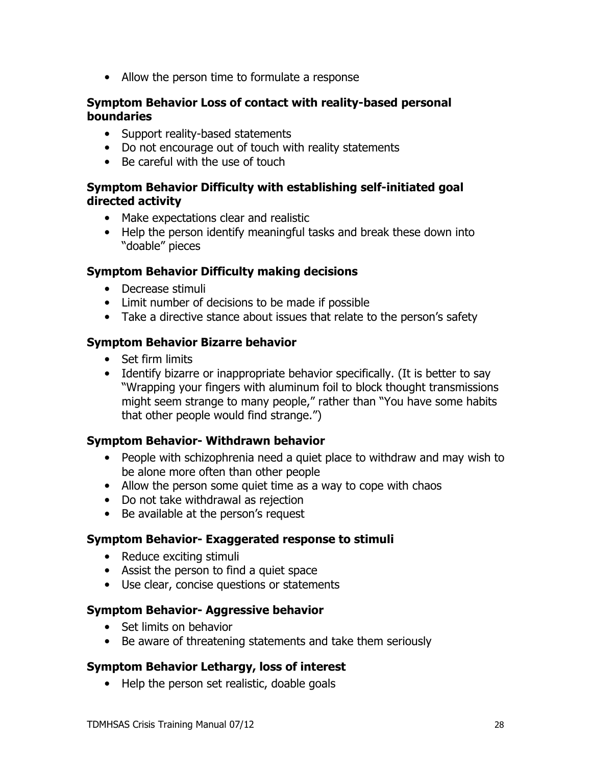• Allow the person time to formulate a response

#### Symptom Behavior Loss of contact with reality-based personal **boundaries**

- Support reality-based statements
- Do not encourage out of touch with reality statements
- Be careful with the use of touch

#### Symptom Behavior Difficulty with establishing self-initiated goal directed activity

- Make expectations clear and realistic
- Help the person identify meaningful tasks and break these down into "doable" pieces

#### **Symptom Behavior Difficulty making decisions**

- Decrease stimuli
- Limit number of decisions to be made if possible
- Take a directive stance about issues that relate to the person's safety

#### **Symptom Behavior Bizarre behavior**

- Set firm limits
- Identify bizarre or inappropriate behavior specifically. (It is better to say "Wrapping your fingers with aluminum foil to block thought transmissions might seem strange to many people," rather than "You have some habits that other people would find strange.")

#### **Symptom Behavior- Withdrawn behavior**

- People with schizophrenia need a quiet place to withdraw and may wish to be alone more often than other people
- Allow the person some quiet time as a way to cope with chaos
- Do not take withdrawal as rejection
- Be available at the person's request

#### Symptom Behavior- Exaggerated response to stimuli

- Reduce exciting stimuli
- Assist the person to find a quiet space
- Use clear, concise questions or statements

#### **Symptom Behavior- Aggressive behavior**

- Set limits on behavior
- Be aware of threatening statements and take them seriously

#### **Symptom Behavior Lethargy, loss of interest**

• Help the person set realistic, doable goals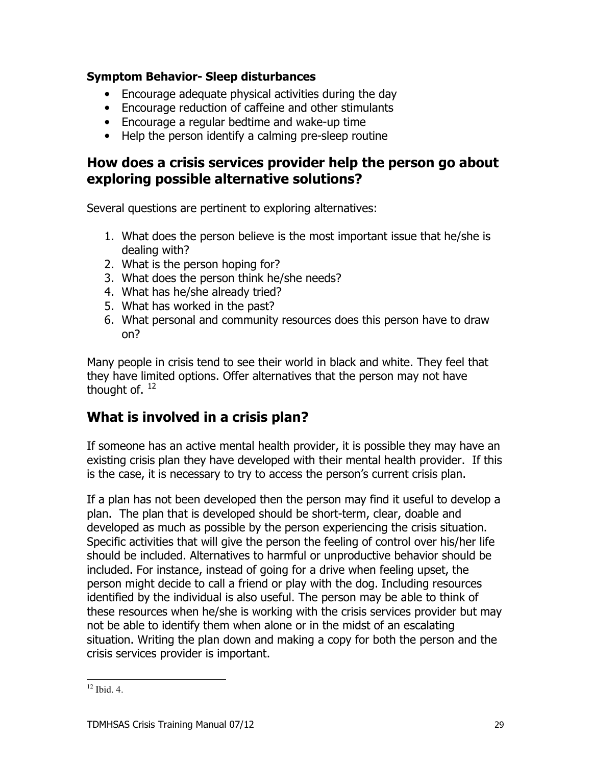#### **Symptom Behavior- Sleep disturbances**

- Encourage adequate physical activities during the day
- Encourage reduction of caffeine and other stimulants
- Encourage a regular bedtime and wake-up time
- Help the person identify a calming pre-sleep routine

## How does a crisis services provider help the person go about exploring possible alternative solutions?

Several questions are pertinent to exploring alternatives:

- 1. What does the person believe is the most important issue that he/she is dealing with?
- 2. What is the person hoping for?
- 3. What does the person think he/she needs?
- 4. What has he/she already tried?
- 5. What has worked in the past?
- 6. What personal and community resources does this person have to draw  $on?$

Many people in crisis tend to see their world in black and white. They feel that they have limited options. Offer alternatives that the person may not have thought of,  $12$ 

## What is involved in a crisis plan?

If someone has an active mental health provider, it is possible they may have an existing crisis plan they have developed with their mental health provider. If this is the case, it is necessary to try to access the person's current crisis plan.

If a plan has not been developed then the person may find it useful to develop a plan. The plan that is developed should be short-term, clear, doable and developed as much as possible by the person experiencing the crisis situation. Specific activities that will give the person the feeling of control over his/her life should be included. Alternatives to harmful or unproductive behavior should be included. For instance, instead of going for a drive when feeling upset, the person might decide to call a friend or play with the dog. Including resources identified by the individual is also useful. The person may be able to think of these resources when he/she is working with the crisis services provider but may not be able to identify them when alone or in the midst of an escalating situation. Writing the plan down and making a copy for both the person and the crisis services provider is important.

 $12$  Ibid 4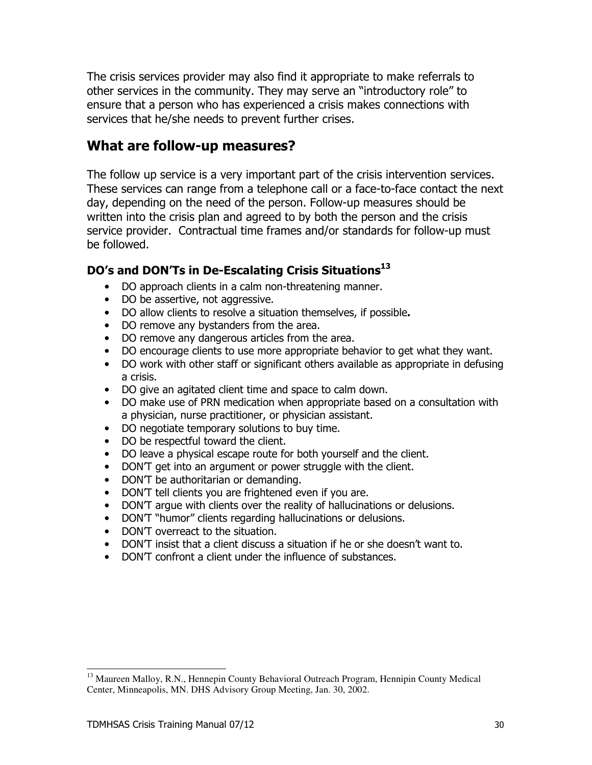The crisis services provider may also find it appropriate to make referrals to other services in the community. They may serve an "introductory role" to ensure that a person who has experienced a crisis makes connections with services that he/she needs to prevent further crises.

#### What are follow-up measures?

The follow up service is a very important part of the crisis intervention services. These services can range from a telephone call or a face-to-face contact the next day, depending on the need of the person. Follow-up measures should be written into the crisis plan and agreed to by both the person and the crisis service provider. Contractual time frames and/or standards for follow-up must be followed.

#### DO's and DON'Ts in De-Escalating Crisis Situations<sup>13</sup>

- DO approach clients in a calm non-threatening manner.
- DO be assertive, not aggressive.
- DO allow clients to resolve a situation themselves, if possible.
- DO remove any bystanders from the area.
- DO remove any dangerous articles from the area.
- DO encourage clients to use more appropriate behavior to get what they want.
- DO work with other staff or significant others available as appropriate in defusing a crisis.
- DO give an agitated client time and space to calm down.
- DO make use of PRN medication when appropriate based on a consultation with a physician, nurse practitioner, or physician assistant.
- DO negotiate temporary solutions to buy time.
- DO be respectful toward the client.
- DO leave a physical escape route for both yourself and the client.
- DON'T get into an argument or power struggle with the client.
- DONT be authoritarian or demanding.
- DON'T tell clients you are frightened even if you are.
- DON'T arque with clients over the reality of hallucinations or delusions.
- DON'T "humor" clients regarding hallucinations or delusions.
- DON'T overreact to the situation.
- DONT insist that a client discuss a situation if he or she doesn't want to.
- DON'T confront a client under the influence of substances.

<sup>&</sup>lt;sup>13</sup> Maureen Malloy, R.N., Hennepin County Behavioral Outreach Program, Hennipin County Medical Center, Minneapolis, MN. DHS Advisory Group Meeting, Jan. 30, 2002.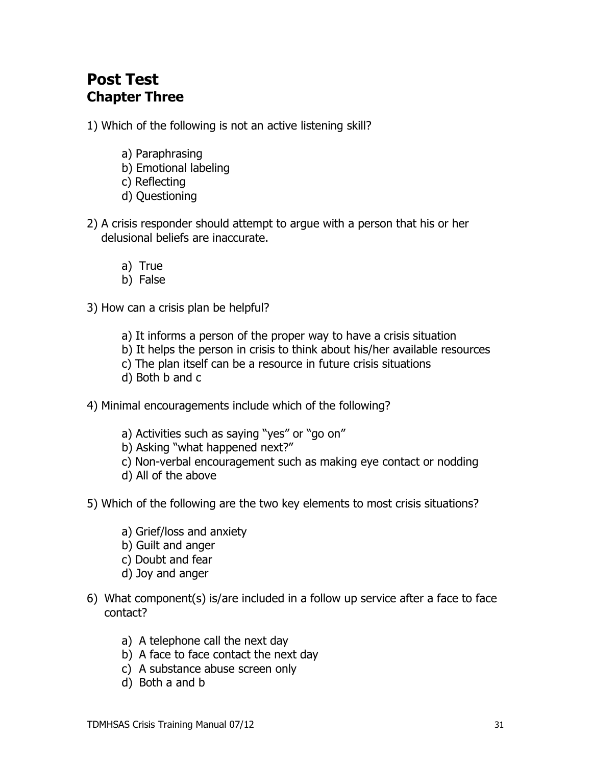## **Post Test Chapter Three**

1) Which of the following is not an active listening skill?

- a) Paraphrasing
- b) Emotional labeling
- c) Reflecting
- d) Questioning
- 2) A crisis responder should attempt to argue with a person that his or her delusional beliefs are inaccurate.
	- a) True
	- b) False

3) How can a crisis plan be helpful?

- a) It informs a person of the proper way to have a crisis situation
- b) It helps the person in crisis to think about his/her available resources
- c) The plan itself can be a resource in future crisis situations
- d) Both b and c

4) Minimal encouragements include which of the following?

- a) Activities such as saying "yes" or "go on"
- b) Asking "what happened next?"
- c) Non-verbal encouragement such as making eye contact or nodding
- d) All of the above
- 5) Which of the following are the two key elements to most crisis situations?
	- a) Grief/loss and anxiety
	- b) Guilt and anger
	- c) Doubt and fear
	- d) Joy and anger
- 6) What component(s) is/are included in a follow up service after a face to face contact?
	- a) A telephone call the next day
	- b) A face to face contact the next day
	- c) A substance abuse screen only
	- d) Both a and b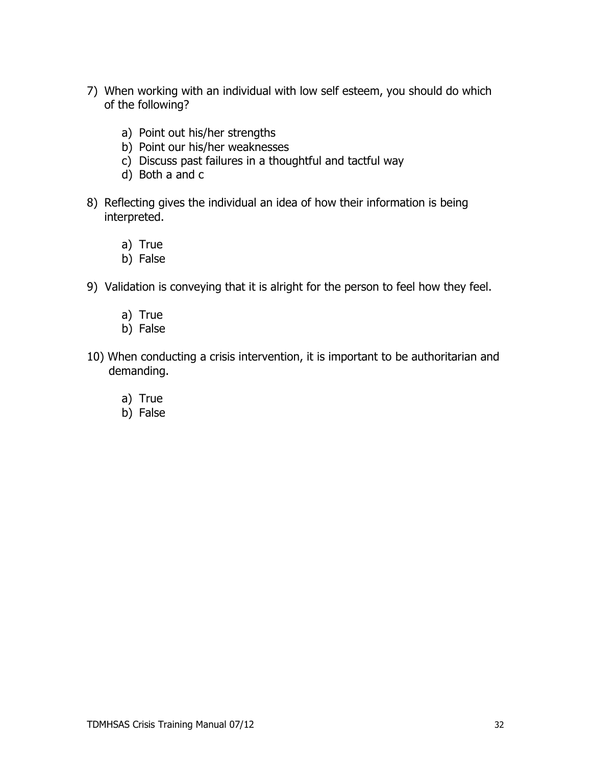- 7) When working with an individual with low self esteem, you should do which of the following?
	- a) Point out his/her strengths
	- b) Point our his/her weaknesses
	- c) Discuss past failures in a thoughtful and tactful way
	- d) Both a and c
- 8) Reflecting gives the individual an idea of how their information is being interpreted.
	- a) True
	- b) False
- 9) Validation is conveying that it is alright for the person to feel how they feel.
	- a) True
	- b) False
- 10) When conducting a crisis intervention, it is important to be authoritarian and demanding.
	- a) True
	- b) False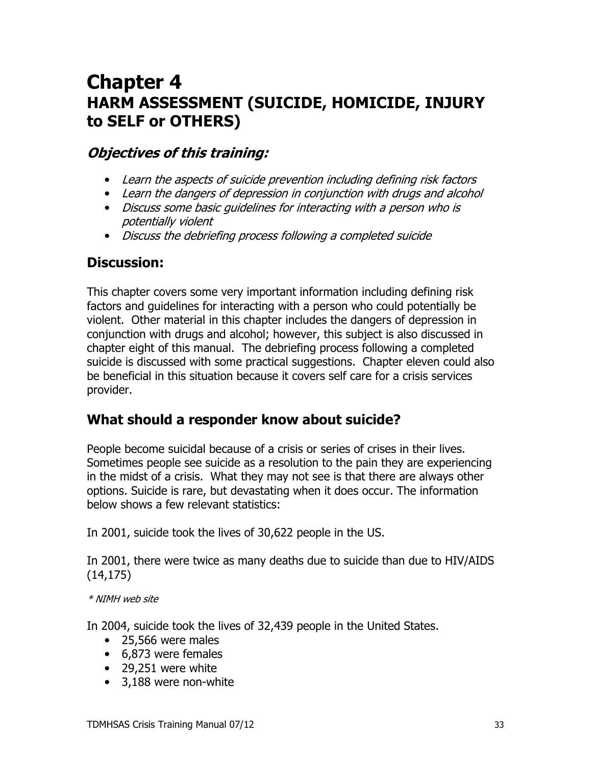## **Chapter 4** HARM ASSESSMENT (SUICIDE, HOMICIDE, INJURY to SELF or OTHERS)

## **Objectives of this training:**

- Learn the aspects of suicide prevention including defining risk factors
- Learn the dangers of depression in conjunction with drugs and alcohol
- Discuss some basic quidelines for interacting with a person who is potentially violent
- Discuss the debriefing process following a completed suicide

## **Discussion:**

This chapter covers some very important information including defining risk factors and guidelines for interacting with a person who could potentially be violent. Other material in this chapter includes the dangers of depression in conjunction with drugs and alcohol; however, this subject is also discussed in chapter eight of this manual. The debriefing process following a completed suicide is discussed with some practical suggestions. Chapter eleven could also be beneficial in this situation because it covers self care for a crisis services provider.

## What should a responder know about suicide?

People become suicidal because of a crisis or series of crises in their lives. Sometimes people see suicide as a resolution to the pain they are experiencing in the midst of a crisis. What they may not see is that there are always other options. Suicide is rare, but devastating when it does occur. The information below shows a few relevant statistics:

In 2001, suicide took the lives of 30,622 people in the US.

In 2001, there were twice as many deaths due to suicide than due to HIV/AIDS  $(14, 175)$ 

#### \* NIMH web site

In 2004, suicide took the lives of 32,439 people in the United States.

- $\bullet$  25,566 were males
- 6,873 were females
- 29,251 were white
- 3,188 were non-white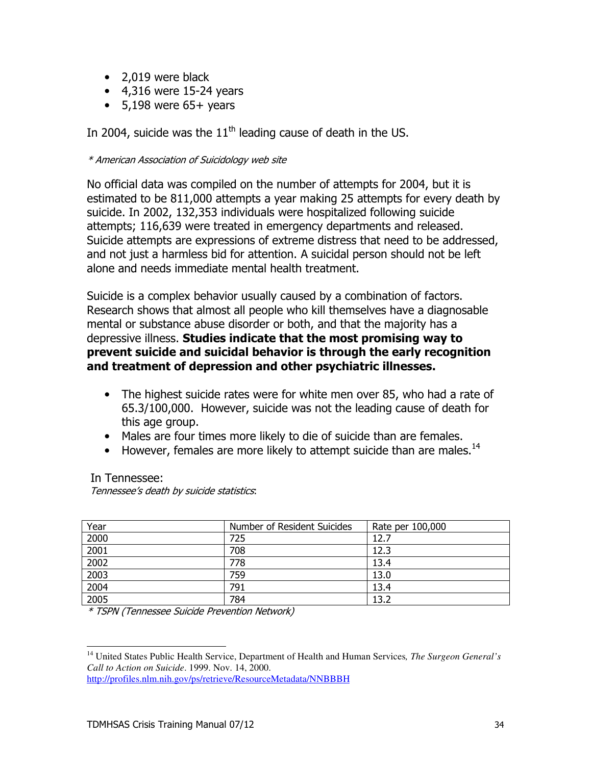- $\bullet$  2,019 were black
- $\bullet$  4,316 were 15-24 years
- $\bullet$  5,198 were 65+ years

In 2004, suicide was the  $11<sup>th</sup>$  leading cause of death in the US.

#### \* American Association of Suicidology web site

No official data was compiled on the number of attempts for 2004, but it is estimated to be 811,000 attempts a year making 25 attempts for every death by suicide. In 2002, 132,353 individuals were hospitalized following suicide attempts; 116,639 were treated in emergency departments and released. Suicide attempts are expressions of extreme distress that need to be addressed, and not just a harmless bid for attention. A suicidal person should not be left alone and needs immediate mental health treatment.

Suicide is a complex behavior usually caused by a combination of factors. Research shows that almost all people who kill themselves have a diagnosable mental or substance abuse disorder or both, and that the majority has a depressive illness. Studies indicate that the most promising way to prevent suicide and suicidal behavior is through the early recognition and treatment of depression and other psychiatric illnesses.

- The highest suicide rates were for white men over 85, who had a rate of 65.3/100,000. However, suicide was not the leading cause of death for this age group.
- Males are four times more likely to die of suicide than are females.
- However, females are more likely to attempt suicide than are males.<sup>14</sup>

In Tennessee: Tennessee's death by suicide statistics.

| Year | Number of Resident Suicides | Rate per 100,000 |
|------|-----------------------------|------------------|
| 2000 | 725                         | 12.7             |
| 2001 | 708                         | 12.3             |
| 2002 | 778                         | 13.4             |
| 2003 | 759                         | 13.0             |
| 2004 | 791                         | 13.4             |
| 2005 | 784                         | 13 2             |

\* TSPN (Tennessee Suicide Prevention Network)

http://profiles.nlm.nih.gov/ps/retrieve/ResourceMetadata/NNBBBH

<sup>&</sup>lt;sup>14</sup> United States Public Health Service, Department of Health and Human Services, *The Surgeon General's* Call to Action on Suicide. 1999. Nov. 14, 2000.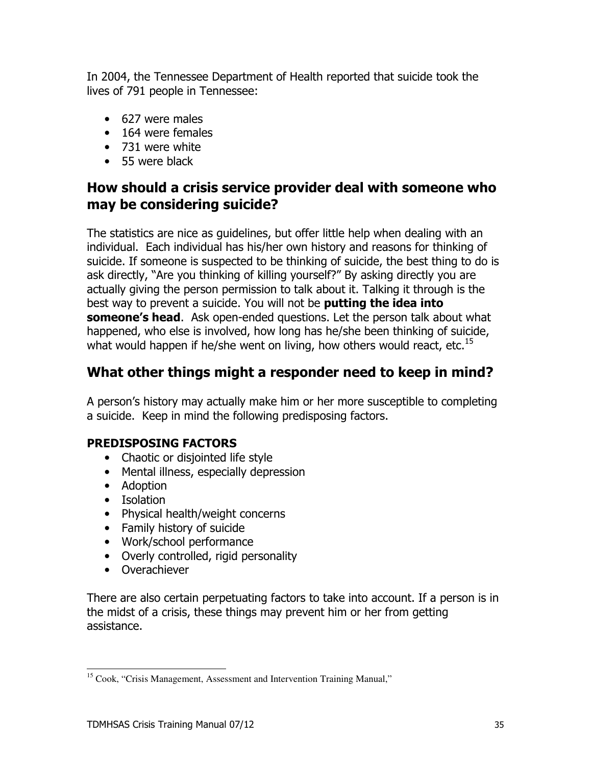In 2004, the Tennessee Department of Health reported that suicide took the lives of 791 people in Tennessee:

- 627 were males
- $\bullet$  164 were females
- 731 were white
- $\bullet$  55 were black

## How should a crisis service provider deal with someone who may be considering suicide?

The statistics are nice as guidelines, but offer little help when dealing with an individual. Each individual has his/her own history and reasons for thinking of suicide. If someone is suspected to be thinking of suicide, the best thing to do is ask directly, "Are you thinking of killing yourself?" By asking directly you are actually giving the person permission to talk about it. Talking it through is the best way to prevent a suicide. You will not be **putting the idea into someone's head.** Ask open-ended questions. Let the person talk about what happened, who else is involved, how long has he/she been thinking of suicide, what would happen if he/she went on living, how others would react, etc.<sup>15</sup>

## What other things might a responder need to keep in mind?

A person's history may actually make him or her more susceptible to completing a suicide. Keep in mind the following predisposing factors.

#### **PREDISPOSING FACTORS**

- Chaotic or disjointed life style
- Mental illness, especially depression
- Adoption
- Isolation
- Physical health/weight concerns
- Family history of suicide
- Work/school performance
- Overly controlled, rigid personality
- Overachiever

There are also certain perpetuating factors to take into account. If a person is in the midst of a crisis, these things may prevent him or her from getting assistance.

<sup>&</sup>lt;sup>15</sup> Cook. "Crisis Management, Assessment and Intervention Training Manual,"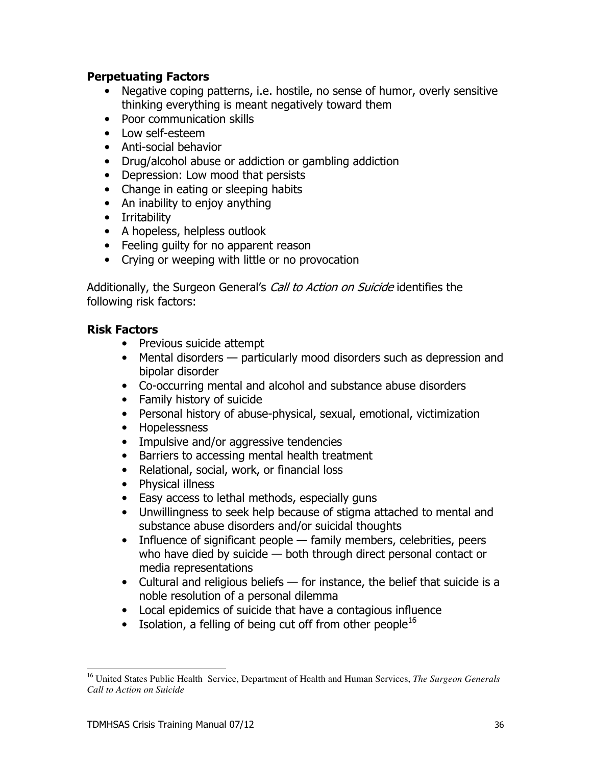#### **Perpetuating Factors**

- Negative coping patterns, i.e. hostile, no sense of humor, overly sensitive thinking everything is meant negatively toward them
- Poor communication skills
- $\bullet$  low self-esteem
- Anti-social behavior
- Drug/alcohol abuse or addiction or gambling addiction
- Depression: Low mood that persists
- Change in eating or sleeping habits
- An inability to enjoy anything
- Irritability
- A hopeless, helpless outlook
- Feeling quilty for no apparent reason
- Crying or weeping with little or no provocation

Additionally, the Surgeon General's *Call to Action on Suicide* identifies the following risk factors:

#### **Risk Factors**

- Previous suicide attempt
- Mental disorders particularly mood disorders such as depression and bipolar disorder
- Co-occurring mental and alcohol and substance abuse disorders
- Family history of suicide
- Personal history of abuse-physical, sexual, emotional, victimization
- Hopelessness
- Impulsive and/or aggressive tendencies
- Barriers to accessing mental health treatment
- Relational, social, work, or financial loss
- Physical illness
- Easy access to lethal methods, especially guns
- Unwillingness to seek help because of stigma attached to mental and substance abuse disorders and/or suicidal thoughts
- Influence of significant people family members, celebrities, peers who have died by suicide - both through direct personal contact or media representations
- Cultural and religious beliefs for instance, the belief that suicide is a noble resolution of a personal dilemma
- Local epidemics of suicide that have a contagious influence
- Isolation, a felling of being cut off from other people<sup>16</sup>

<sup>&</sup>lt;sup>16</sup> United States Public Health Service, Department of Health and Human Services, *The Surgeon Generals* Call to Action on Suicide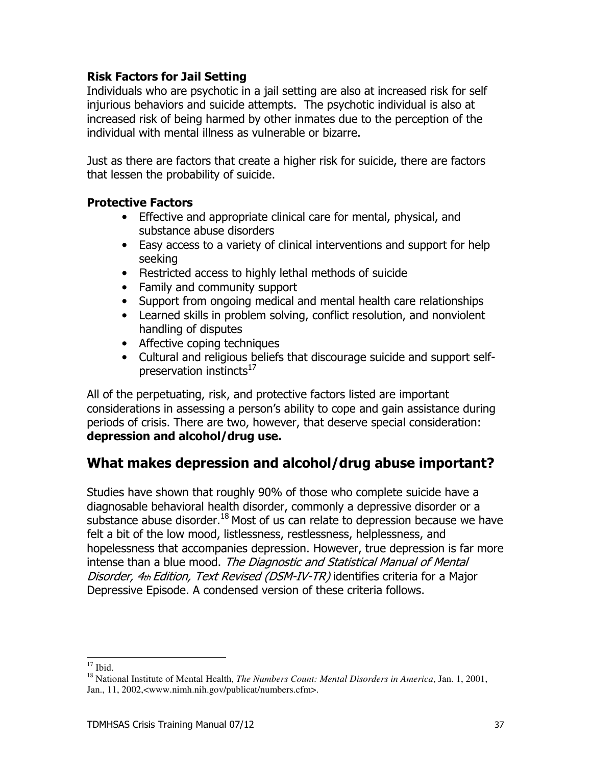#### **Risk Factors for Jail Setting**

Individuals who are psychotic in a jail setting are also at increased risk for self injurious behaviors and suicide attempts. The psychotic individual is also at increased risk of being harmed by other inmates due to the perception of the individual with mental illness as vulnerable or bizarre.

Just as there are factors that create a higher risk for suicide, there are factors that lessen the probability of suicide.

#### **Protective Factors**

- Effective and appropriate clinical care for mental, physical, and substance abuse disorders
- Easy access to a variety of clinical interventions and support for help seeking
- Restricted access to highly lethal methods of suicide
- Family and community support
- Support from ongoing medical and mental health care relationships
- Learned skills in problem solving, conflict resolution, and nonviolent handling of disputes
- Affective coping techniques
- Cultural and religious beliefs that discourage suicide and support selfpreservation instincts<sup>17</sup>

All of the perpetuating, risk, and protective factors listed are important considerations in assessing a person's ability to cope and gain assistance during periods of crisis. There are two, however, that deserve special consideration: depression and alcohol/drug use.

# What makes depression and alcohol/drug abuse important?

Studies have shown that roughly 90% of those who complete suicide have a diagnosable behavioral health disorder, commonly a depressive disorder or a substance abuse disorder.<sup>18</sup> Most of us can relate to depression because we have felt a bit of the low mood, listlessness, restlessness, helplessness, and hopelessness that accompanies depression. However, true depression is far more intense than a blue mood. The Diagnostic and Statistical Manual of Mental Disorder, 4th Edition, Text Revised (DSM-IV-TR) identifies criteria for a Major Depressive Episode. A condensed version of these criteria follows.

 $17$  Ihid.

<sup>&</sup>lt;sup>18</sup> National Institute of Mental Health, *The Numbers Count: Mental Disorders in America*, Jan. 1, 2001, Jan., 11, 2002,<www.nimh.nih.gov/publicat/numbers.cfm>.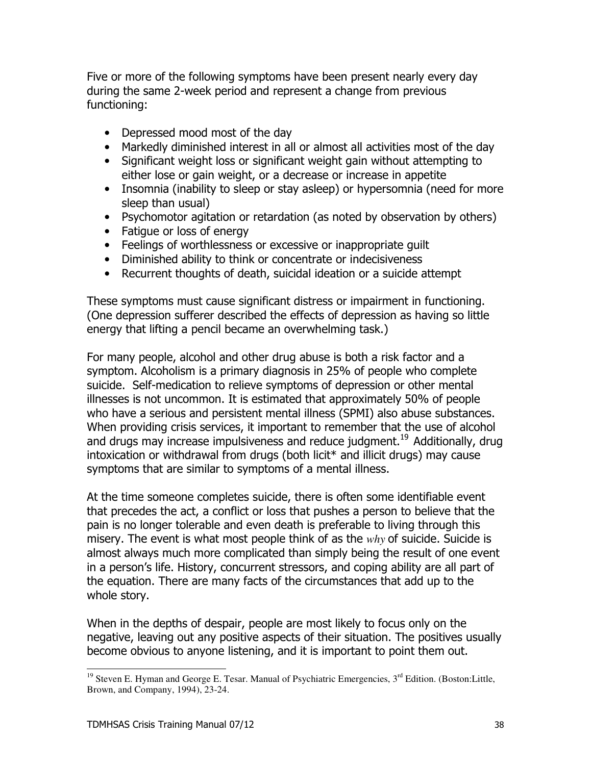Five or more of the following symptoms have been present nearly every day during the same 2-week period and represent a change from previous functioning:

- Depressed mood most of the day
- Markedly diminished interest in all or almost all activities most of the day
- Significant weight loss or significant weight gain without attempting to either lose or gain weight, or a decrease or increase in appetite
- Insomnia (inability to sleep or stay asleep) or hypersomnia (need for more sleep than usual)
- Psychomotor agitation or retardation (as noted by observation by others)
- Fatique or loss of energy
- Feelings of worthlessness or excessive or inappropriate quilt
- Diminished ability to think or concentrate or indecisiveness
- Recurrent thoughts of death, suicidal ideation or a suicide attempt

These symptoms must cause significant distress or impairment in functioning. (One depression sufferer described the effects of depression as having so little energy that lifting a pencil became an overwhelming task.)

For many people, alcohol and other drug abuse is both a risk factor and a symptom. Alcoholism is a primary diagnosis in 25% of people who complete suicide. Self-medication to relieve symptoms of depression or other mental illnesses is not uncommon. It is estimated that approximately 50% of people who have a serious and persistent mental illness (SPMI) also abuse substances. When providing crisis services, it important to remember that the use of alcohol and drugs may increase impulsiveness and reduce judgment.<sup>19</sup> Additionally, drug intoxication or withdrawal from drugs (both licit<sup>\*</sup> and illicit drugs) may cause symptoms that are similar to symptoms of a mental illness.

At the time someone completes suicide, there is often some identifiable event that precedes the act, a conflict or loss that pushes a person to believe that the pain is no longer tolerable and even death is preferable to living through this misery. The event is what most people think of as the  $why$  of suicide. Suicide is almost always much more complicated than simply being the result of one event in a person's life. History, concurrent stressors, and coping ability are all part of the equation. There are many facts of the circumstances that add up to the whole story.

When in the depths of despair, people are most likely to focus only on the negative, leaving out any positive aspects of their situation. The positives usually become obvious to anyone listening, and it is important to point them out.

<sup>&</sup>lt;sup>19</sup> Steven E. Hyman and George E. Tesar. Manual of Psychiatric Emergencies,  $3<sup>rd</sup>$  Edition. (Boston: Little, Brown, and Company, 1994), 23-24.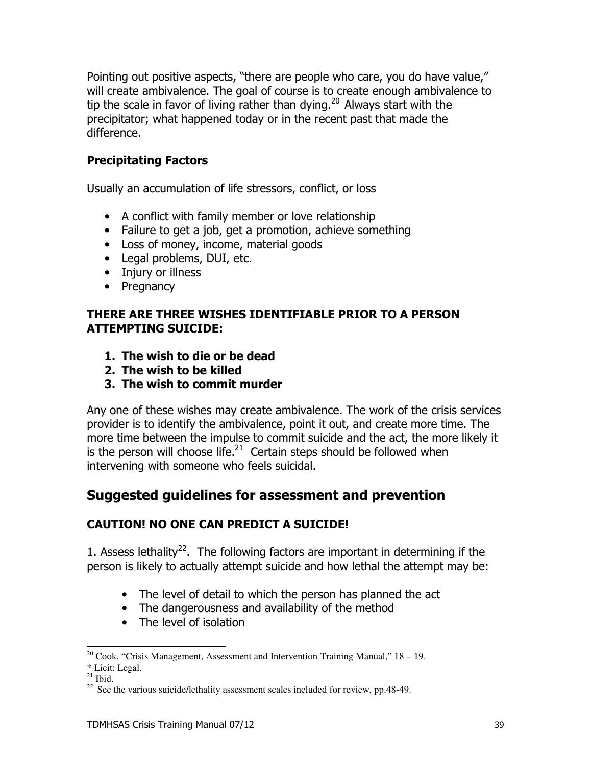Pointing out positive aspects, "there are people who care, you do have value," will create ambivalence. The goal of course is to create enough ambivalence to tip the scale in favor of living rather than dying. $20$  Always start with the precipitator; what happened today or in the recent past that made the difference.

#### **Precipitating Factors**

Usually an accumulation of life stressors, conflict, or loss

- A conflict with family member or love relationship
- Failure to get a job, get a promotion, achieve something
- Loss of money, income, material goods
- Legal problems, DUI, etc.
- Injury or illness
- Pregnancy

#### THERE ARE THREE WISHES IDENTIFIABLE PRIOR TO A PERSON **ATTEMPTING SUICIDE:**

- 1. The wish to die or be dead
- 2. The wish to be killed
- 3. The wish to commit murder

Any one of these wishes may create ambivalence. The work of the crisis services provider is to identify the ambivalence, point it out, and create more time. The more time between the impulse to commit suicide and the act, the more likely it is the person will choose life. $^{21}$  Certain steps should be followed when intervening with someone who feels suicidal.

## Suggested guidelines for assessment and prevention

#### **CAUTION! NO ONE CAN PREDICT A SUICIDE!**

1. Assess lethality<sup>22</sup>. The following factors are important in determining if the person is likely to actually attempt suicide and how lethal the attempt may be:

- The level of detail to which the person has planned the act
- The dangerousness and availability of the method
- The level of isolation

 $^{20}$  Cook, "Crisis Management, Assessment and Intervention Training Manual," 18 – 19.

<sup>\*</sup> Licit: Legal.

 $21$  Ibid.

 $^{22}$  See the various suicide/lethality assessment scales included for review, pp.48-49.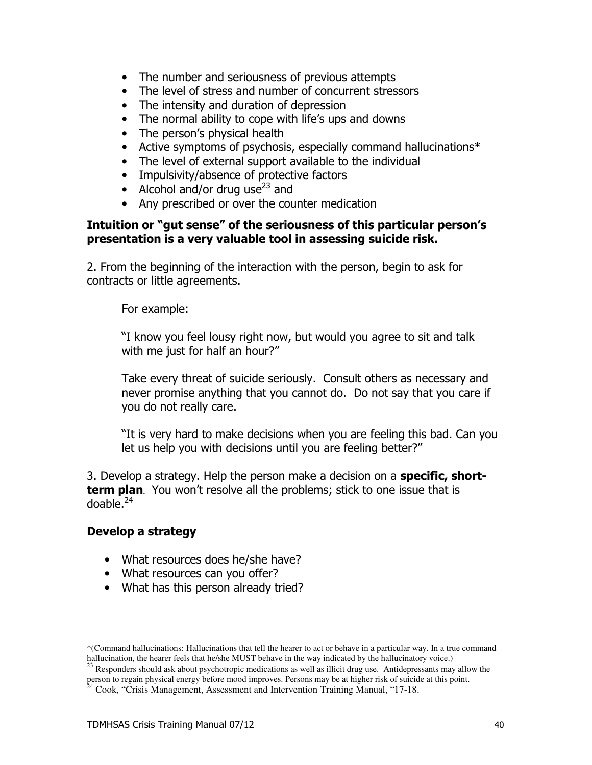- The number and seriousness of previous attempts
- The level of stress and number of concurrent stressors
- The intensity and duration of depression
- The normal ability to cope with life's ups and downs
- The person's physical health
- Active symptoms of psychosis, especially command hallucinations\*
- The level of external support available to the individual
- Impulsivity/absence of protective factors
- Alcohol and/or drug use<sup>23</sup> and
- Any prescribed or over the counter medication

#### Intuition or "gut sense" of the seriousness of this particular person's presentation is a very valuable tool in assessing suicide risk.

2. From the beginning of the interaction with the person, begin to ask for contracts or little agreements.

For example:

"I know you feel lousy right now, but would you agree to sit and talk with me just for half an hour?"

Take every threat of suicide seriously. Consult others as necessary and never promise anything that you cannot do. Do not say that you care if you do not really care.

"It is very hard to make decisions when you are feeling this bad. Can you let us help you with decisions until you are feeling better?"

3. Develop a strategy. Help the person make a decision on a **specific, short**term plan. You won't resolve all the problems; stick to one issue that is doable. $24$ 

#### Develop a strategy

- What resources does he/she have?
- What resources can you offer?
- What has this person already tried?

<sup>\*(</sup>Command hallucinations: Hallucinations that tell the hearer to act or behave in a particular way. In a true command hallucination, the hearer feels that he/she MUST behave in the way indicated by the hallucinatory voice.)

Responders should ask about psychotropic medications as well as illicit drug use. Antidepressants may allow the person to regain physical energy before mood improves. Persons may be at higher risk of suicide at this point.<br><sup>24</sup> Cook, "Crisis Management, Assessment and Intervention Training Manual, "17-18.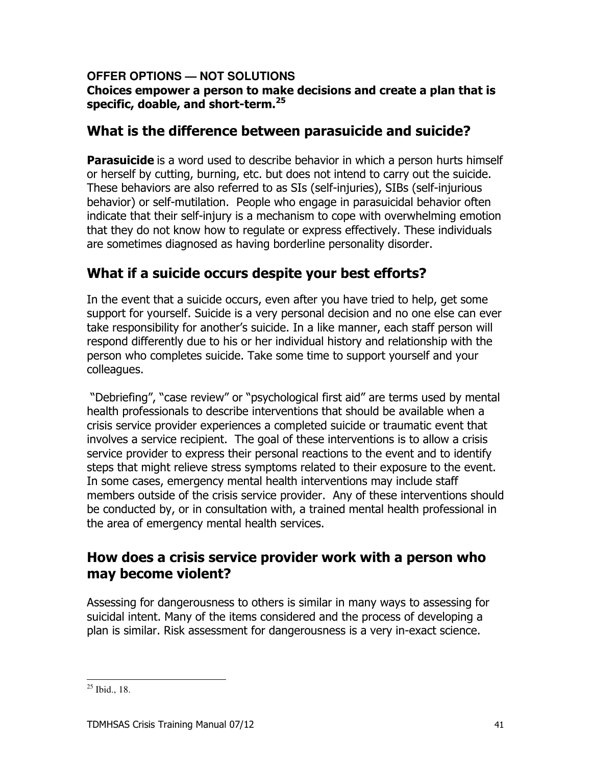#### OFFER OPTIONS - NOT SOLUTIONS Choices empower a person to make decisions and create a plan that is specific, doable, and short-term.<sup>25</sup>

## What is the difference between parasuicide and suicide?

**Parasuicide** is a word used to describe behavior in which a person hurts himself or herself by cutting, burning, etc. but does not intend to carry out the suicide. These behaviors are also referred to as SIs (self-injuries), SIBs (self-injurious behavior) or self-mutilation. People who engage in parasuicidal behavior often indicate that their self-injury is a mechanism to cope with overwhelming emotion that they do not know how to regulate or express effectively. These individuals are sometimes diagnosed as having borderline personality disorder.

# What if a suicide occurs despite your best efforts?

In the event that a suicide occurs, even after you have tried to help, get some support for yourself. Suicide is a very personal decision and no one else can ever take responsibility for another's suicide. In a like manner, each staff person will respond differently due to his or her individual history and relationship with the person who completes suicide. Take some time to support yourself and your colleagues.

"Debriefing", "case review" or "psychological first aid" are terms used by mental health professionals to describe interventions that should be available when a crisis service provider experiences a completed suicide or traumatic event that involves a service recipient. The goal of these interventions is to allow a crisis service provider to express their personal reactions to the event and to identify steps that might relieve stress symptoms related to their exposure to the event. In some cases, emergency mental health interventions may include staff members outside of the crisis service provider. Any of these interventions should be conducted by, or in consultation with, a trained mental health professional in the area of emergency mental health services.

## How does a crisis service provider work with a person who may become violent?

Assessing for dangerousness to others is similar in many ways to assessing for suicidal intent. Many of the items considered and the process of developing a plan is similar. Risk assessment for dangerousness is a very in-exact science.

 $25$  Ibid., 18.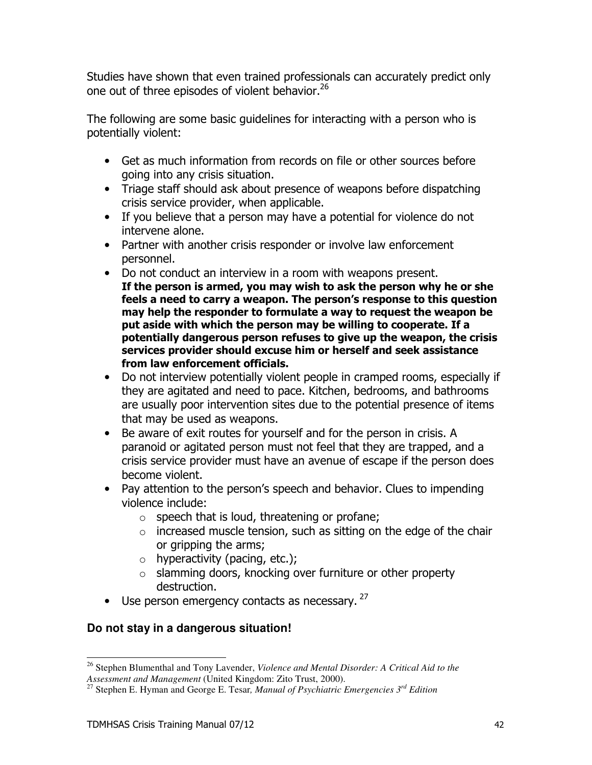Studies have shown that even trained professionals can accurately predict only one out of three episodes of violent behavior.<sup>26</sup>

The following are some basic quidelines for interacting with a person who is potentially violent:

- Get as much information from records on file or other sources before going into any crisis situation.
- Triage staff should ask about presence of weapons before dispatching crisis service provider, when applicable.
- If you believe that a person may have a potential for violence do not intervene alone.
- Partner with another crisis responder or involve law enforcement personnel.
- Do not conduct an interview in a room with weapons present. If the person is armed, you may wish to ask the person why he or she feels a need to carry a weapon. The person's response to this question may help the responder to formulate a way to request the weapon be put aside with which the person may be willing to cooperate. If a potentially dangerous person refuses to give up the weapon, the crisis services provider should excuse him or herself and seek assistance from law enforcement officials.
- Do not interview potentially violent people in cramped rooms, especially if they are agitated and need to pace. Kitchen, bedrooms, and bathrooms are usually poor intervention sites due to the potential presence of items that may be used as weapons.
- Be aware of exit routes for yourself and for the person in crisis. A paranoid or agitated person must not feel that they are trapped, and a crisis service provider must have an avenue of escape if the person does become violent.
- Pay attention to the person's speech and behavior. Clues to impending violence include:
	- $\circ$  speech that is loud, threatening or profane;
	- $\circ$  increased muscle tension, such as sitting on the edge of the chair or gripping the arms;
	- $\circ$  hyperactivity (pacing, etc.);
	- o slamming doors, knocking over furniture or other property destruction.
- Use person emergency contacts as necessary.  $27$

#### Do not stay in a dangerous situation!

<sup>&</sup>lt;sup>26</sup> Stephen Blumenthal and Tony Lavender, Violence and Mental Disorder: A Critical Aid to the Assessment and Management (United Kingdom: Zito Trust, 2000).

<sup>&</sup>lt;sup>27</sup> Stephen E. Hyman and George E. Tesar, *Manual of Psychiatric Emergencies*  $3^{rd}$  Edition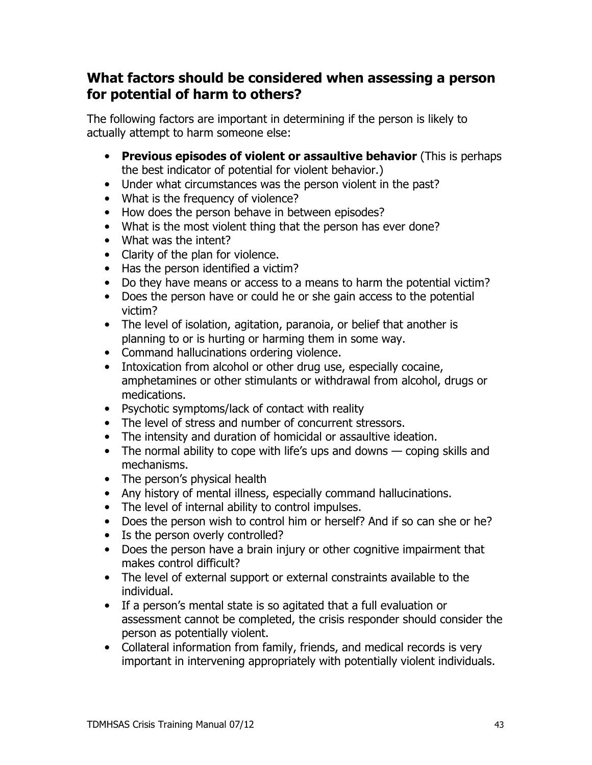#### What factors should be considered when assessing a person for potential of harm to others?

The following factors are important in determining if the person is likely to actually attempt to harm someone else:

- Previous episodes of violent or assaultive behavior (This is perhaps the best indicator of potential for violent behavior.)
- Under what circumstances was the person violent in the past?
- What is the frequency of violence?
- How does the person behave in between episodes?
- What is the most violent thing that the person has ever done?
- What was the intent?
- Clarity of the plan for violence.
- Has the person identified a victim?
- Do they have means or access to a means to harm the potential victim?
- Does the person have or could he or she gain access to the potential victim?
- The level of isolation, agitation, paranoia, or belief that another is planning to or is hurting or harming them in some way.
- Command hallucinations ordering violence.
- Intoxication from alcohol or other drug use, especially cocaine, amphetamines or other stimulants or withdrawal from alcohol, drugs or medications.
- Psychotic symptoms/lack of contact with reality
- The level of stress and number of concurrent stressors.
- The intensity and duration of homicidal or assaultive ideation.
- The normal ability to cope with life's ups and downs  $-$  coping skills and mechanisms.
- The person's physical health
- Any history of mental illness, especially command hallucinations.
- The level of internal ability to control impulses.
- Does the person wish to control him or herself? And if so can she or he?
- Is the person overly controlled?
- Does the person have a brain injury or other cognitive impairment that makes control difficult?
- The level of external support or external constraints available to the individual.
- If a person's mental state is so agitated that a full evaluation or assessment cannot be completed, the crisis responder should consider the person as potentially violent.
- Collateral information from family, friends, and medical records is very important in intervening appropriately with potentially violent individuals.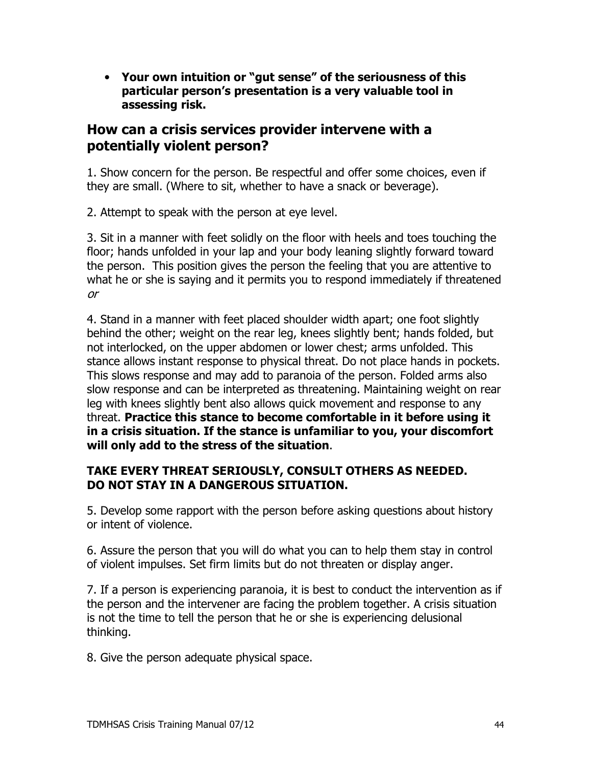• Your own intuition or "gut sense" of the seriousness of this particular person's presentation is a very valuable tool in assessing risk.

### How can a crisis services provider intervene with a potentially violent person?

1. Show concern for the person. Be respectful and offer some choices, even if they are small. (Where to sit, whether to have a snack or beverage).

2. Attempt to speak with the person at eye level.

3. Sit in a manner with feet solidly on the floor with heels and toes touching the floor; hands unfolded in your lap and your body leaning slightly forward toward the person. This position gives the person the feeling that you are attentive to what he or she is saying and it permits you to respond immediately if threatened  $or$ 

4. Stand in a manner with feet placed shoulder width apart; one foot slightly behind the other; weight on the rear leg, knees slightly bent; hands folded, but not interlocked, on the upper abdomen or lower chest; arms unfolded. This stance allows instant response to physical threat. Do not place hands in pockets. This slows response and may add to paranoia of the person. Folded arms also slow response and can be interpreted as threatening. Maintaining weight on rear leg with knees slightly bent also allows quick movement and response to any threat. Practice this stance to become comfortable in it before using it in a crisis situation. If the stance is unfamiliar to you, your discomfort will only add to the stress of the situation.

#### TAKE EVERY THREAT SERIOUSLY, CONSULT OTHERS AS NEEDED. DO NOT STAY IN A DANGEROUS SITUATION.

5. Develop some rapport with the person before asking questions about history or intent of violence.

6. Assure the person that you will do what you can to help them stay in control of violent impulses. Set firm limits but do not threaten or display anger.

7. If a person is experiencing paranoia, it is best to conduct the intervention as if the person and the intervener are facing the problem together. A crisis situation is not the time to tell the person that he or she is experiencing delusional thinking.

8. Give the person adequate physical space.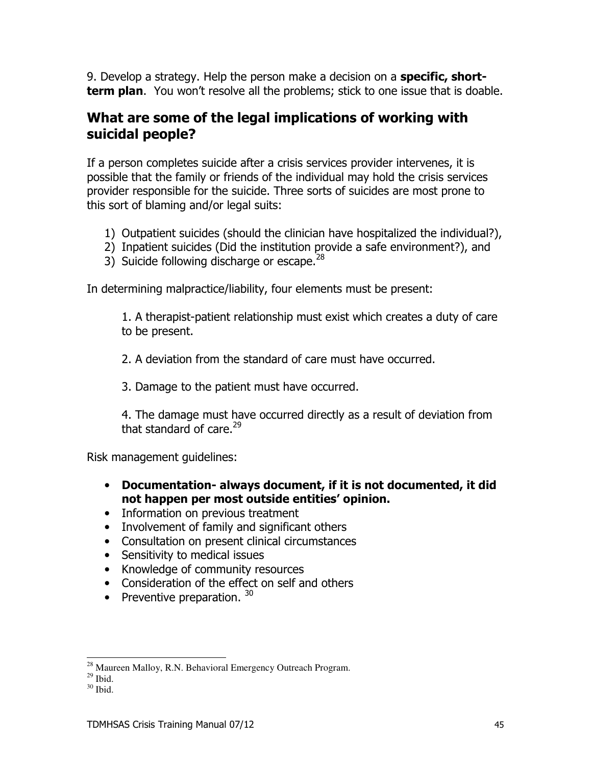9. Develop a strategy. Help the person make a decision on a **specific, short**term plan. You won't resolve all the problems; stick to one issue that is doable.

#### What are some of the legal implications of working with suicidal people?

If a person completes suicide after a crisis services provider intervenes, it is possible that the family or friends of the individual may hold the crisis services provider responsible for the suicide. Three sorts of suicides are most prone to this sort of blaming and/or legal suits:

- 1) Outpatient suicides (should the clinician have hospitalized the individual?),
- 2) Inpatient suicides (Did the institution provide a safe environment?), and
- 3) Suicide following discharge or escape.<sup>28</sup>

In determining malpractice/liability, four elements must be present:

1. A therapist-patient relationship must exist which creates a duty of care to be present.

2. A deviation from the standard of care must have occurred.

3. Damage to the patient must have occurred.

4. The damage must have occurred directly as a result of deviation from that standard of care.<sup>29</sup>

Risk management quidelines:

- Documentation- always document, if it is not documented, it did not happen per most outside entities' opinion.
- Information on previous treatment
- Involvement of family and significant others
- Consultation on present clinical circumstances
- Sensitivity to medical issues
- Knowledge of community resources
- Consideration of the effect on self and others
- Preventive preparation.  $30$

<sup>&</sup>lt;sup>28</sup> Maureen Malloy, R.N. Behavioral Emergency Outreach Program.

 $^{29}$  Ihid

 $30$  Ibid.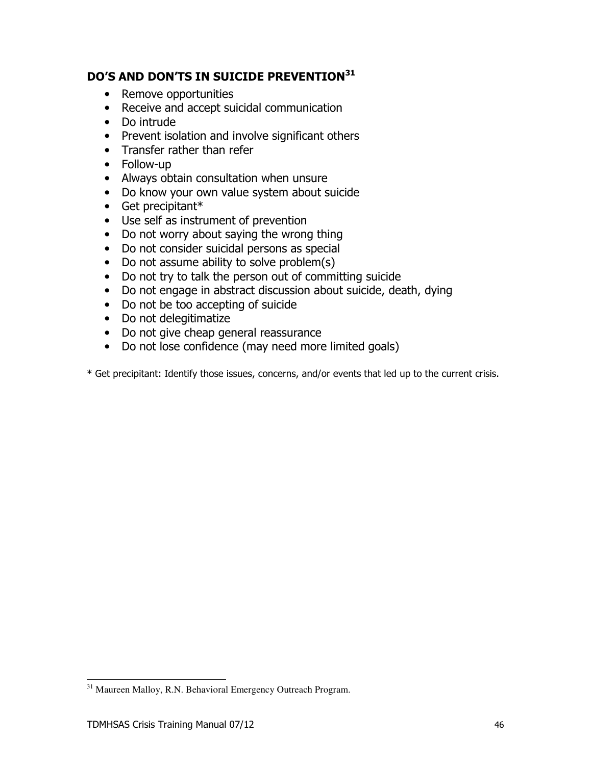#### DO'S AND DON'TS IN SUICIDE PREVENTION<sup>31</sup>

- Remove opportunities
- Receive and accept suicidal communication
- Do intrude
- Prevent isolation and involve significant others
- Transfer rather than refer
- Follow-up
- Always obtain consultation when unsure
- Do know your own value system about suicide
- $\bullet$  Get precipitant\*
- Use self as instrument of prevention
- Do not worry about saying the wrong thing
- Do not consider suicidal persons as special
- Do not assume ability to solve problem(s)
- Do not try to talk the person out of committing suicide
- Do not engage in abstract discussion about suicide, death, dying
- Do not be too accepting of suicide
- Do not delegitimatize
- Do not give cheap general reassurance
- Do not lose confidence (may need more limited goals)

\* Get precipitant: Identify those issues, concerns, and/or events that led up to the current crisis.

<sup>&</sup>lt;sup>31</sup> Maureen Malloy, R.N. Behavioral Emergency Outreach Program.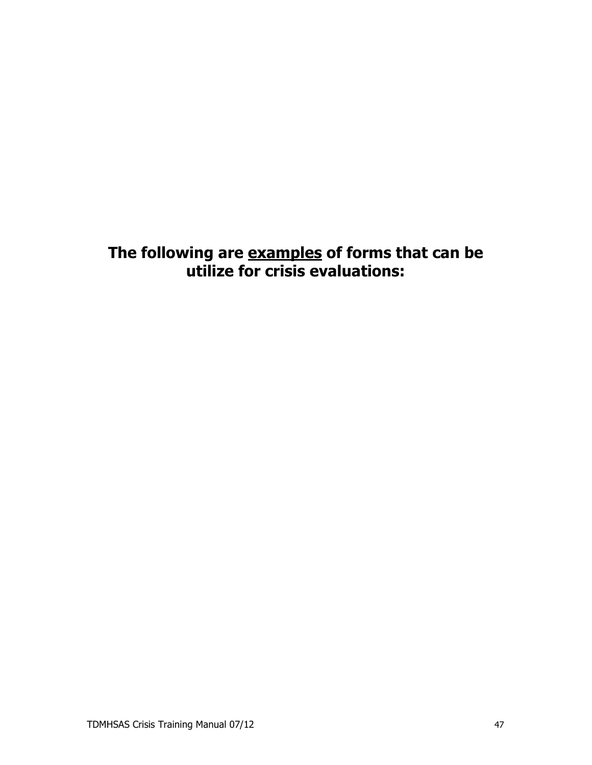The following are examples of forms that can be<br>utilize for crisis evaluations: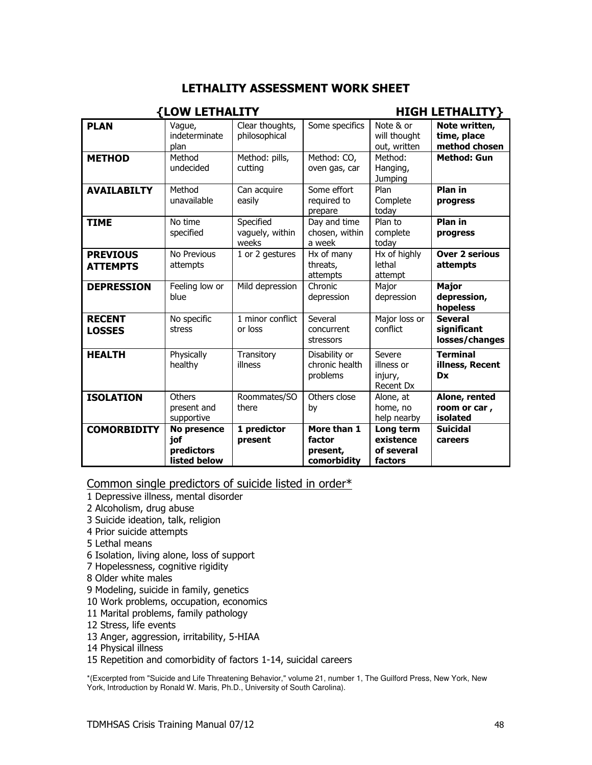#### **LETHALITY ASSESSMENT WORK SHEET**

| <b>{LOW LETHALITY</b>              |                                                  |                                       |                                                  | <b>HIGH LETHALITY}</b>                          |                                                 |
|------------------------------------|--------------------------------------------------|---------------------------------------|--------------------------------------------------|-------------------------------------------------|-------------------------------------------------|
| <b>PLAN</b>                        | Vague,<br>indeterminate<br>plan                  | Clear thoughts,<br>philosophical      | Some specifics                                   | Note & or<br>will thought<br>out, written       | Note written,<br>time, place<br>method chosen   |
| <b>METHOD</b>                      | Method<br>undecided                              | Method: pills,<br>cutting             | Method: CO,<br>oven gas, car                     | Method:<br>Hanging,<br>Jumping                  | <b>Method: Gun</b>                              |
| <b>AVAILABILTY</b>                 | Method<br>unavailable                            | Can acquire<br>easily                 | Some effort<br>required to<br>prepare            | Plan<br>Complete<br>today                       | Plan in<br>progress                             |
| <b>TIME</b>                        | No time<br>specified                             | Specified<br>vaguely, within<br>weeks | Day and time<br>chosen, within<br>a week         | Plan to<br>complete<br>today                    | <b>Plan in</b><br>progress                      |
| <b>PREVIOUS</b><br><b>ATTEMPTS</b> | No Previous<br>attempts                          | 1 or 2 gestures                       | Hx of many<br>threats,<br>attempts               | Hx of highly<br>lethal<br>attempt               | <b>Over 2 serious</b><br>attempts               |
| <b>DEPRESSION</b>                  | Feeling low or<br>blue                           | Mild depression                       | Chronic<br>depression                            | Major<br>depression                             | <b>Major</b><br>depression,<br>hopeless         |
| <b>RECENT</b><br><b>LOSSES</b>     | No specific<br>stress                            | 1 minor conflict<br>or loss           | Several<br>concurrent<br>stressors               | Major loss or<br>conflict                       | <b>Several</b><br>significant<br>losses/changes |
| <b>HEALTH</b>                      | Physically<br>healthy                            | Transitory<br>illness                 | Disability or<br>chronic health<br>problems      | Severe<br>illness or<br>injury,<br>Recent Dx    | <b>Terminal</b><br>illness, Recent<br><b>Dx</b> |
| <b>ISOLATION</b>                   | Others<br>present and<br>supportive              | Roommates/SO<br>there                 | Others close<br>by                               | Alone, at<br>home, no<br>help nearby            | Alone, rented<br>room or car,<br>isolated       |
| <b>COMORBIDITY</b>                 | No presence<br>jof<br>predictors<br>listed below | 1 predictor<br>present                | More than 1<br>factor<br>present,<br>comorbidity | Long term<br>existence<br>of several<br>factors | <b>Suicidal</b><br>careers                      |

Common single predictors of suicide listed in order\*

- 1 Depressive illness, mental disorder
- 2 Alcoholism, drug abuse
- 3 Suicide ideation, talk, religion
- 4 Prior suicide attempts
- 5 Lethal means
- 6 Isolation, living alone, loss of support
- 7 Hopelessness, cognitive rigidity
- 8 Older white males
- 9 Modeling, suicide in family, genetics
- 10 Work problems, occupation, economics
- 11 Marital problems, family pathology
- 12 Stress, life events
- 13 Anger, aggression, irritability, 5-HIAA
- 14 Physical illness
- 15 Repetition and comorbidity of factors 1-14, suicidal careers

\*(Excerpted from "Suicide and Life Threatening Behavior," volume 21, number 1, The Guilford Press, New York, New York, Introduction by Ronald W. Maris, Ph.D., University of South Carolina).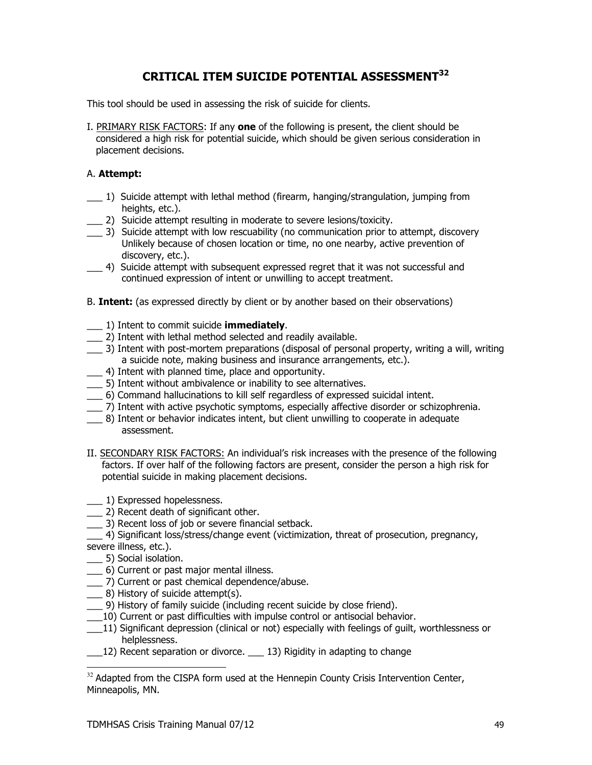#### **CRITICAL ITEM SUICIDE POTENTIAL ASSESSMENT32**

This tool should be used in assessing the risk of suicide for clients.

I. PRIMARY RISK FACTORS: If any one of the following is present, the client should be considered a high risk for potential suicide, which should be given serious consideration in placement decisions.

#### A. Attempt:

- 1) Suicide attempt with lethal method (firearm, hanging/strangulation, jumping from heights, etc.).
- 2) Suicide attempt resulting in moderate to severe lesions/toxicity.
- \_\_\_\_ 3) Suicide attempt with low rescuability (no communication prior to attempt, discovery Unlikely because of chosen location or time, no one nearby, active prevention of discovery, etc.).
	- 4) Suicide attempt with subsequent expressed regret that it was not successful and continued expression of intent or unwilling to accept treatment.
- B. Intent: (as expressed directly by client or by another based on their observations)
- 1) Intent to commit suicide **immediately**.
- \_\_ 2) Intent with lethal method selected and readily available.
- \_\_\_ 3) Intent with post-mortem preparations (disposal of personal property, writing a will, writing a suicide note, making business and insurance arrangements, etc.).
- 4) Intent with planned time, place and opportunity.
- 5) Intent without ambivalence or inability to see alternatives.
- 6) Command hallucinations to kill self regardless of expressed suicidal intent.
- \_\_\_ 7) Intent with active psychotic symptoms, especially affective disorder or schizophrenia.
- 8) Intent or behavior indicates intent, but client unwilling to cooperate in adequate assessment.
- II. SECONDARY RISK FACTORS: An individual's risk increases with the presence of the following factors. If over half of the following factors are present, consider the person a high risk for potential suicide in making placement decisions.
- 1) Expressed hopelessness.
- \_\_ 2) Recent death of significant other.
- 3) Recent loss of job or severe financial setback.

[2010] Significant loss/stress/change event (victimization, threat of prosecution, pregnancy, severe illness, etc.).

- \_\_\_ 5) Social isolation.
- \_\_ 6) Current or past major mental illness.
- \_\_ 7) Current or past chemical dependence/abuse.
- \_\_\_ 8) History of suicide attempt(s).
- 9) History of family suicide (including recent suicide by close friend).
- 10) Current or past difficulties with impulse control or antisocial behavior.
- 11) Significant depression (clinical or not) especially with feelings of quilt, worthlessness or helplessness.
- 12) Recent separation or divorce. 13) Rigidity in adapting to change

<sup>&</sup>lt;sup>32</sup> Adapted from the CISPA form used at the Hennepin County Crisis Intervention Center, Minneapolis, MN.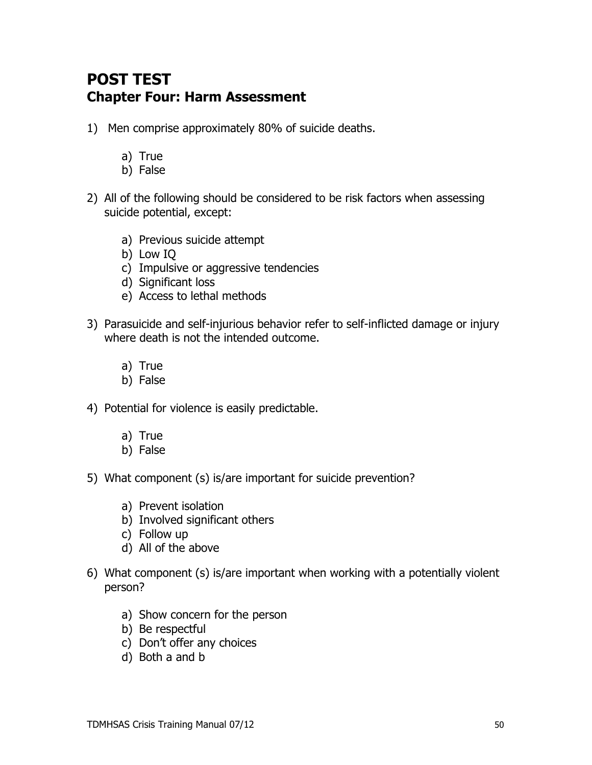# **POST TEST Chapter Four: Harm Assessment**

- 1) Men comprise approximately 80% of suicide deaths.
	- a) True
	- b) False
- 2) All of the following should be considered to be risk factors when assessing suicide potential, except:
	- a) Previous suicide attempt
	- b) Low IO
	- c) Impulsive or aggressive tendencies
	- d) Significant loss
	- e) Access to lethal methods
- 3) Parasuicide and self-injurious behavior refer to self-inflicted damage or injury where death is not the intended outcome.
	- a) True
	- b) False
- 4) Potential for violence is easily predictable.
	- a) True
	- b) False
- 5) What component (s) is/are important for suicide prevention?
	- a) Prevent isolation
	- b) Involved significant others
	- c) Follow up
	- d) All of the above
- 6) What component (s) is/are important when working with a potentially violent person?
	- a) Show concern for the person
	- b) Be respectful
	- c) Don't offer any choices
	- d) Both a and b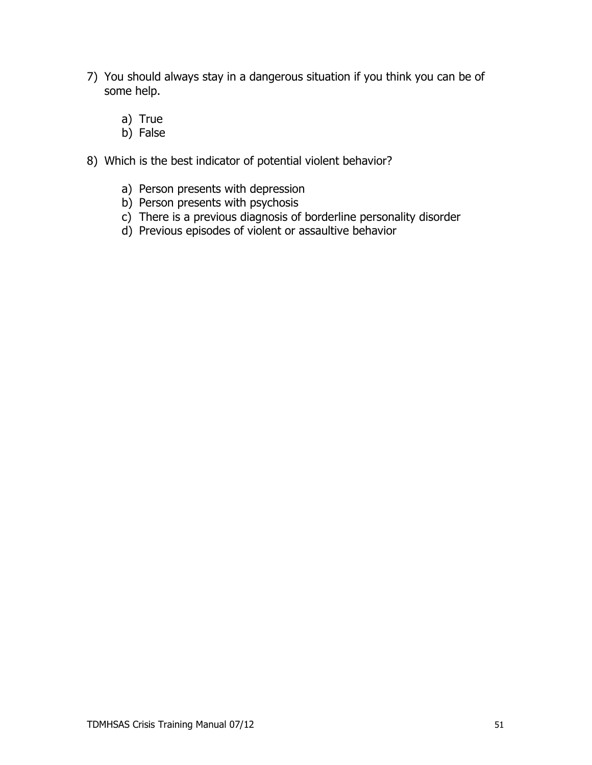- 7) You should always stay in a dangerous situation if you think you can be of some help.
	- a) True
	- b) False
- 8) Which is the best indicator of potential violent behavior?
	- a) Person presents with depression
	- b) Person presents with psychosis
	- c) There is a previous diagnosis of borderline personality disorder
	- d) Previous episodes of violent or assaultive behavior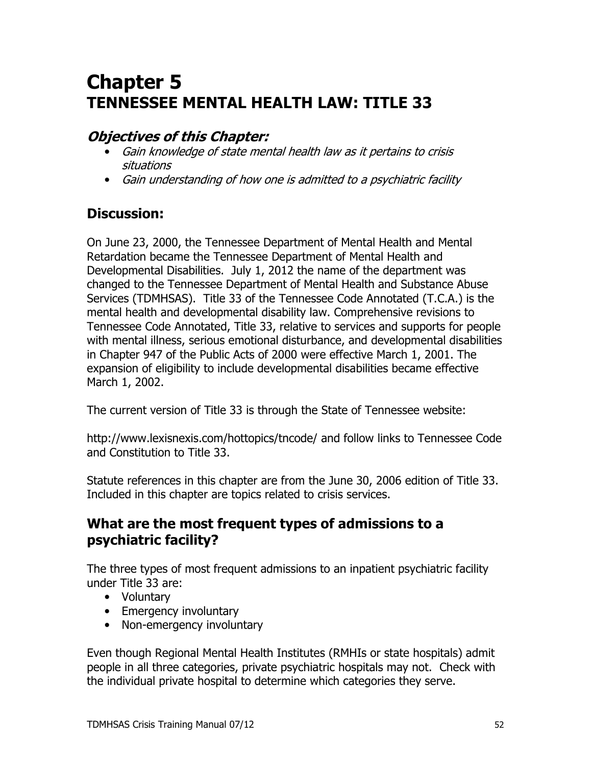# **Chapter 5 TENNESSEE MENTAL HEALTH LAW: TITLE 33**

# **Objectives of this Chapter:**

- Gain knowledge of state mental health law as it pertains to crisis situations
- Gain understanding of how one is admitted to a psychiatric facility

# **Discussion:**

On June 23, 2000, the Tennessee Department of Mental Health and Mental Retardation became the Tennessee Department of Mental Health and Developmental Disabilities. July 1, 2012 the name of the department was changed to the Tennessee Department of Mental Health and Substance Abuse Services (TDMHSAS). Title 33 of the Tennessee Code Annotated (T.C.A.) is the mental health and developmental disability law. Comprehensive revisions to Tennessee Code Annotated, Title 33, relative to services and supports for people with mental illness, serious emotional disturbance, and developmental disabilities in Chapter 947 of the Public Acts of 2000 were effective March 1, 2001. The expansion of eligibility to include developmental disabilities became effective March 1, 2002.

The current version of Title 33 is through the State of Tennessee website:

http://www.lexisnexis.com/hottopics/tncode/ and follow links to Tennessee Code and Constitution to Title 33.

Statute references in this chapter are from the June 30, 2006 edition of Title 33. Included in this chapter are topics related to crisis services.

# What are the most frequent types of admissions to a psychiatric facility?

The three types of most frequent admissions to an inpatient psychiatric facility under Title 33 are:

- Voluntary
- Emergency involuntary
- Non-emergency involuntary

Even though Regional Mental Health Institutes (RMHIs or state hospitals) admit people in all three categories, private psychiatric hospitals may not. Check with the individual private hospital to determine which categories they serve.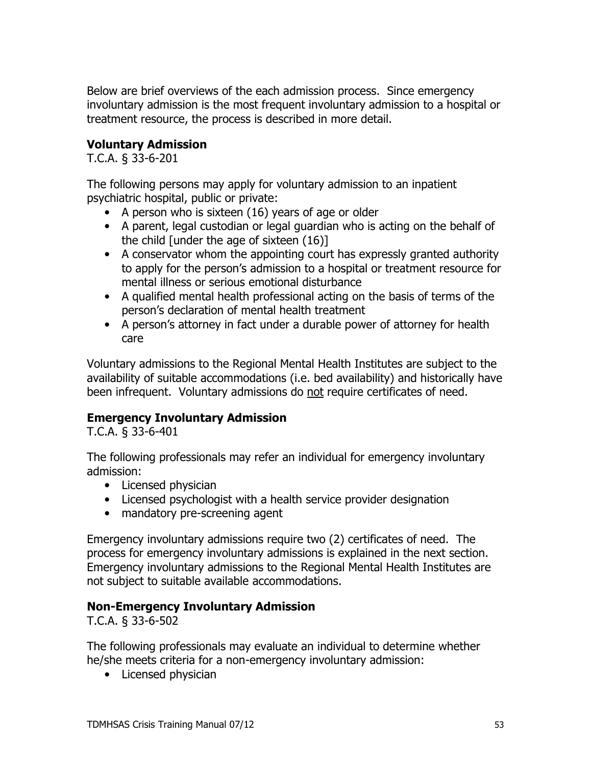Below are brief overviews of the each admission process. Since emergency involuntary admission is the most frequent involuntary admission to a hospital or treatment resource, the process is described in more detail.

#### **Voluntary Admission**

T.C.A. § 33-6-201

The following persons may apply for voluntary admission to an inpatient psychiatric hospital, public or private:

- A person who is sixteen (16) years of age or older
- A parent, legal custodian or legal guardian who is acting on the behalf of the child [under the age of sixteen (16)]
- A conservator whom the appointing court has expressly granted authority to apply for the person's admission to a hospital or treatment resource for mental illness or serious emotional disturbance
- A qualified mental health professional acting on the basis of terms of the person's declaration of mental health treatment
- A person's attorney in fact under a durable power of attorney for health care

Voluntary admissions to the Regional Mental Health Institutes are subject to the availability of suitable accommodations (i.e. bed availability) and historically have been infrequent. Voluntary admissions do not require certificates of need.

#### **Emergency Involuntary Admission**

T.C.A. § 33-6-401

The following professionals may refer an individual for emergency involuntary admission:

- Licensed physician
- Licensed psychologist with a health service provider designation
- mandatory pre-screening agent

Emergency involuntary admissions require two (2) certificates of need. The process for emergency involuntary admissions is explained in the next section. Emergency involuntary admissions to the Regional Mental Health Institutes are not subject to suitable available accommodations.

#### **Non-Emergency Involuntary Admission**

T.C.A. § 33-6-502

The following professionals may evaluate an individual to determine whether he/she meets criteria for a non-emergency involuntary admission:

• Licensed physician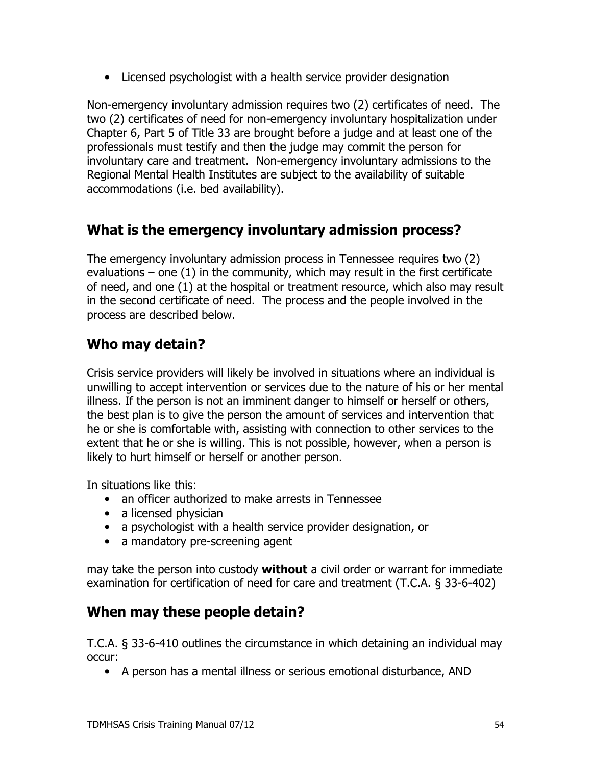• Licensed psychologist with a health service provider designation

Non-emergency involuntary admission requires two (2) certificates of need. The two (2) certificates of need for non-emergency involuntary hospitalization under Chapter 6, Part 5 of Title 33 are brought before a judge and at least one of the professionals must testify and then the judge may commit the person for involuntary care and treatment. Non-emergency involuntary admissions to the Regional Mental Health Institutes are subject to the availability of suitable accommodations (i.e. bed availability).

# What is the emergency involuntary admission process?

The emergency involuntary admission process in Tennessee requires two (2) evaluations  $-$  one (1) in the community, which may result in the first certificate of need, and one (1) at the hospital or treatment resource, which also may result in the second certificate of need. The process and the people involved in the process are described below.

# Who may detain?

Crisis service providers will likely be involved in situations where an individual is unwilling to accept intervention or services due to the nature of his or her mental illness. If the person is not an imminent danger to himself or herself or others, the best plan is to give the person the amount of services and intervention that he or she is comfortable with, assisting with connection to other services to the extent that he or she is willing. This is not possible, however, when a person is likely to hurt himself or herself or another person.

In situations like this:

- an officer authorized to make arrests in Tennessee
- a licensed physician
- a psychologist with a health service provider designation, or
- a mandatory pre-screening agent

may take the person into custody without a civil order or warrant for immediate examination for certification of need for care and treatment  $(T.C.A. \S 33-6-402)$ 

## When may these people detain?

T.C.A. § 33-6-410 outlines the circumstance in which detaining an individual may occur:

• A person has a mental illness or serious emotional disturbance, AND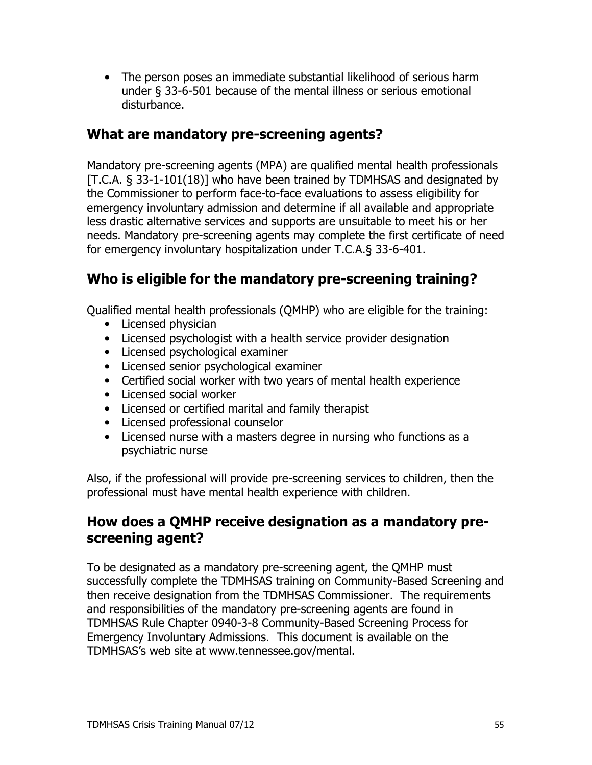• The person poses an immediate substantial likelihood of serious harm under § 33-6-501 because of the mental illness or serious emotional disturbance.

## What are mandatory pre-screening agents?

Mandatory pre-screening agents (MPA) are qualified mental health professionals [T.C.A. § 33-1-101(18)] who have been trained by TDMHSAS and designated by the Commissioner to perform face-to-face evaluations to assess eligibility for emergency involuntary admission and determine if all available and appropriate less drastic alternative services and supports are unsuitable to meet his or her needs. Mandatory pre-screening agents may complete the first certificate of need for emergency involuntary hospitalization under T.C.A.§ 33-6-401.

# Who is eligible for the mandatory pre-screening training?

Qualified mental health professionals (QMHP) who are eligible for the training:

- Licensed physician
- Licensed psychologist with a health service provider designation
- Licensed psychological examiner
- Licensed senior psychological examiner
- Certified social worker with two years of mental health experience
- Licensed social worker
- Licensed or certified marital and family therapist
- Licensed professional counselor
- Licensed nurse with a masters degree in nursing who functions as a psychiatric nurse

Also, if the professional will provide pre-screening services to children, then the professional must have mental health experience with children.

#### How does a QMHP receive designation as a mandatory prescreening agent?

To be designated as a mandatory pre-screening agent, the QMHP must successfully complete the TDMHSAS training on Community-Based Screening and then receive designation from the TDMHSAS Commissioner. The requirements and responsibilities of the mandatory pre-screening agents are found in TDMHSAS Rule Chapter 0940-3-8 Community-Based Screening Process for Emergency Involuntary Admissions. This document is available on the TDMHSAS's web site at www.tennessee.gov/mental.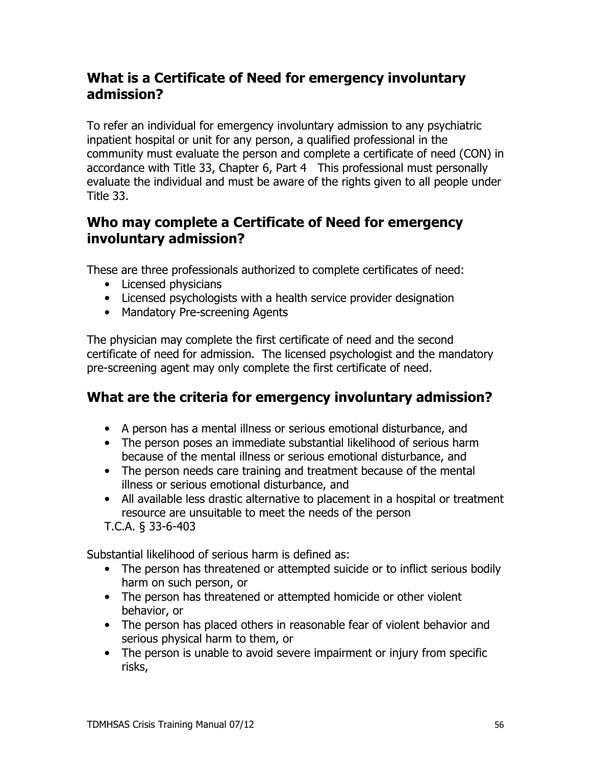# What is a Certificate of Need for emergency involuntary admission?

To refer an individual for emergency involuntary admission to any psychiatric inpatient hospital or unit for any person, a qualified professional in the community must evaluate the person and complete a certificate of need (CON) in accordance with Title 33, Chapter 6, Part 4 This professional must personally evaluate the individual and must be aware of the rights given to all people under Title 33.

## Who may complete a Certificate of Need for emergency involuntary admission?

These are three professionals authorized to complete certificates of need:

- Licensed physicians
- Licensed psychologists with a health service provider designation
- Mandatory Pre-screening Agents

The physician may complete the first certificate of need and the second certificate of need for admission. The licensed psychologist and the mandatory pre-screening agent may only complete the first certificate of need.

## What are the criteria for emergency involuntary admission?

- A person has a mental illness or serious emotional disturbance, and
- The person poses an immediate substantial likelihood of serious harm because of the mental illness or serious emotional disturbance, and
- The person needs care training and treatment because of the mental illness or serious emotional disturbance, and
- All available less drastic alternative to placement in a hospital or treatment resource are unsuitable to meet the needs of the person

T.C.A. § 33-6-403

Substantial likelihood of serious harm is defined as:

- The person has threatened or attempted suicide or to inflict serious bodily harm on such person, or
- The person has threatened or attempted homicide or other violent behavior, or
- The person has placed others in reasonable fear of violent behavior and serious physical harm to them, or
- The person is unable to avoid severe impairment or injury from specific risks,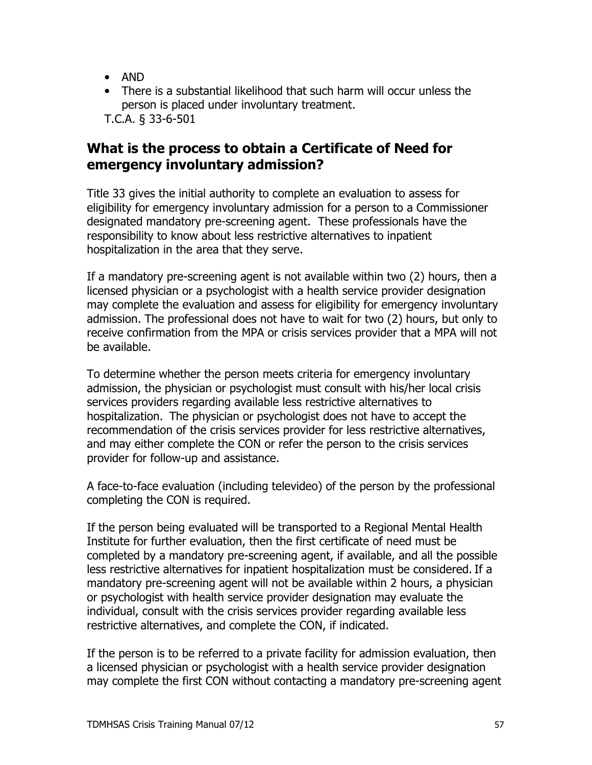- $\bullet$  AND
- There is a substantial likelihood that such harm will occur unless the person is placed under involuntary treatment. T.C.A. § 33-6-501

## What is the process to obtain a Certificate of Need for emergency involuntary admission?

Title 33 gives the initial authority to complete an evaluation to assess for eligibility for emergency involuntary admission for a person to a Commissioner designated mandatory pre-screening agent. These professionals have the responsibility to know about less restrictive alternatives to inpatient hospitalization in the area that they serve.

If a mandatory pre-screening agent is not available within two (2) hours, then a licensed physician or a psychologist with a health service provider designation may complete the evaluation and assess for eligibility for emergency involuntary admission. The professional does not have to wait for two (2) hours, but only to receive confirmation from the MPA or crisis services provider that a MPA will not be available.

To determine whether the person meets criteria for emergency involuntary admission, the physician or psychologist must consult with his/her local crisis services providers regarding available less restrictive alternatives to hospitalization. The physician or psychologist does not have to accept the recommendation of the crisis services provider for less restrictive alternatives, and may either complete the CON or refer the person to the crisis services provider for follow-up and assistance.

A face-to-face evaluation (including televideo) of the person by the professional completing the CON is required.

If the person being evaluated will be transported to a Regional Mental Health Institute for further evaluation, then the first certificate of need must be completed by a mandatory pre-screening agent, if available, and all the possible less restrictive alternatives for inpatient hospitalization must be considered. If a mandatory pre-screening agent will not be available within 2 hours, a physician or psychologist with health service provider designation may evaluate the individual, consult with the crisis services provider regarding available less restrictive alternatives, and complete the CON, if indicated.

If the person is to be referred to a private facility for admission evaluation, then a licensed physician or psychologist with a health service provider designation may complete the first CON without contacting a mandatory pre-screening agent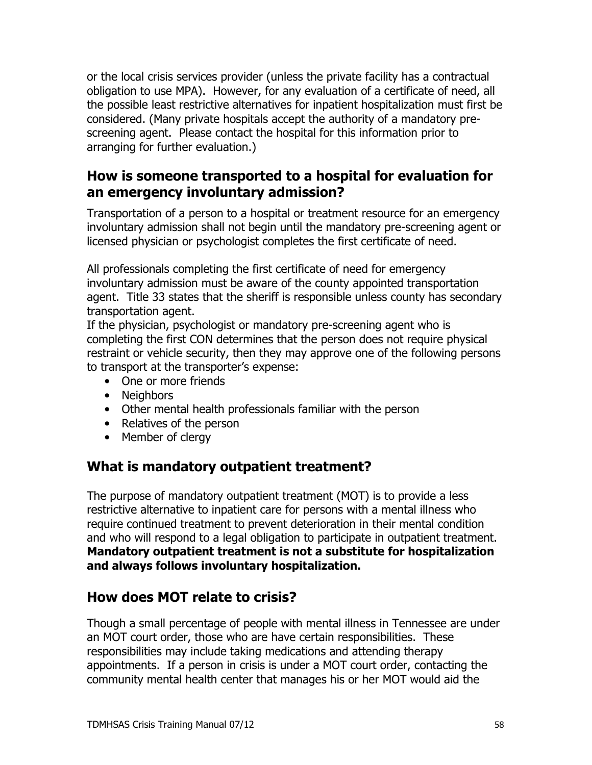or the local crisis services provider (unless the private facility has a contractual obligation to use MPA). However, for any evaluation of a certificate of need, all the possible least restrictive alternatives for inpatient hospitalization must first be considered. (Many private hospitals accept the authority of a mandatory prescreening agent. Please contact the hospital for this information prior to arranging for further evaluation.)

### How is someone transported to a hospital for evaluation for an emergency involuntary admission?

Transportation of a person to a hospital or treatment resource for an emergency involuntary admission shall not begin until the mandatory pre-screening agent or licensed physician or psychologist completes the first certificate of need.

All professionals completing the first certificate of need for emergency involuntary admission must be aware of the county appointed transportation agent. Title 33 states that the sheriff is responsible unless county has secondary transportation agent.

If the physician, psychologist or mandatory pre-screening agent who is completing the first CON determines that the person does not require physical restraint or vehicle security, then they may approve one of the following persons to transport at the transporter's expense:

- One or more friends
- Neighbors
- Other mental health professionals familiar with the person
- Relatives of the person
- Member of clergy

# What is mandatory outpatient treatment?

The purpose of mandatory outpatient treatment (MOT) is to provide a less restrictive alternative to inpatient care for persons with a mental illness who require continued treatment to prevent deterioration in their mental condition and who will respond to a legal obligation to participate in outpatient treatment. Mandatory outpatient treatment is not a substitute for hospitalization and always follows involuntary hospitalization.

# How does MOT relate to crisis?

Though a small percentage of people with mental illness in Tennessee are under an MOT court order, those who are have certain responsibilities. These responsibilities may include taking medications and attending therapy appointments. If a person in crisis is under a MOT court order, contacting the community mental health center that manages his or her MOT would aid the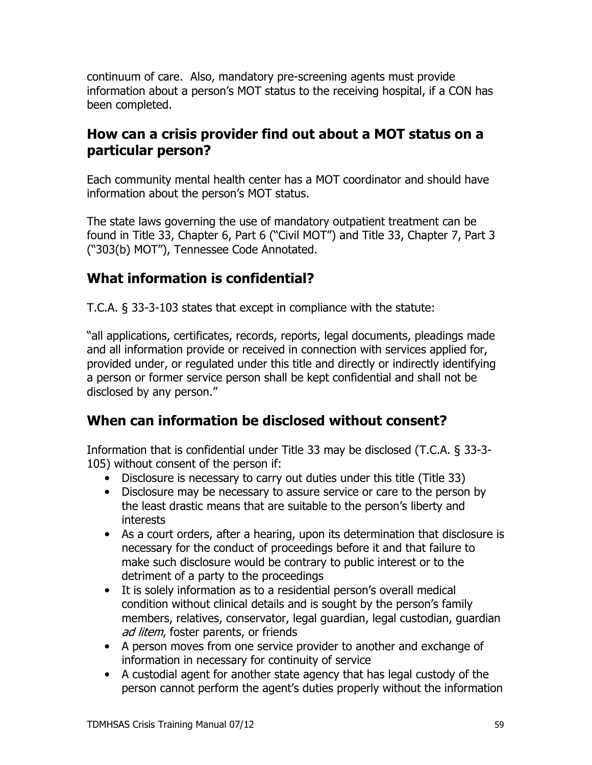continuum of care. Also, mandatory pre-screening agents must provide information about a person's MOT status to the receiving hospital, if a CON has been completed.

## How can a crisis provider find out about a MOT status on a particular person?

Each community mental health center has a MOT coordinator and should have information about the person's MOT status.

The state laws governing the use of mandatory outpatient treatment can be found in Title 33, Chapter 6, Part 6 ("Civil MOT") and Title 33, Chapter 7, Part 3 ("303(b) MOT"), Tennessee Code Annotated.

# What information is confidential?

T.C.A. § 33-3-103 states that except in compliance with the statute:

"all applications, certificates, records, reports, legal documents, pleadings made and all information provide or received in connection with services applied for, provided under, or regulated under this title and directly or indirectly identifying a person or former service person shall be kept confidential and shall not be disclosed by any person."

# When can information be disclosed without consent?

Information that is confidential under Title 33 may be disclosed (T.C.A. § 33-3-105) without consent of the person if:

- Disclosure is necessary to carry out duties under this title (Title 33)
- Disclosure may be necessary to assure service or care to the person by the least drastic means that are suitable to the person's liberty and interests
- As a court orders, after a hearing, upon its determination that disclosure is necessary for the conduct of proceedings before it and that failure to make such disclosure would be contrary to public interest or to the detriment of a party to the proceedings
- It is solely information as to a residential person's overall medical condition without clinical details and is sought by the person's family members, relatives, conservator, legal guardian, legal custodian, guardian ad litem, foster parents, or friends
- A person moves from one service provider to another and exchange of information in necessary for continuity of service
- A custodial agent for another state agency that has legal custody of the person cannot perform the agent's duties properly without the information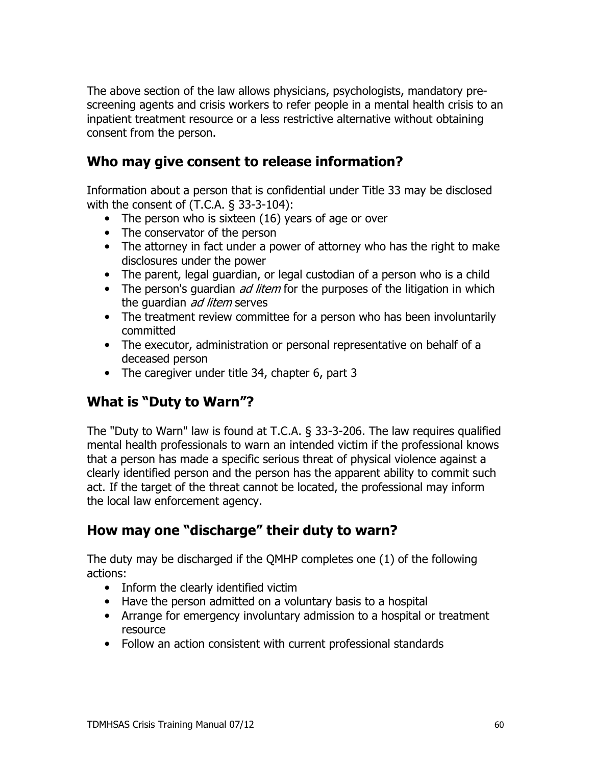The above section of the law allows physicians, psychologists, mandatory prescreening agents and crisis workers to refer people in a mental health crisis to an inpatient treatment resource or a less restrictive alternative without obtaining consent from the person.

## Who may give consent to release information?

Information about a person that is confidential under Title 33 may be disclosed with the consent of  $(T.C.A. § 33-3-104)$ :

- The person who is sixteen (16) years of age or over
- The conservator of the person
- The attorney in fact under a power of attorney who has the right to make disclosures under the power
- The parent, legal guardian, or legal custodian of a person who is a child
- The person's guardian *ad litem* for the purposes of the litigation in which the guardian ad litem serves
- The treatment review committee for a person who has been involuntarily committed
- The executor, administration or personal representative on behalf of a deceased person
- The caregiver under title 34, chapter 6, part 3

# **What is "Duty to Warn"?**

The "Duty to Warn" law is found at T.C.A. § 33-3-206. The law requires qualified mental health professionals to warn an intended victim if the professional knows that a person has made a specific serious threat of physical violence against a clearly identified person and the person has the apparent ability to commit such act. If the target of the threat cannot be located, the professional may inform the local law enforcement agency.

## How may one "discharge" their duty to warn?

The duty may be discharged if the QMHP completes one (1) of the following actions:

- Inform the clearly identified victim
- Have the person admitted on a voluntary basis to a hospital
- Arrange for emergency involuntary admission to a hospital or treatment resource
- Follow an action consistent with current professional standards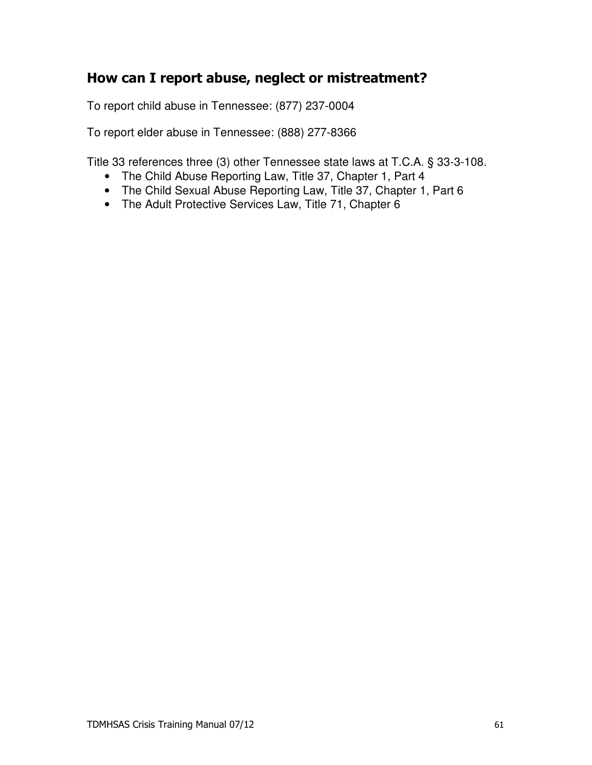## How can I report abuse, neglect or mistreatment?

To report child abuse in Tennessee: (877) 237-0004

To report elder abuse in Tennessee: (888) 277-8366

Title 33 references three (3) other Tennessee state laws at T.C.A. § 33-3-108.

- The Child Abuse Reporting Law, Title 37, Chapter 1, Part 4
- The Child Sexual Abuse Reporting Law, Title 37, Chapter 1, Part 6
- The Adult Protective Services Law, Title 71, Chapter 6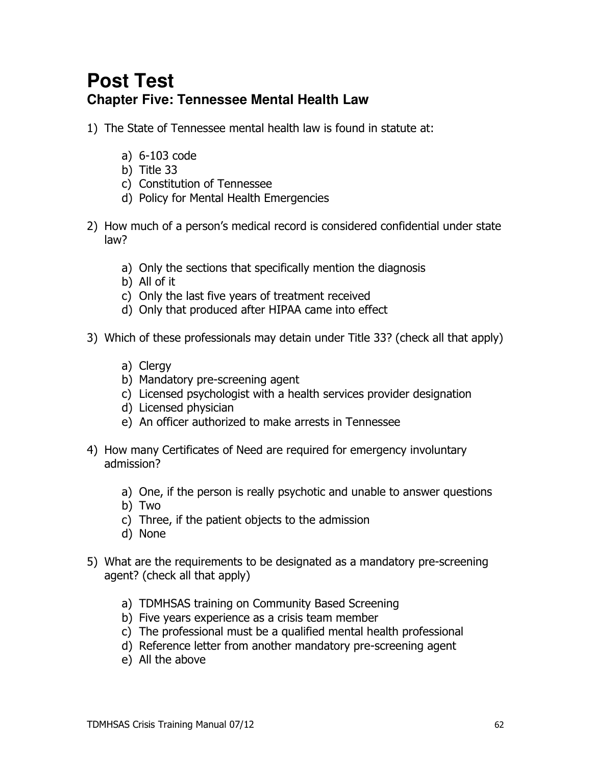# **Post Test Chapter Five: Tennessee Mental Health Law**

- 1) The State of Tennessee mental health law is found in statute at:
	- a)  $6-103$  code
	- b) Title  $33$
	- c) Constitution of Tennessee
	- d) Policy for Mental Health Emergencies
- 2) How much of a person's medical record is considered confidential under state  $law?$ 
	- a) Only the sections that specifically mention the diagnosis
	- b) All of it
	- c) Only the last five years of treatment received
	- d) Only that produced after HIPAA came into effect
- 3) Which of these professionals may detain under Title 33? (check all that apply)
	- a) Clergy
	- b) Mandatory pre-screening agent
	- c) Licensed psychologist with a health services provider designation
	- d) Licensed physician
	- e) An officer authorized to make arrests in Tennessee
- 4) How many Certificates of Need are required for emergency involuntary admission?
	- a) One, if the person is really psychotic and unable to answer questions
	- b) Two
	- c) Three, if the patient objects to the admission
	- d) None
- 5) What are the requirements to be designated as a mandatory pre-screening agent? (check all that apply)
	- a) TDMHSAS training on Community Based Screening
	- b) Five years experience as a crisis team member
	- c) The professional must be a qualified mental health professional
	- d) Reference letter from another mandatory pre-screening agent
	- e) All the above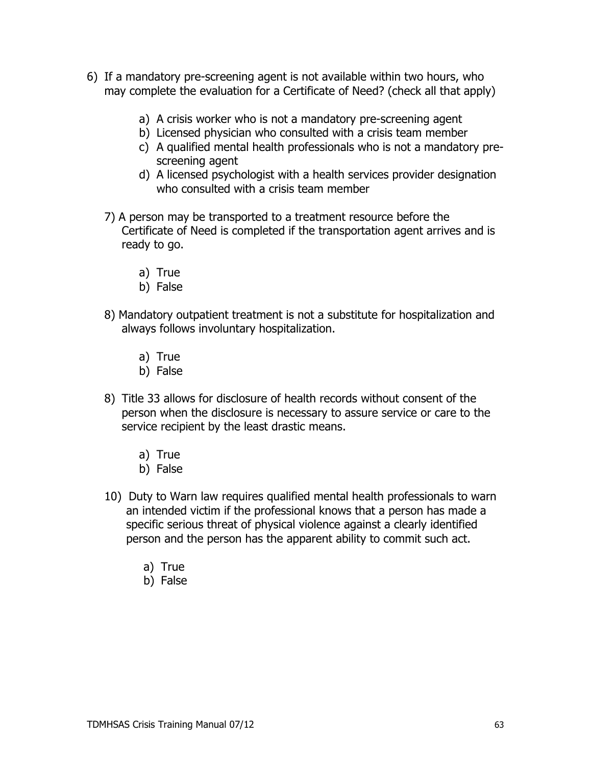- 6) If a mandatory pre-screening agent is not available within two hours, who may complete the evaluation for a Certificate of Need? (check all that apply)
	- a) A crisis worker who is not a mandatory pre-screening agent
	- b) Licensed physician who consulted with a crisis team member
	- c) A qualified mental health professionals who is not a mandatory prescreening agent
	- d) A licensed psychologist with a health services provider designation who consulted with a crisis team member
	- 7) A person may be transported to a treatment resource before the Certificate of Need is completed if the transportation agent arrives and is ready to go.
		- a) True
		- b) False
	- 8) Mandatory outpatient treatment is not a substitute for hospitalization and always follows involuntary hospitalization.
		- a) True
		- b) False
	- 8) Title 33 allows for disclosure of health records without consent of the person when the disclosure is necessary to assure service or care to the service recipient by the least drastic means.
		- a) True
		- b) False
	- 10) Duty to Warn law requires qualified mental health professionals to warn an intended victim if the professional knows that a person has made a specific serious threat of physical violence against a clearly identified person and the person has the apparent ability to commit such act.
		- a) True
		- b) False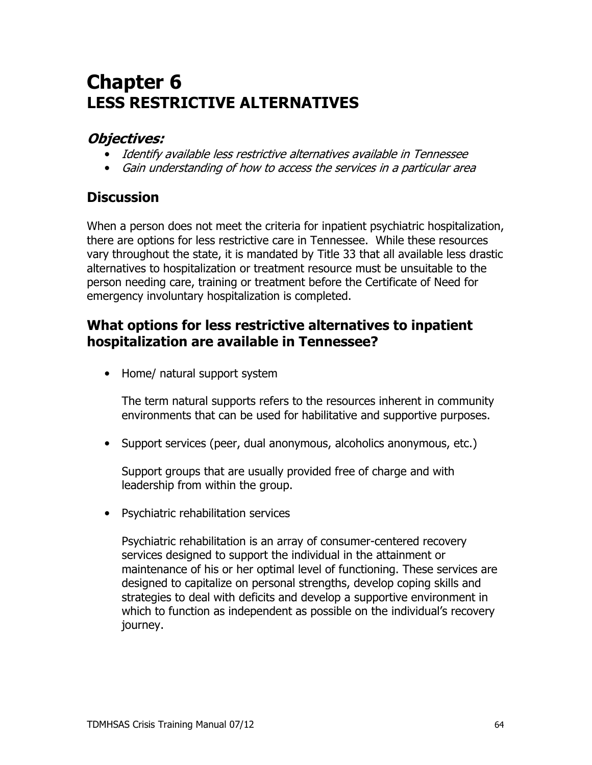# **Chapter 6 LESS RESTRICTIVE ALTERNATIVES**

## **Obiectives:**

- Identify available less restrictive alternatives available in Tennessee
- Gain understanding of how to access the services in a particular area

## **Discussion**

When a person does not meet the criteria for inpatient psychiatric hospitalization, there are options for less restrictive care in Tennessee. While these resources vary throughout the state, it is mandated by Title 33 that all available less drastic alternatives to hospitalization or treatment resource must be unsuitable to the person needing care, training or treatment before the Certificate of Need for emergency involuntary hospitalization is completed.

## What options for less restrictive alternatives to inpatient hospitalization are available in Tennessee?

• Home/ natural support system

The term natural supports refers to the resources inherent in community environments that can be used for habilitative and supportive purposes.

• Support services (peer, dual anonymous, alcoholics anonymous, etc.)

Support groups that are usually provided free of charge and with leadership from within the group.

• Psychiatric rehabilitation services

Psychiatric rehabilitation is an array of consumer-centered recovery services designed to support the individual in the attainment or maintenance of his or her optimal level of functioning. These services are designed to capitalize on personal strengths, develop coping skills and strategies to deal with deficits and develop a supportive environment in which to function as independent as possible on the individual's recovery journey.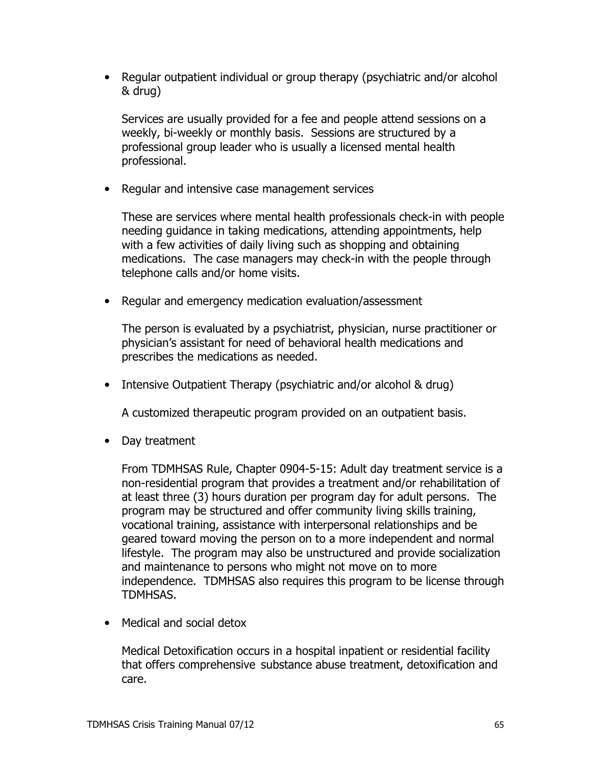• Regular outpatient individual or group therapy (psychiatric and/or alcohol & drug)

Services are usually provided for a fee and people attend sessions on a weekly, bi-weekly or monthly basis. Sessions are structured by a professional group leader who is usually a licensed mental health professional.

• Regular and intensive case management services

These are services where mental health professionals check-in with people needing quidance in taking medications, attending appointments, help with a few activities of daily living such as shopping and obtaining medications. The case managers may check-in with the people through telephone calls and/or home visits.

• Regular and emergency medication evaluation/assessment

The person is evaluated by a psychiatrist, physician, nurse practitioner or physician's assistant for need of behavioral health medications and prescribes the medications as needed.

• Intensive Outpatient Therapy (psychiatric and/or alcohol & drug)

A customized therapeutic program provided on an outpatient basis.

• Day treatment

From TDMHSAS Rule, Chapter 0904-5-15: Adult day treatment service is a non-residential program that provides a treatment and/or rehabilitation of at least three (3) hours duration per program day for adult persons. The program may be structured and offer community living skills training, vocational training, assistance with interpersonal relationships and be geared toward moving the person on to a more independent and normal lifestyle. The program may also be unstructured and provide socialization and maintenance to persons who might not move on to more independence. TDMHSAS also requires this program to be license through TDMHSAS.

• Medical and social detox

Medical Detoxification occurs in a hospital inpatient or residential facility that offers comprehensive substance abuse treatment, detoxification and care.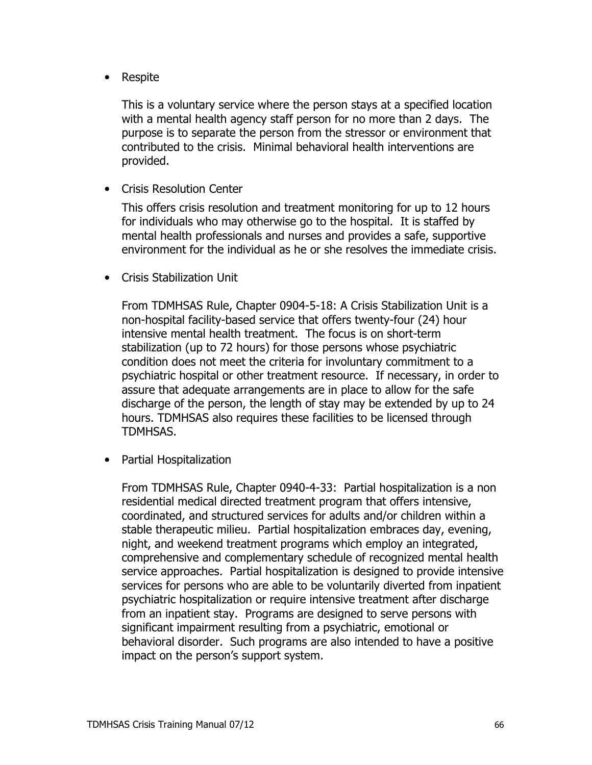• Respite

This is a voluntary service where the person stays at a specified location with a mental health agency staff person for no more than 2 days. The purpose is to separate the person from the stressor or environment that contributed to the crisis. Minimal behavioral health interventions are provided.

• Crisis Resolution Center

This offers crisis resolution and treatment monitoring for up to 12 hours for individuals who may otherwise go to the hospital. It is staffed by mental health professionals and nurses and provides a safe, supportive environment for the individual as he or she resolves the immediate crisis.

• Crisis Stabilization Unit

From TDMHSAS Rule, Chapter 0904-5-18: A Crisis Stabilization Unit is a non-hospital facility-based service that offers twenty-four (24) hour intensive mental health treatment. The focus is on short-term stabilization (up to 72 hours) for those persons whose psychiatric condition does not meet the criteria for involuntary commitment to a psychiatric hospital or other treatment resource. If necessary, in order to assure that adequate arrangements are in place to allow for the safe discharge of the person, the length of stay may be extended by up to 24 hours. TDMHSAS also requires these facilities to be licensed through TDMHSAS.

• Partial Hospitalization

From TDMHSAS Rule, Chapter 0940-4-33: Partial hospitalization is a non residential medical directed treatment program that offers intensive, coordinated, and structured services for adults and/or children within a stable therapeutic milieu. Partial hospitalization embraces day, evening, night, and weekend treatment programs which employ an integrated, comprehensive and complementary schedule of recognized mental health service approaches. Partial hospitalization is designed to provide intensive services for persons who are able to be voluntarily diverted from inpatient psychiatric hospitalization or require intensive treatment after discharge from an inpatient stay. Programs are designed to serve persons with significant impairment resulting from a psychiatric, emotional or behavioral disorder. Such programs are also intended to have a positive impact on the person's support system.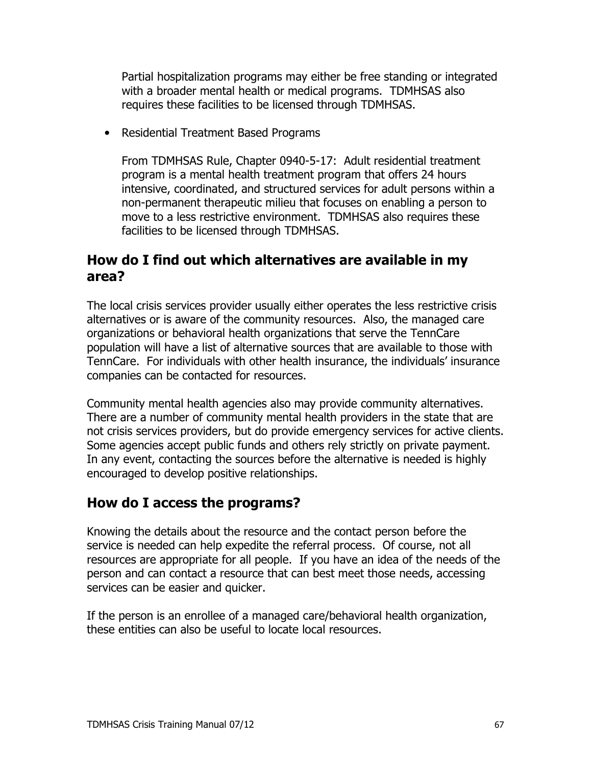Partial hospitalization programs may either be free standing or integrated with a broader mental health or medical programs. TDMHSAS also requires these facilities to be licensed through TDMHSAS.

• Residential Treatment Based Programs

From TDMHSAS Rule, Chapter 0940-5-17: Adult residential treatment program is a mental health treatment program that offers 24 hours intensive, coordinated, and structured services for adult persons within a non-permanent therapeutic milieu that focuses on enabling a person to move to a less restrictive environment. TDMHSAS also requires these facilities to be licensed through TDMHSAS.

#### How do I find out which alternatives are available in my area?

The local crisis services provider usually either operates the less restrictive crisis alternatives or is aware of the community resources. Also, the managed care organizations or behavioral health organizations that serve the TennCare population will have a list of alternative sources that are available to those with TennCare. For individuals with other health insurance, the individuals' insurance companies can be contacted for resources.

Community mental health agencies also may provide community alternatives. There are a number of community mental health providers in the state that are not crisis services providers, but do provide emergency services for active clients. Some agencies accept public funds and others rely strictly on private payment. In any event, contacting the sources before the alternative is needed is highly encouraged to develop positive relationships.

#### How do I access the programs?

Knowing the details about the resource and the contact person before the service is needed can help expedite the referral process. Of course, not all resources are appropriate for all people. If you have an idea of the needs of the person and can contact a resource that can best meet those needs, accessing services can be easier and quicker.

If the person is an enrollee of a managed care/behavioral health organization, these entities can also be useful to locate local resources.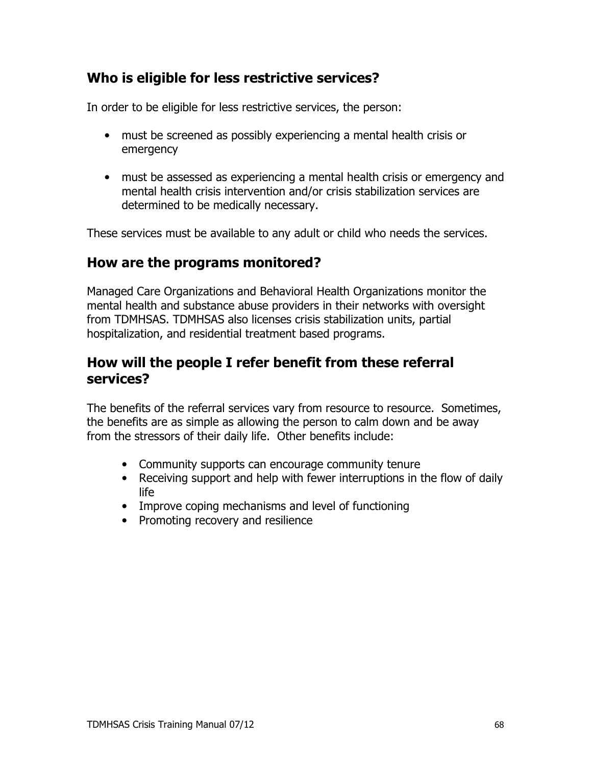# Who is eligible for less restrictive services?

In order to be eligible for less restrictive services, the person:

- must be screened as possibly experiencing a mental health crisis or emergency
- must be assessed as experiencing a mental health crisis or emergency and mental health crisis intervention and/or crisis stabilization services are determined to be medically necessary.

These services must be available to any adult or child who needs the services.

#### How are the programs monitored?

Managed Care Organizations and Behavioral Health Organizations monitor the mental health and substance abuse providers in their networks with oversight from TDMHSAS. TDMHSAS also licenses crisis stabilization units, partial hospitalization, and residential treatment based programs.

### How will the people I refer benefit from these referral services?

The benefits of the referral services vary from resource to resource. Sometimes, the benefits are as simple as allowing the person to calm down and be away from the stressors of their daily life. Other benefits include:

- Community supports can encourage community tenure
- Receiving support and help with fewer interruptions in the flow of daily life
- Improve coping mechanisms and level of functioning
- Promoting recovery and resilience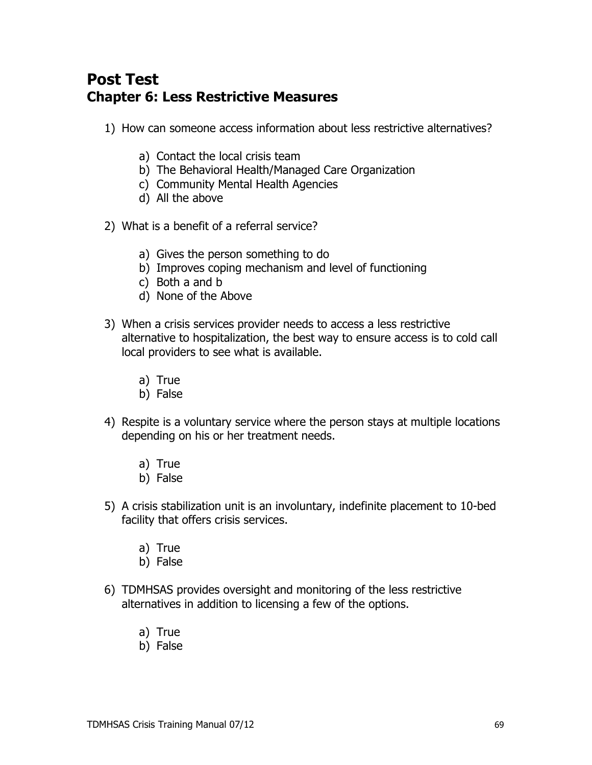# **Post Test Chapter 6: Less Restrictive Measures**

- 1) How can someone access information about less restrictive alternatives?
	- a) Contact the local crisis team
	- b) The Behavioral Health/Managed Care Organization
	- c) Community Mental Health Agencies
	- d) All the above
- 2) What is a benefit of a referral service?
	- a) Gives the person something to do
	- b) Improves coping mechanism and level of functioning
	- c) Both a and b
	- d) None of the Above
- 3) When a crisis services provider needs to access a less restrictive alternative to hospitalization, the best way to ensure access is to cold call local providers to see what is available.
	- a) True
	- b) False
- 4) Respite is a voluntary service where the person stays at multiple locations depending on his or her treatment needs.
	- a) True
	- b) False
- 5) A crisis stabilization unit is an involuntary, indefinite placement to 10-bed facility that offers crisis services.
	- a) True
	- b) False
- 6) TDMHSAS provides oversight and monitoring of the less restrictive alternatives in addition to licensing a few of the options.
	- a) True
	- b) False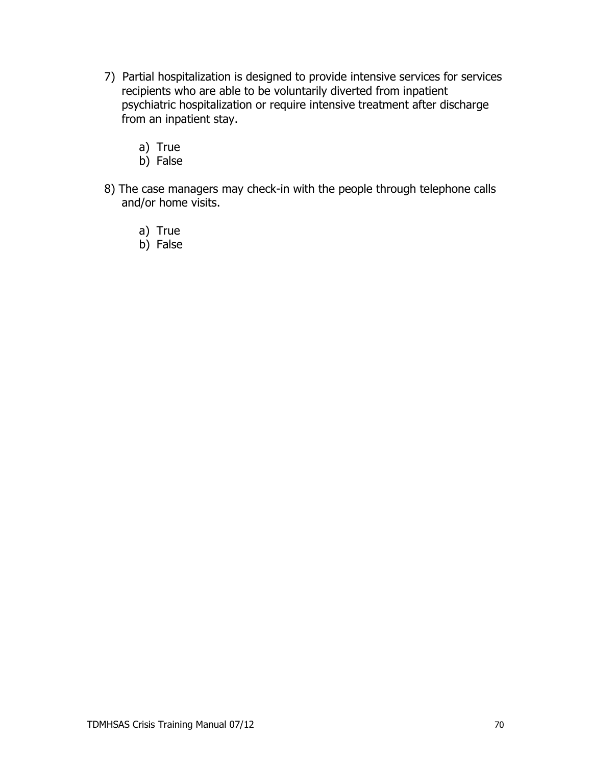- 7) Partial hospitalization is designed to provide intensive services for services recipients who are able to be voluntarily diverted from inpatient psychiatric hospitalization or require intensive treatment after discharge from an inpatient stay.
	- a) True
	- b) False
- 8) The case managers may check-in with the people through telephone calls and/or home visits.
	- a) True
	- b) False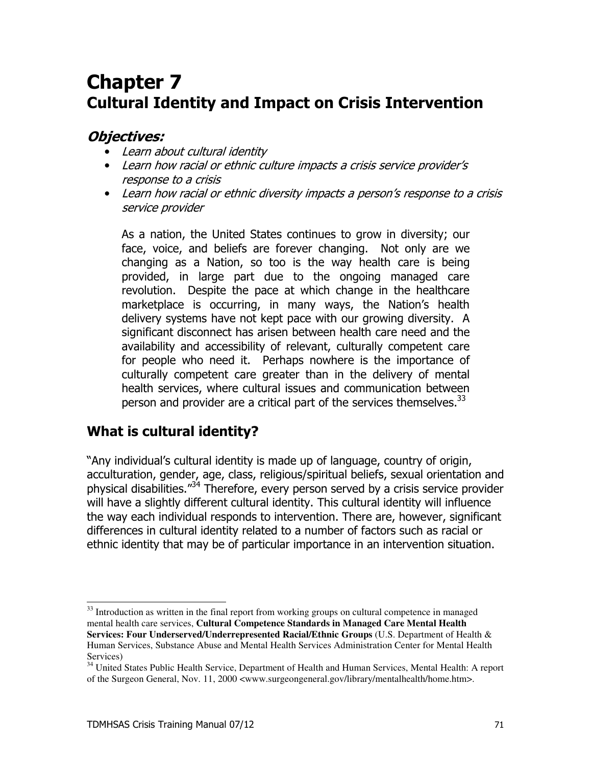# **Chapter 7 Cultural Identity and Impact on Crisis Intervention**

#### **Objectives:**

- Learn about cultural identity
- Learn how racial or ethnic culture impacts a crisis service provider's response to a crisis
- Learn how racial or ethnic diversity impacts a person's response to a crisis service provider

As a nation, the United States continues to grow in diversity; our face, voice, and beliefs are forever changing. Not only are we changing as a Nation, so too is the way health care is being provided, in large part due to the ongoing managed care revolution. Despite the pace at which change in the healthcare marketplace is occurring, in many ways, the Nation's health delivery systems have not kept pace with our growing diversity. A significant disconnect has arisen between health care need and the availability and accessibility of relevant, culturally competent care for people who need it. Perhaps nowhere is the importance of culturally competent care greater than in the delivery of mental health services, where cultural issues and communication between person and provider are a critical part of the services themselves.<sup>33</sup>

# What is cultural identity?

"Any individual's cultural identity is made up of language, country of origin, acculturation, gender, age, class, religious/spiritual beliefs, sexual orientation and physical disabilities."<sup>34</sup> Therefore, every person served by a crisis service provider will have a slightly different cultural identity. This cultural identity will influence the way each individual responds to intervention. There are, however, significant differences in cultural identity related to a number of factors such as racial or ethnic identity that may be of particular importance in an intervention situation.

<sup>&</sup>lt;sup>33</sup> Introduction as written in the final report from working groups on cultural competence in managed mental health care services, Cultural Competence Standards in Managed Care Mental Health Services: Four Underserved/Underrepresented Racial/Ethnic Groups (U.S. Department of Health & Human Services, Substance Abuse and Mental Health Services Administration Center for Mental Health Services)

<sup>&</sup>lt;sup>34</sup> United States Public Health Service, Department of Health and Human Services, Mental Health: A report of the Surgeon General, Nov. 11, 2000 <www.surgeongeneral.gov/library/mentalhealth/home.htm>.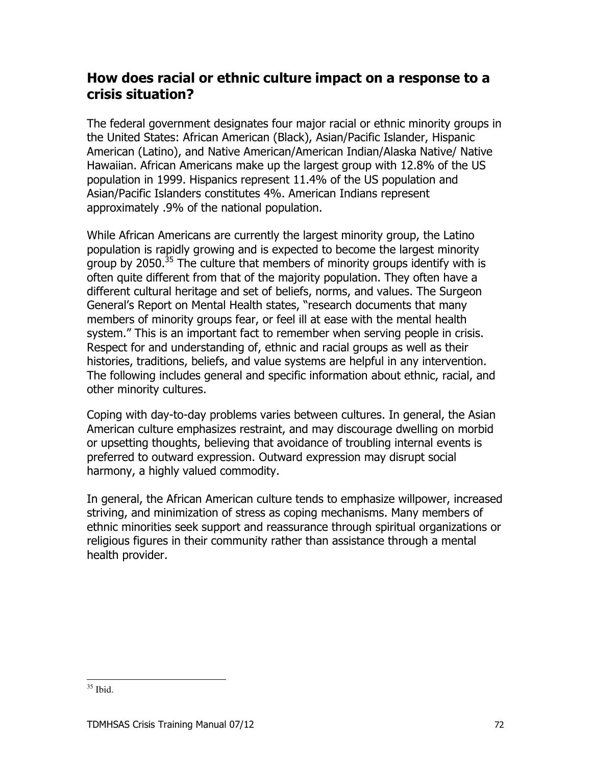## How does racial or ethnic culture impact on a response to a crisis situation?

The federal government designates four major racial or ethnic minority groups in the United States: African American (Black), Asian/Pacific Islander, Hispanic American (Latino), and Native American/American Indian/Alaska Native/ Native Hawaiian. African Americans make up the largest group with 12.8% of the US population in 1999. Hispanics represent 11.4% of the US population and Asian/Pacific Islanders constitutes 4%. American Indians represent approximately .9% of the national population.

While African Americans are currently the largest minority group, the Latino population is rapidly growing and is expected to become the largest minority aroup by 2050.<sup>35</sup> The culture that members of minority groups identify with is often quite different from that of the majority population. They often have a different cultural heritage and set of beliefs, norms, and values. The Surgeon General's Report on Mental Health states, "research documents that many members of minority groups fear, or feel ill at ease with the mental health system." This is an important fact to remember when serving people in crisis. Respect for and understanding of, ethnic and racial groups as well as their histories. traditions, beliefs, and value systems are helpful in any intervention. The following includes general and specific information about ethnic, racial, and other minority cultures.

Coping with day-to-day problems varies between cultures. In general, the Asian American culture emphasizes restraint, and may discourage dwelling on morbid or upsetting thoughts, believing that avoidance of troubling internal events is preferred to outward expression. Outward expression may disrupt social harmony, a highly valued commodity.

In general, the African American culture tends to emphasize willpower, increased striving, and minimization of stress as coping mechanisms. Many members of ethnic minorities seek support and reassurance through spiritual organizations or religious figures in their community rather than assistance through a mental health provider.

 $35$  Ibid.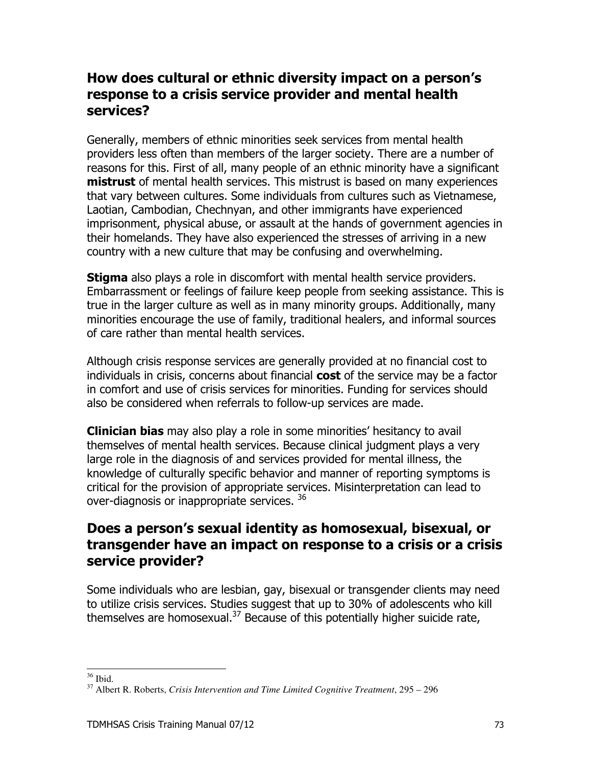## How does cultural or ethnic diversity impact on a person's response to a crisis service provider and mental health services?

Generally, members of ethnic minorities seek services from mental health providers less often than members of the larger society. There are a number of reasons for this. First of all, many people of an ethnic minority have a significant **mistrust** of mental health services. This mistrust is based on many experiences that vary between cultures. Some individuals from cultures such as Vietnamese, Laotian, Cambodian, Chechnyan, and other immigrants have experienced imprisonment, physical abuse, or assault at the hands of government agencies in their homelands. They have also experienced the stresses of arriving in a new country with a new culture that may be confusing and overwhelming.

**Stigma** also plays a role in discomfort with mental health service providers. Embarrassment or feelings of failure keep people from seeking assistance. This is true in the larger culture as well as in many minority groups. Additionally, many minorities encourage the use of family, traditional healers, and informal sources of care rather than mental health services.

Although crisis response services are generally provided at no financial cost to individuals in crisis, concerns about financial cost of the service may be a factor in comfort and use of crisis services for minorities. Funding for services should also be considered when referrals to follow-up services are made.

**Clinician bias** may also play a role in some minorities' hesitancy to avail themselves of mental health services. Because clinical judgment plays a very large role in the diagnosis of and services provided for mental illness, the knowledge of culturally specific behavior and manner of reporting symptoms is critical for the provision of appropriate services. Misinterpretation can lead to over-diagnosis or inappropriate services. 36

## Does a person's sexual identity as homosexual, bisexual, or transgender have an impact on response to a crisis or a crisis service provider?

Some individuals who are lesbian, gay, bisexual or transgender clients may need to utilize crisis services. Studies suggest that up to 30% of adolescents who kill themselves are homosexual.<sup>37</sup> Because of this potentially higher suicide rate,

 $36$  Ibid.

 $37$  Albert R. Roberts, Crisis Intervention and Time Limited Cognitive Treatment, 295 – 296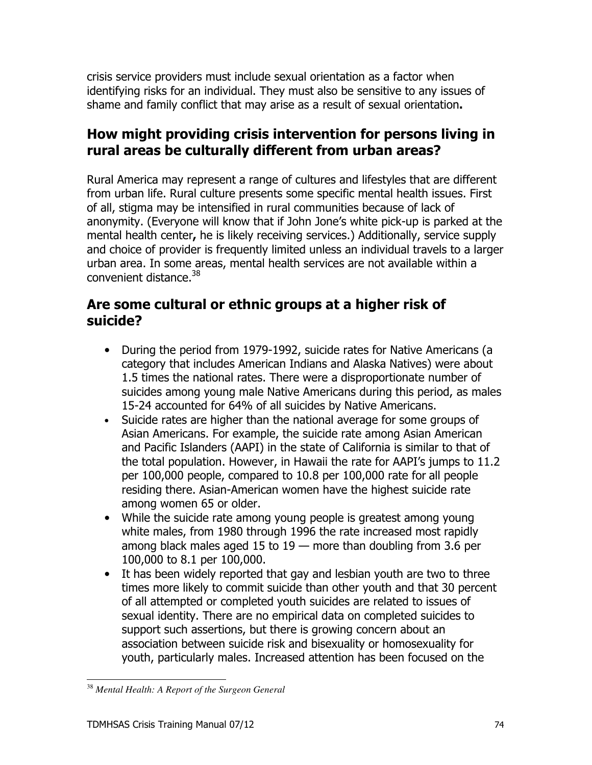crisis service providers must include sexual orientation as a factor when identifying risks for an individual. They must also be sensitive to any issues of shame and family conflict that may arise as a result of sexual orientation.

## How might providing crisis intervention for persons living in rural areas be culturally different from urban areas?

Rural America may represent a range of cultures and lifestyles that are different from urban life. Rural culture presents some specific mental health issues. First of all, stigma may be intensified in rural communities because of lack of anonymity. (Everyone will know that if John Jone's white pick-up is parked at the mental health center, he is likely receiving services.) Additionally, service supply and choice of provider is frequently limited unless an individual travels to a larger urban area. In some areas, mental health services are not available within a convenient distance.<sup>38</sup>

## Are some cultural or ethnic groups at a higher risk of suicide?

- During the period from 1979-1992, suicide rates for Native Americans (a category that includes American Indians and Alaska Natives) were about 1.5 times the national rates. There were a disproportionate number of suicides among young male Native Americans during this period, as males 15-24 accounted for 64% of all suicides by Native Americans.
- Suicide rates are higher than the national average for some groups of Asian Americans. For example, the suicide rate among Asian American and Pacific Islanders (AAPI) in the state of California is similar to that of the total population. However, in Hawaii the rate for AAPI's jumps to 11.2 per 100,000 people, compared to 10.8 per 100,000 rate for all people residing there. Asian-American women have the highest suicide rate among women 65 or older.
- While the suicide rate among young people is greatest among young white males, from 1980 through 1996 the rate increased most rapidly among black males aged 15 to  $19$  – more than doubling from 3.6 per 100,000 to 8.1 per 100,000.
- It has been widely reported that gay and lesbian youth are two to three times more likely to commit suicide than other youth and that 30 percent of all attempted or completed youth suicides are related to issues of sexual identity. There are no empirical data on completed suicides to support such assertions, but there is growing concern about an association between suicide risk and bisexuality or homosexuality for youth, particularly males. Increased attention has been focused on the

<sup>&</sup>lt;sup>38</sup> Mental Health: A Report of the Surgeon General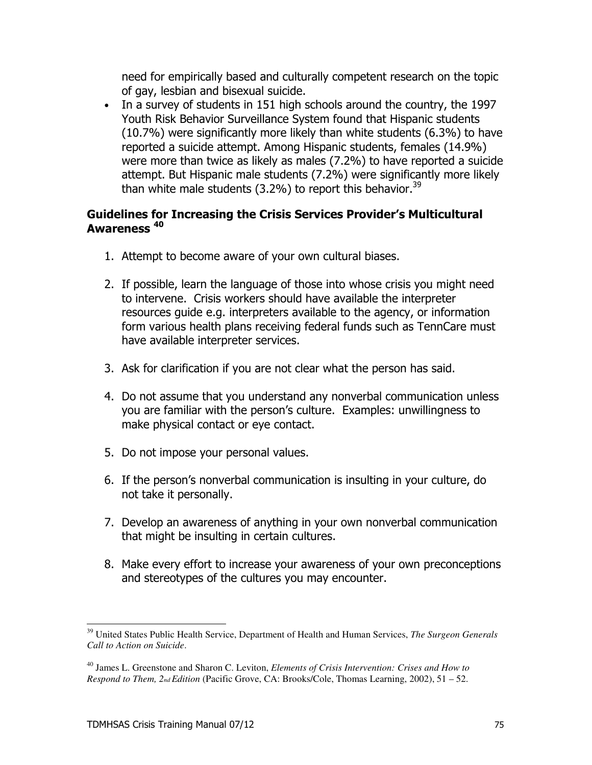need for empirically based and culturally competent research on the topic of gay, lesbian and bisexual suicide.

• In a survey of students in 151 high schools around the country, the 1997 Youth Risk Behavior Surveillance System found that Hispanic students (10.7%) were significantly more likely than white students (6.3%) to have reported a suicide attempt. Among Hispanic students, females (14.9%) were more than twice as likely as males (7.2%) to have reported a suicide attempt. But Hispanic male students (7.2%) were significantly more likely than white male students  $(3.2\%)$  to report this behavior.<sup>39</sup>

#### **Guidelines for Increasing the Crisis Services Provider's Multicultural Awareness** <sup>40</sup>

- 1. Attempt to become aware of your own cultural biases.
- 2. If possible, learn the language of those into whose crisis you might need to intervene. Crisis workers should have available the interpreter resources quide e.g. interpreters available to the agency, or information form various health plans receiving federal funds such as TennCare must have available interpreter services.
- 3. Ask for clarification if you are not clear what the person has said.
- 4. Do not assume that you understand any nonverbal communication unless you are familiar with the person's culture. Examples: unwillingness to make physical contact or eye contact.
- 5. Do not impose your personal values.
- 6. If the person's nonverbal communication is insulting in your culture, do not take it personally.
- 7. Develop an awareness of anything in your own nonverbal communication that might be insulting in certain cultures.
- 8. Make every effort to increase your awareness of your own preconceptions and stereotypes of the cultures you may encounter.

<sup>&</sup>lt;sup>39</sup> United States Public Health Service, Department of Health and Human Services, The Surgeon Generals Call to Action on Suicide

 $^{40}$  James L. Greenstone and Sharon C. Leviton, *Elements of Crisis Intervention: Crises and How to Respond to Them,*  $2_{nd}$  *Edition* (Pacific Grove, CA: Brooks/Cole, Thomas Learning, 2002), 51 – 52.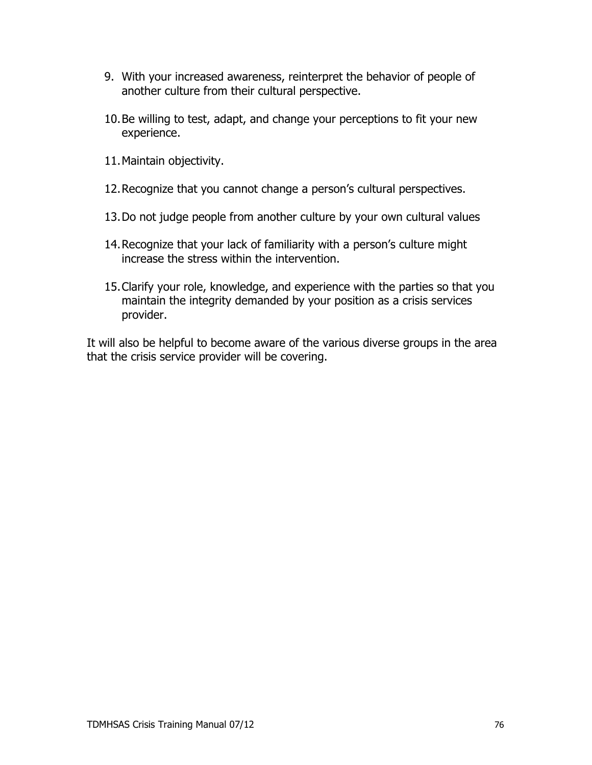- 9. With your increased awareness, reinterpret the behavior of people of another culture from their cultural perspective.
- 10. Be willing to test, adapt, and change your perceptions to fit your new experience.
- 11. Maintain objectivity.
- 12. Recognize that you cannot change a person's cultural perspectives.
- 13. Do not judge people from another culture by your own cultural values
- 14. Recognize that your lack of familiarity with a person's culture might increase the stress within the intervention.
- 15. Clarify your role, knowledge, and experience with the parties so that you maintain the integrity demanded by your position as a crisis services provider.

It will also be helpful to become aware of the various diverse groups in the area that the crisis service provider will be covering.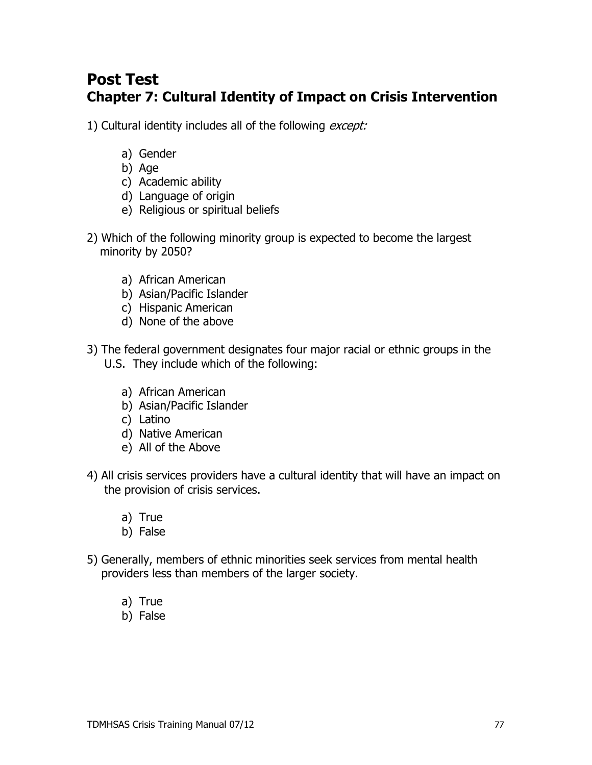## **Post Test Chapter 7: Cultural Identity of Impact on Crisis Intervention**

1) Cultural identity includes all of the following except:

- a) Gender
- b) Age
- c) Academic ability
- d) Language of origin
- e) Religious or spiritual beliefs
- 2) Which of the following minority group is expected to become the largest minority by 2050?
	- a) African American
	- b) Asian/Pacific Islander
	- c) Hispanic American
	- d) None of the above
- 3) The federal government designates four major racial or ethnic groups in the U.S. They include which of the following:
	- a) African American
	- b) Asian/Pacific Islander
	- c) Latino
	- d) Native American
	- e) All of the Above
- 4) All crisis services providers have a cultural identity that will have an impact on the provision of crisis services.
	- a) True
	- b) False
- 5) Generally, members of ethnic minorities seek services from mental health providers less than members of the larger society.
	- a) True
	- b) False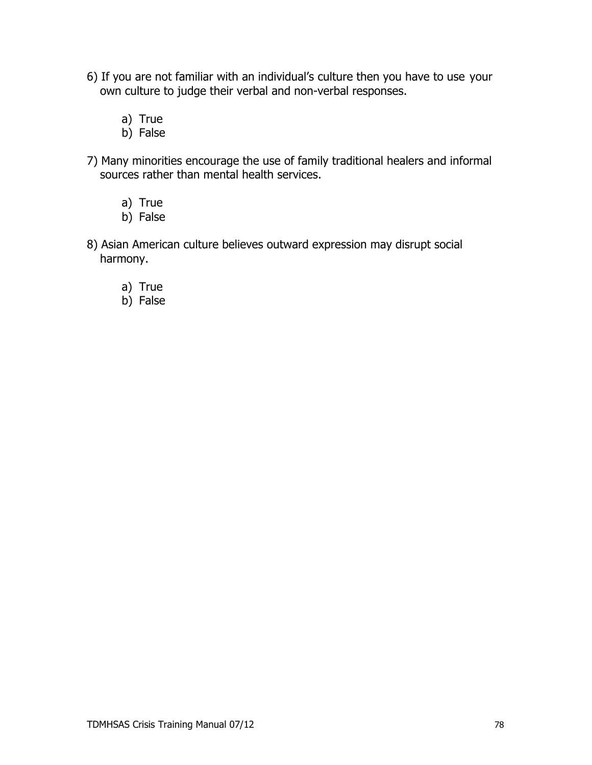- 6) If you are not familiar with an individual's culture then you have to use your own culture to judge their verbal and non-verbal responses.
	- a) True
	- b) False
- 7) Many minorities encourage the use of family traditional healers and informal sources rather than mental health services.
	- a) True
	- b) False
- 8) Asian American culture believes outward expression may disrupt social harmony.
	- a) True
	- b) False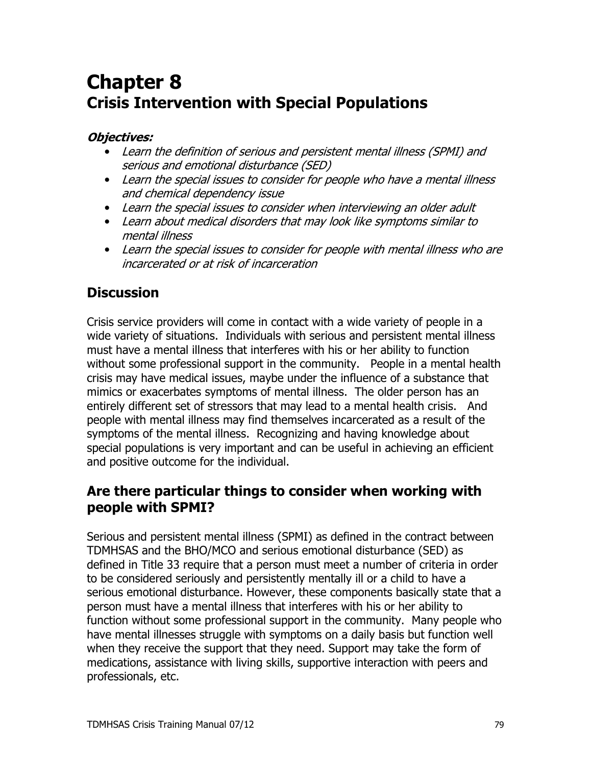# **Chapter 8 Crisis Intervention with Special Populations**

#### **Objectives:**

- Learn the definition of serious and persistent mental illness (SPMI) and serious and emotional disturbance (SED)
- Learn the special issues to consider for people who have a mental illness and chemical dependency issue
- Learn the special issues to consider when interviewing an older adult
- Learn about medical disorders that may look like symptoms similar to mental illness
- Learn the special issues to consider for people with mental illness who are incarcerated or at risk of incarceration

## **Discussion**

Crisis service providers will come in contact with a wide variety of people in a wide variety of situations. Individuals with serious and persistent mental illness must have a mental illness that interferes with his or her ability to function without some professional support in the community. People in a mental health crisis may have medical issues, maybe under the influence of a substance that mimics or exacerbates symptoms of mental illness. The older person has an entirely different set of stressors that may lead to a mental health crisis. And people with mental illness may find themselves incarcerated as a result of the symptoms of the mental illness. Recognizing and having knowledge about special populations is very important and can be useful in achieving an efficient and positive outcome for the individual.

### Are there particular things to consider when working with people with SPMI?

Serious and persistent mental illness (SPMI) as defined in the contract between TDMHSAS and the BHO/MCO and serious emotional disturbance (SED) as defined in Title 33 require that a person must meet a number of criteria in order to be considered seriously and persistently mentally ill or a child to have a serious emotional disturbance. However, these components basically state that a person must have a mental illness that interferes with his or her ability to function without some professional support in the community. Many people who have mental illnesses struggle with symptoms on a daily basis but function well when they receive the support that they need. Support may take the form of medications, assistance with living skills, supportive interaction with peers and professionals, etc.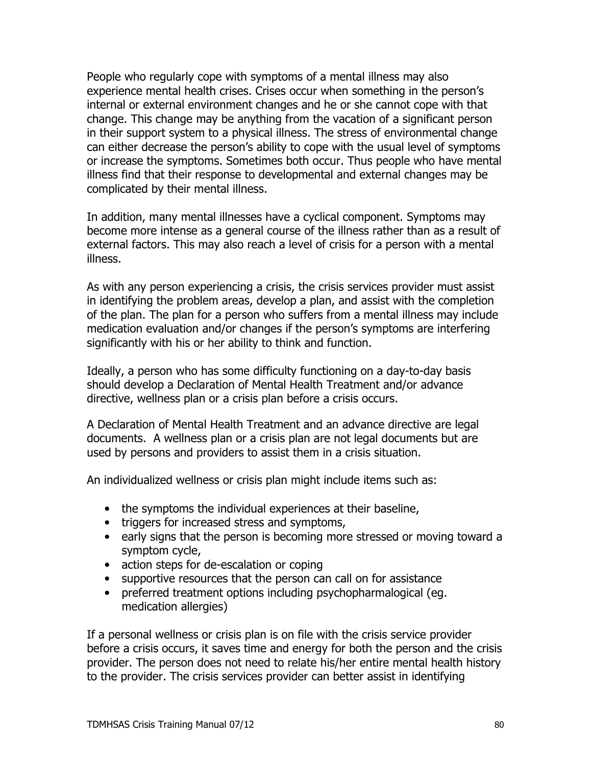People who regularly cope with symptoms of a mental illness may also experience mental health crises. Crises occur when something in the person's internal or external environment changes and he or she cannot cope with that change. This change may be anything from the vacation of a significant person in their support system to a physical illness. The stress of environmental change can either decrease the person's ability to cope with the usual level of symptoms or increase the symptoms. Sometimes both occur. Thus people who have mental illness find that their response to developmental and external changes may be complicated by their mental illness.

In addition, many mental illnesses have a cyclical component. Symptoms may become more intense as a general course of the illness rather than as a result of external factors. This may also reach a level of crisis for a person with a mental illness.

As with any person experiencing a crisis, the crisis services provider must assist in identifying the problem areas, develop a plan, and assist with the completion of the plan. The plan for a person who suffers from a mental illness may include medication evaluation and/or changes if the person's symptoms are interfering significantly with his or her ability to think and function.

Ideally, a person who has some difficulty functioning on a day-to-day basis should develop a Declaration of Mental Health Treatment and/or advance directive, wellness plan or a crisis plan before a crisis occurs.

A Declaration of Mental Health Treatment and an advance directive are legal documents. A wellness plan or a crisis plan are not legal documents but are used by persons and providers to assist them in a crisis situation.

An individualized wellness or crisis plan might include items such as:

- the symptoms the individual experiences at their baseline,
- triggers for increased stress and symptoms,
- early signs that the person is becoming more stressed or moving toward a symptom cycle,
- action steps for de-escalation or coping
- supportive resources that the person can call on for assistance
- preferred treatment options including psychopharmalogical (eg. medication allergies)

If a personal wellness or crisis plan is on file with the crisis service provider before a crisis occurs, it saves time and energy for both the person and the crisis provider. The person does not need to relate his/her entire mental health history to the provider. The crisis services provider can better assist in identifying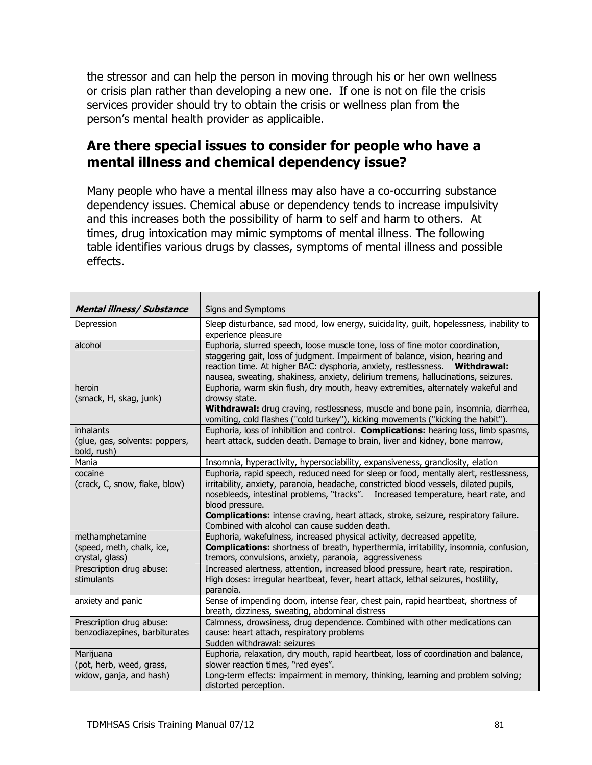the stressor and can help the person in moving through his or her own wellness or crisis plan rather than developing a new one. If one is not on file the crisis services provider should try to obtain the crisis or wellness plan from the person's mental health provider as applicaible.

#### Are there special issues to consider for people who have a mental illness and chemical dependency issue?

Many people who have a mental illness may also have a co-occurring substance dependency issues. Chemical abuse or dependency tends to increase impulsivity and this increases both the possibility of harm to self and harm to others. At times, drug intoxication may mimic symptoms of mental illness. The following table identifies various drugs by classes, symptoms of mental illness and possible effects.

| <b>Mental illness/ Substance</b>                                 | Signs and Symptoms                                                                                                                                                                                                                                                                                                                                                                                                                     |
|------------------------------------------------------------------|----------------------------------------------------------------------------------------------------------------------------------------------------------------------------------------------------------------------------------------------------------------------------------------------------------------------------------------------------------------------------------------------------------------------------------------|
| Depression                                                       | Sleep disturbance, sad mood, low energy, suicidality, guilt, hopelessness, inability to<br>experience pleasure                                                                                                                                                                                                                                                                                                                         |
| alcohol                                                          | Euphoria, slurred speech, loose muscle tone, loss of fine motor coordination,<br>staggering gait, loss of judgment. Impairment of balance, vision, hearing and<br>reaction time. At higher BAC: dysphoria, anxiety, restlessness.  Withdrawal:<br>nausea, sweating, shakiness, anxiety, delirium tremens, hallucinations, seizures.                                                                                                    |
| heroin<br>(smack, H, skag, junk)                                 | Euphoria, warm skin flush, dry mouth, heavy extremities, alternately wakeful and<br>drowsy state.<br>Withdrawal: drug craving, restlessness, muscle and bone pain, insomnia, diarrhea,<br>vomiting, cold flashes ("cold turkey"), kicking movements ("kicking the habit").                                                                                                                                                             |
| inhalants<br>(glue, gas, solvents: poppers,<br>bold, rush)       | Euphoria, loss of inhibition and control. Complications: hearing loss, limb spasms,<br>heart attack, sudden death. Damage to brain, liver and kidney, bone marrow,                                                                                                                                                                                                                                                                     |
| Mania                                                            | Insomnia, hyperactivity, hypersociability, expansiveness, grandiosity, elation                                                                                                                                                                                                                                                                                                                                                         |
| cocaine<br>(crack, C, snow, flake, blow)                         | Euphoria, rapid speech, reduced need for sleep or food, mentally alert, restlessness,<br>irritability, anxiety, paranoia, headache, constricted blood vessels, dilated pupils,<br>nosebleeds, intestinal problems, "tracks".  Increased temperature, heart rate, and<br>blood pressure.<br><b>Complications:</b> intense craving, heart attack, stroke, seizure, respiratory failure.<br>Combined with alcohol can cause sudden death. |
| methamphetamine<br>(speed, meth, chalk, ice,<br>crystal, glass)  | Euphoria, wakefulness, increased physical activity, decreased appetite,<br><b>Complications:</b> shortness of breath, hyperthermia, irritability, insomnia, confusion,<br>tremors, convulsions, anxiety, paranoia, aggressiveness                                                                                                                                                                                                      |
| Prescription drug abuse:<br>stimulants                           | Increased alertness, attention, increased blood pressure, heart rate, respiration.<br>High doses: irregular heartbeat, fever, heart attack, lethal seizures, hostility,<br>paranoia.                                                                                                                                                                                                                                                   |
| anxiety and panic                                                | Sense of impending doom, intense fear, chest pain, rapid heartbeat, shortness of<br>breath, dizziness, sweating, abdominal distress                                                                                                                                                                                                                                                                                                    |
| Prescription drug abuse:<br>benzodiazepines, barbiturates        | Calmness, drowsiness, drug dependence. Combined with other medications can<br>cause: heart attach, respiratory problems<br>Sudden withdrawal: seizures                                                                                                                                                                                                                                                                                 |
| Marijuana<br>(pot, herb, weed, grass,<br>widow, ganja, and hash) | Euphoria, relaxation, dry mouth, rapid heartbeat, loss of coordination and balance,<br>slower reaction times, "red eyes".<br>Long-term effects: impairment in memory, thinking, learning and problem solving;<br>distorted perception.                                                                                                                                                                                                 |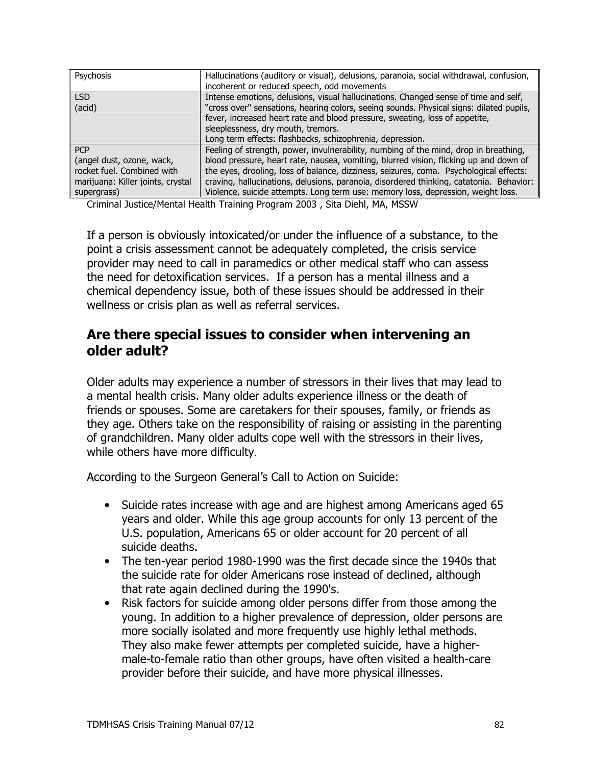| Psychosis                         | Hallucinations (auditory or visual), delusions, paranoia, social withdrawal, confusion,<br>incoherent or reduced speech, odd movements |
|-----------------------------------|----------------------------------------------------------------------------------------------------------------------------------------|
| LSD.                              | Intense emotions, delusions, visual hallucinations. Changed sense of time and self,                                                    |
| (acid)                            | "cross over" sensations, hearing colors, seeing sounds. Physical signs: dilated pupils,                                                |
|                                   | fever, increased heart rate and blood pressure, sweating, loss of appetite,                                                            |
|                                   | sleeplessness, dry mouth, tremors.                                                                                                     |
|                                   | Long term effects: flashbacks, schizophrenia, depression.                                                                              |
| <b>PCP</b>                        | Feeling of strength, power, invulnerability, numbing of the mind, drop in breathing,                                                   |
| (angel dust, ozone, wack,         | blood pressure, heart rate, nausea, vomiting, blurred vision, flicking up and down of                                                  |
| rocket fuel. Combined with        | the eyes, drooling, loss of balance, dizziness, seizures, coma. Psychological effects:                                                 |
| marijuana: Killer joints, crystal | craving, hallucinations, delusions, paranoia, disordered thinking, catatonia. Behavior:                                                |
| supergrass)                       | Violence, suicide attempts. Long term use: memory loss, depression, weight loss.                                                       |

Criminal Justice/Mental Health Training Program 2003, Sita Diehl, MA, MSSW

If a person is obviously intoxicated/or under the influence of a substance, to the point a crisis assessment cannot be adequately completed, the crisis service provider may need to call in paramedics or other medical staff who can assess the need for detoxification services. If a person has a mental illness and a chemical dependency issue, both of these issues should be addressed in their wellness or crisis plan as well as referral services.

### Are there special issues to consider when intervening an older adult?

Older adults may experience a number of stressors in their lives that may lead to a mental health crisis. Many older adults experience illness or the death of friends or spouses. Some are caretakers for their spouses, family, or friends as they age. Others take on the responsibility of raising or assisting in the parenting of grandchildren. Many older adults cope well with the stressors in their lives, while others have more difficulty.

According to the Surgeon General's Call to Action on Suicide:

- Suicide rates increase with age and are highest among Americans aged 65 years and older. While this age group accounts for only 13 percent of the U.S. population, Americans 65 or older account for 20 percent of all suicide deaths.
- The ten-year period 1980-1990 was the first decade since the 1940s that the suicide rate for older Americans rose instead of declined, although that rate again declined during the 1990's.
- Risk factors for suicide among older persons differ from those among the young. In addition to a higher prevalence of depression, older persons are more socially isolated and more frequently use highly lethal methods. They also make fewer attempts per completed suicide, have a highermale-to-female ratio than other groups, have often visited a health-care provider before their suicide, and have more physical illnesses.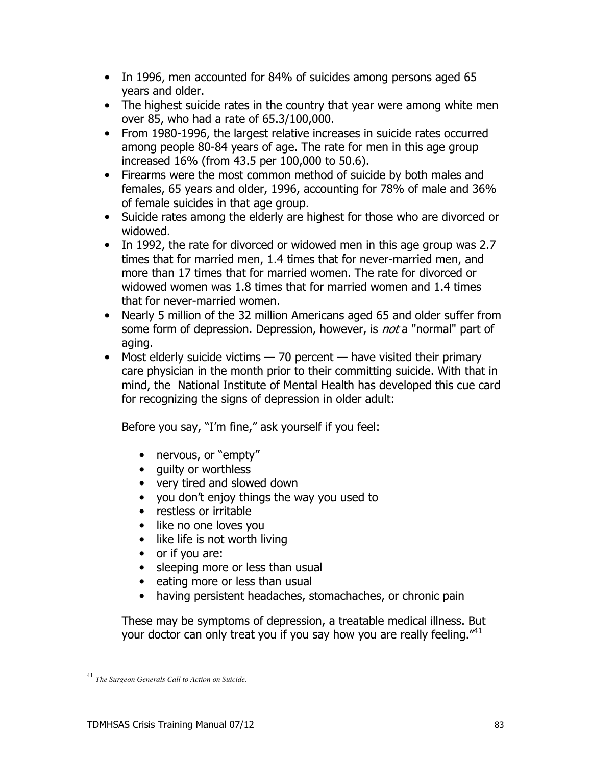- In 1996, men accounted for 84% of suicides among persons aged 65 years and older.
- The highest suicide rates in the country that year were among white men over 85, who had a rate of 65.3/100,000.
- From 1980-1996, the largest relative increases in suicide rates occurred among people 80-84 years of age. The rate for men in this age group increased 16% (from 43.5 per 100,000 to 50.6).
- Firearms were the most common method of suicide by both males and females, 65 years and older, 1996, accounting for 78% of male and 36% of female suicides in that age group.
- Suicide rates among the elderly are highest for those who are divorced or widowed.
- In 1992, the rate for divorced or widowed men in this age group was 2.7 times that for married men, 1.4 times that for never-married men, and more than 17 times that for married women. The rate for divorced or widowed women was 1.8 times that for married women and 1.4 times that for never-married women.
- Nearly 5 million of the 32 million Americans aged 65 and older suffer from some form of depression. Depression, however, is *not* a "normal" part of aging.
- Most elderly suicide victims  $-70$  percent  $-$  have visited their primary care physician in the month prior to their committing suicide. With that in mind, the National Institute of Mental Health has developed this cue card for recognizing the signs of depression in older adult:

Before you say, "I'm fine," ask yourself if you feel:

- nervous, or "empty"
- quilty or worthless
- very tired and slowed down
- you don't enjoy things the way you used to
- restless or irritable
- like no one loves you
- like life is not worth living
- $\bullet$  or if you are:
- sleeping more or less than usual
- eating more or less than usual
- having persistent headaches, stomachaches, or chronic pain

These may be symptoms of depression, a treatable medical illness. But your doctor can only treat you if you say how you are really feeling."<sup>41</sup>

<sup>&</sup>lt;sup>41</sup> The Surgeon Generals Call to Action on Suicide.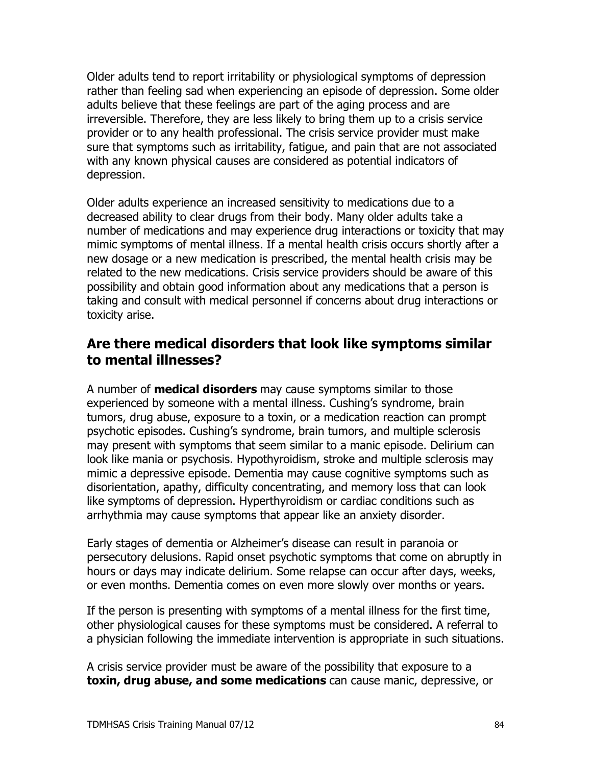Older adults tend to report irritability or physiological symptoms of depression rather than feeling sad when experiencing an episode of depression. Some older adults believe that these feelings are part of the aging process and are irreversible. Therefore, they are less likely to bring them up to a crisis service provider or to any health professional. The crisis service provider must make sure that symptoms such as irritability, fatique, and pain that are not associated with any known physical causes are considered as potential indicators of depression.

Older adults experience an increased sensitivity to medications due to a decreased ability to clear drugs from their body. Many older adults take a number of medications and may experience drug interactions or toxicity that may mimic symptoms of mental illness. If a mental health crisis occurs shortly after a new dosage or a new medication is prescribed, the mental health crisis may be related to the new medications. Crisis service providers should be aware of this possibility and obtain good information about any medications that a person is taking and consult with medical personnel if concerns about drug interactions or toxicity arise.

#### Are there medical disorders that look like symptoms similar to mental illnesses?

A number of **medical disorders** may cause symptoms similar to those experienced by someone with a mental illness. Cushing's syndrome, brain tumors, drug abuse, exposure to a toxin, or a medication reaction can prompt psychotic episodes. Cushing's syndrome, brain tumors, and multiple sclerosis may present with symptoms that seem similar to a manic episode. Delirium can look like mania or psychosis. Hypothyroidism, stroke and multiple sclerosis may mimic a depressive episode. Dementia may cause cognitive symptoms such as disorientation, apathy, difficulty concentrating, and memory loss that can look like symptoms of depression. Hyperthyroidism or cardiac conditions such as arrhythmia may cause symptoms that appear like an anxiety disorder.

Early stages of dementia or Alzheimer's disease can result in paranoia or persecutory delusions. Rapid onset psychotic symptoms that come on abruptly in hours or days may indicate delirium. Some relapse can occur after days, weeks, or even months. Dementia comes on even more slowly over months or years.

If the person is presenting with symptoms of a mental illness for the first time, other physiological causes for these symptoms must be considered. A referral to a physician following the immediate intervention is appropriate in such situations.

A crisis service provider must be aware of the possibility that exposure to a toxin, drug abuse, and some medications can cause manic, depressive, or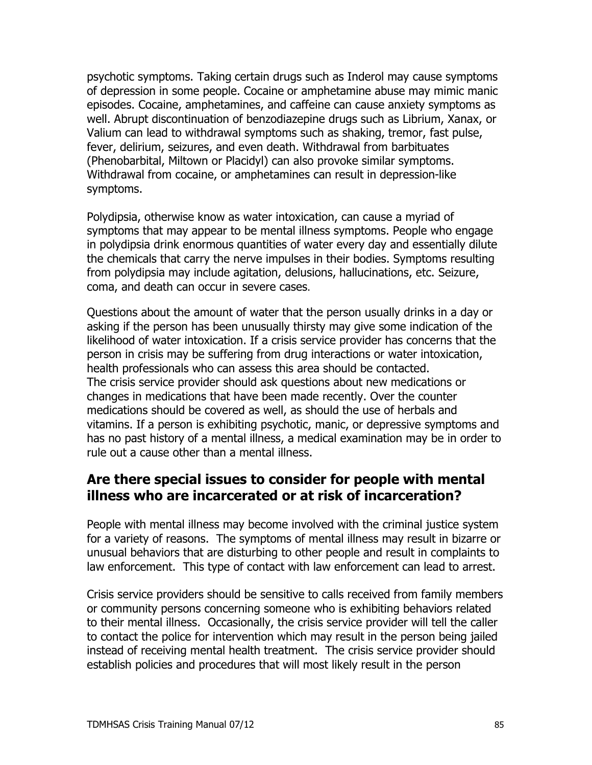psychotic symptoms. Taking certain drugs such as Inderol may cause symptoms of depression in some people. Cocaine or amphetamine abuse may mimic manic episodes. Cocaine, amphetamines, and caffeine can cause anxiety symptoms as well. Abrupt discontinuation of benzodiazepine drugs such as Librium, Xanax, or Valium can lead to withdrawal symptoms such as shaking, tremor, fast pulse, fever, delirium, seizures, and even death. Withdrawal from barbituates (Phenobarbital, Miltown or Placidyl) can also provoke similar symptoms. Withdrawal from cocaine, or amphetamines can result in depression-like symptoms.

Polydipsia, otherwise know as water intoxication, can cause a myriad of symptoms that may appear to be mental illness symptoms. People who engage in polydipsia drink enormous quantities of water every day and essentially dilute the chemicals that carry the nerve impulses in their bodies. Symptoms resulting from polydipsia may include agitation, delusions, hallucinations, etc. Seizure, coma, and death can occur in severe cases.

Questions about the amount of water that the person usually drinks in a day or asking if the person has been unusually thirsty may give some indication of the likelihood of water intoxication. If a crisis service provider has concerns that the person in crisis may be suffering from drug interactions or water intoxication, health professionals who can assess this area should be contacted. The crisis service provider should ask questions about new medications or changes in medications that have been made recently. Over the counter medications should be covered as well, as should the use of herbals and vitamins. If a person is exhibiting psychotic, manic, or depressive symptoms and has no past history of a mental illness, a medical examination may be in order to rule out a cause other than a mental illness.

### Are there special issues to consider for people with mental illness who are incarcerated or at risk of incarceration?

People with mental illness may become involved with the criminal justice system for a variety of reasons. The symptoms of mental illness may result in bizarre or unusual behaviors that are disturbing to other people and result in complaints to law enforcement. This type of contact with law enforcement can lead to arrest.

Crisis service providers should be sensitive to calls received from family members or community persons concerning someone who is exhibiting behaviors related to their mental illness. Occasionally, the crisis service provider will tell the caller to contact the police for intervention which may result in the person being jailed instead of receiving mental health treatment. The crisis service provider should establish policies and procedures that will most likely result in the person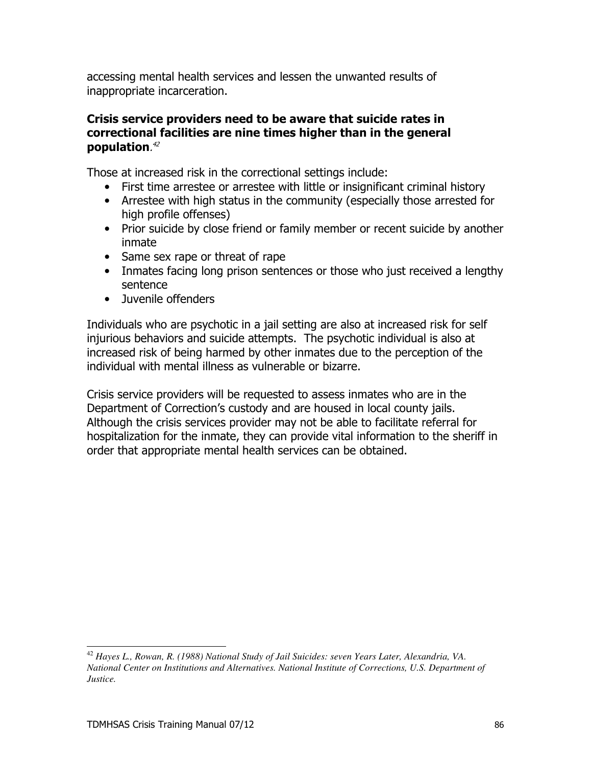accessing mental health services and lessen the unwanted results of inappropriate incarceration.

#### Crisis service providers need to be aware that suicide rates in correctional facilities are nine times higher than in the general population.<sup>42</sup>

Those at increased risk in the correctional settings include:

- First time arrestee or arrestee with little or insignificant criminal history
- Arrestee with high status in the community (especially those arrested for high profile offenses)
- Prior suicide by close friend or family member or recent suicide by another inmate
- Same sex rape or threat of rape
- Inmates facing long prison sentences or those who just received a lengthy sentence
- Juvenile offenders

Individuals who are psychotic in a jail setting are also at increased risk for self injurious behaviors and suicide attempts. The psychotic individual is also at increased risk of being harmed by other inmates due to the perception of the individual with mental illness as vulnerable or bizarre.

Crisis service providers will be requested to assess inmates who are in the Department of Correction's custody and are housed in local county jails. Although the crisis services provider may not be able to facilitate referral for hospitalization for the inmate, they can provide vital information to the sheriff in order that appropriate mental health services can be obtained.

<sup>&</sup>lt;sup>42</sup> Hayes L., Rowan, R. (1988) National Study of Jail Suicides: seven Years Later, Alexandria, VA. National Center on Institutions and Alternatives. National Institute of Corrections, U.S. Department of Justice.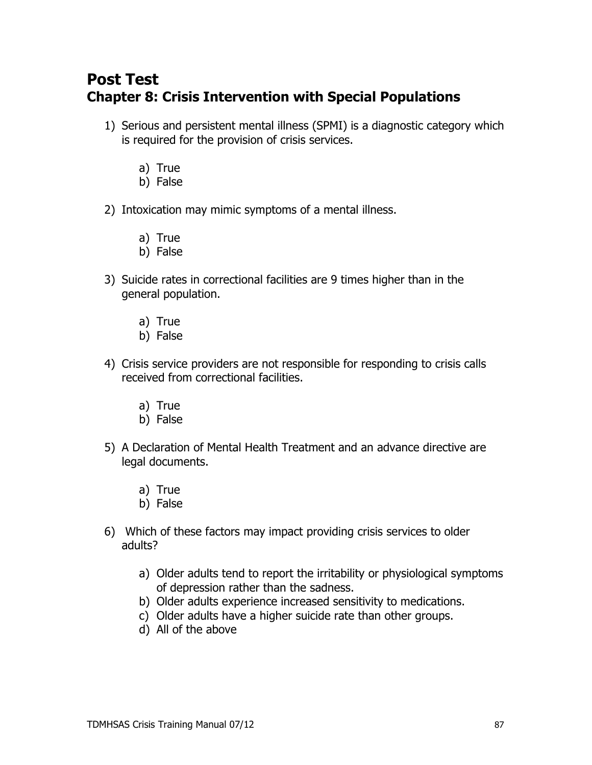## **Post Test Chapter 8: Crisis Intervention with Special Populations**

- 1) Serious and persistent mental illness (SPMI) is a diagnostic category which is required for the provision of crisis services.
	- a) True
	- b) False
- 2) Intoxication may mimic symptoms of a mental illness.
	- a) True
	- b) False
- 3) Suicide rates in correctional facilities are 9 times higher than in the general population.
	- a) True
	- b) False
- 4) Crisis service providers are not responsible for responding to crisis calls received from correctional facilities.
	- a) True
	- b) False
- 5) A Declaration of Mental Health Treatment and an advance directive are legal documents.
	- a) True
	- b) False
- 6) Which of these factors may impact providing crisis services to older adults?
	- a) Older adults tend to report the irritability or physiological symptoms of depression rather than the sadness.
	- b) Older adults experience increased sensitivity to medications.
	- c) Older adults have a higher suicide rate than other groups.
	- d) All of the above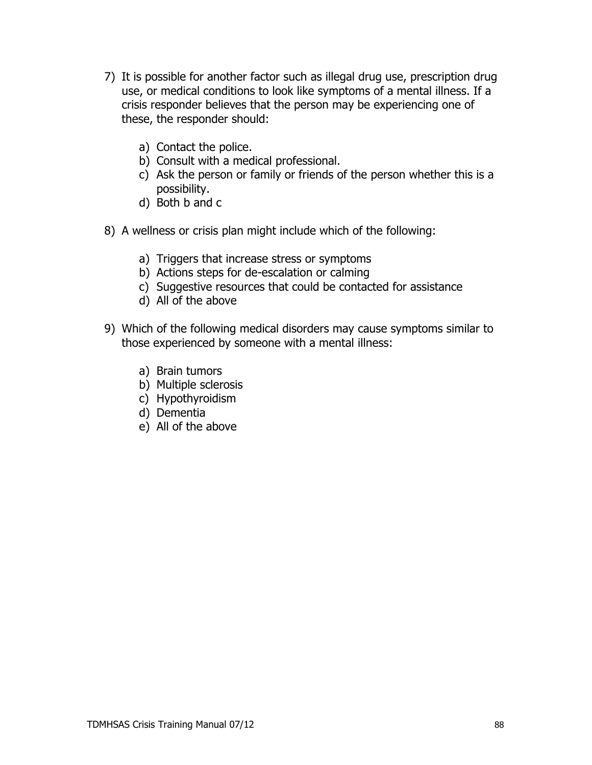- 7) It is possible for another factor such as illegal drug use, prescription drug use, or medical conditions to look like symptoms of a mental illness. If a crisis responder believes that the person may be experiencing one of these, the responder should:
	- a) Contact the police.
	- b) Consult with a medical professional.
	- c) Ask the person or family or friends of the person whether this is a possibility.
	- d) Both b and c
- 8) A wellness or crisis plan might include which of the following:
	- a) Triggers that increase stress or symptoms
	- b) Actions steps for de-escalation or calming
	- c) Suggestive resources that could be contacted for assistance
	- d) All of the above
- 9) Which of the following medical disorders may cause symptoms similar to those experienced by someone with a mental illness:
	- a) Brain tumors
	- b) Multiple sclerosis
	- c) Hypothyroidism
	- d) Dementia
	- e) All of the above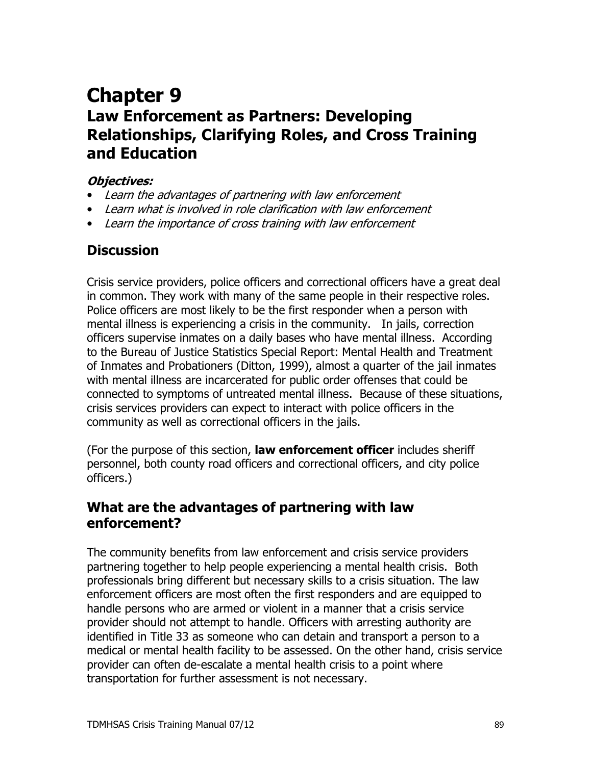# **Chapter 9 Law Enforcement as Partners: Developing Relationships, Clarifying Roles, and Cross Training** and Education

#### **Obiectives:**

- Learn the advantages of partnering with law enforcement
- Learn what is involved in role clarification with law enforcement
- Learn the importance of cross training with law enforcement

## **Discussion**

Crisis service providers, police officers and correctional officers have a great deal in common. They work with many of the same people in their respective roles. Police officers are most likely to be the first responder when a person with mental illness is experiencing a crisis in the community. In jails, correction officers supervise inmates on a daily bases who have mental illness. According to the Bureau of Justice Statistics Special Report: Mental Health and Treatment of Inmates and Probationers (Ditton, 1999), almost a quarter of the jail inmates with mental illness are incarcerated for public order offenses that could be connected to symptoms of untreated mental illness. Because of these situations, crisis services providers can expect to interact with police officers in the community as well as correctional officers in the jails.

(For the purpose of this section, law enforcement officer includes sheriff personnel, both county road officers and correctional officers, and city police officers.)

#### What are the advantages of partnering with law enforcement?

The community benefits from law enforcement and crisis service providers partnering together to help people experiencing a mental health crisis. Both professionals bring different but necessary skills to a crisis situation. The law enforcement officers are most often the first responders and are equipped to handle persons who are armed or violent in a manner that a crisis service provider should not attempt to handle. Officers with arresting authority are identified in Title 33 as someone who can detain and transport a person to a medical or mental health facility to be assessed. On the other hand, crisis service provider can often de-escalate a mental health crisis to a point where transportation for further assessment is not necessary.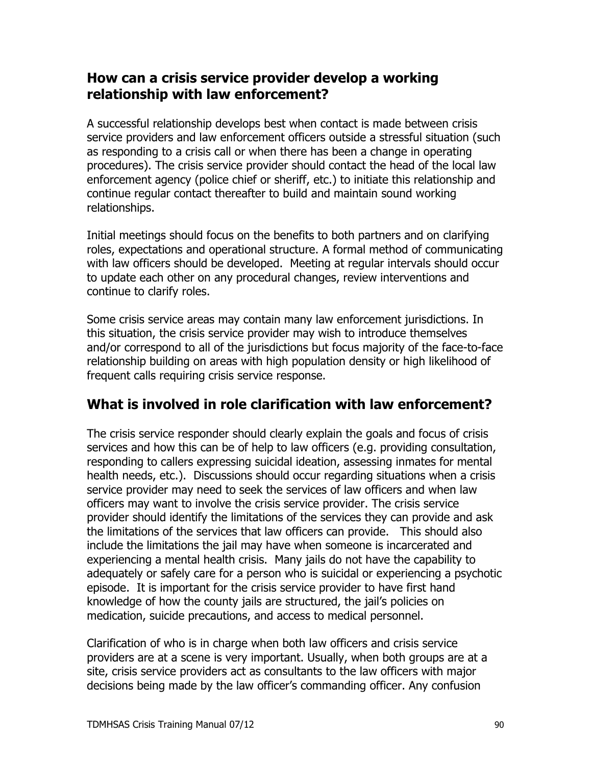### How can a crisis service provider develop a working relationship with law enforcement?

A successful relationship develops best when contact is made between crisis service providers and law enforcement officers outside a stressful situation (such as responding to a crisis call or when there has been a change in operating procedures). The crisis service provider should contact the head of the local law enforcement agency (police chief or sheriff, etc.) to initiate this relationship and continue regular contact thereafter to build and maintain sound working relationships.

Initial meetings should focus on the benefits to both partners and on clarifying roles, expectations and operational structure. A formal method of communicating with law officers should be developed. Meeting at regular intervals should occur to update each other on any procedural changes, review interventions and continue to clarify roles.

Some crisis service areas may contain many law enforcement jurisdictions. In this situation, the crisis service provider may wish to introduce themselves and/or correspond to all of the jurisdictions but focus majority of the face-to-face relationship building on areas with high population density or high likelihood of frequent calls requiring crisis service response.

## What is involved in role clarification with law enforcement?

The crisis service responder should clearly explain the goals and focus of crisis services and how this can be of help to law officers (e.g. providing consultation, responding to callers expressing suicidal ideation, assessing inmates for mental health needs, etc.). Discussions should occur regarding situations when a crisis service provider may need to seek the services of law officers and when law officers may want to involve the crisis service provider. The crisis service provider should identify the limitations of the services they can provide and ask the limitations of the services that law officers can provide. This should also include the limitations the jail may have when someone is incarcerated and experiencing a mental health crisis. Many jails do not have the capability to adequately or safely care for a person who is suicidal or experiencing a psychotic episode. It is important for the crisis service provider to have first hand knowledge of how the county jails are structured, the jail's policies on medication, suicide precautions, and access to medical personnel.

Clarification of who is in charge when both law officers and crisis service providers are at a scene is very important. Usually, when both groups are at a site, crisis service providers act as consultants to the law officers with major decisions being made by the law officer's commanding officer. Any confusion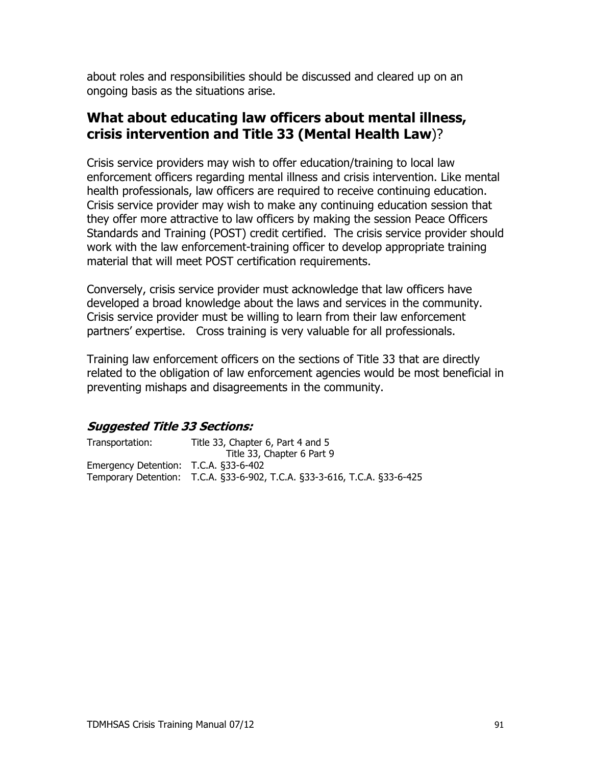about roles and responsibilities should be discussed and cleared up on an ongoing basis as the situations arise.

## What about educating law officers about mental illness, crisis intervention and Title 33 (Mental Health Law)?

Crisis service providers may wish to offer education/training to local law enforcement officers regarding mental illness and crisis intervention. Like mental health professionals, law officers are required to receive continuing education. Crisis service provider may wish to make any continuing education session that they offer more attractive to law officers by making the session Peace Officers Standards and Training (POST) credit certified. The crisis service provider should work with the law enforcement-training officer to develop appropriate training material that will meet POST certification requirements.

Conversely, crisis service provider must acknowledge that law officers have developed a broad knowledge about the laws and services in the community. Crisis service provider must be willing to learn from their law enforcement partners' expertise. Cross training is very valuable for all professionals.

Training law enforcement officers on the sections of Title 33 that are directly related to the obligation of law enforcement agencies would be most beneficial in preventing mishaps and disagreements in the community.

#### **Suggested Title 33 Sections:**

| Transportation:                       | Title 33, Chapter 6, Part 4 and 5                                         |
|---------------------------------------|---------------------------------------------------------------------------|
|                                       | Title 33, Chapter 6 Part 9                                                |
| Emergency Detention: T.C.A. §33-6-402 |                                                                           |
|                                       | Temporary Detention: T.C.A. §33-6-902, T.C.A. §33-3-616, T.C.A. §33-6-425 |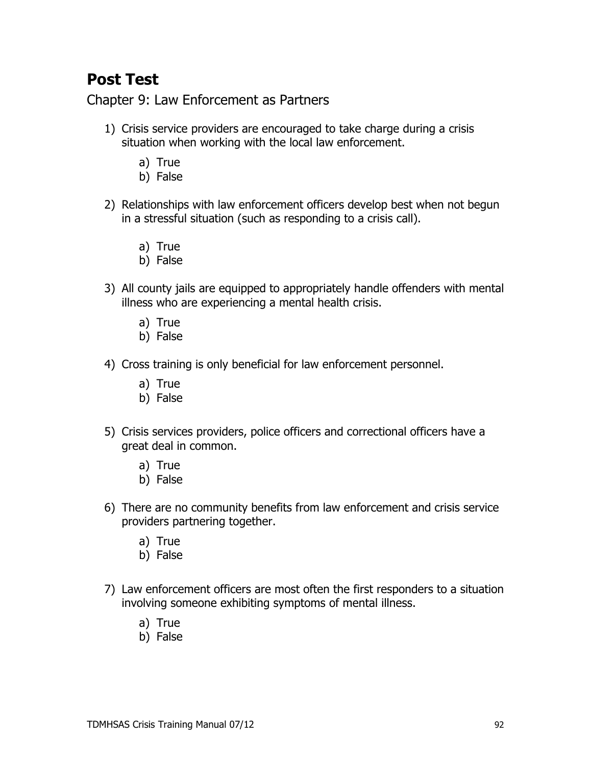## **Post Test**

Chapter 9: Law Enforcement as Partners

- 1) Crisis service providers are encouraged to take charge during a crisis situation when working with the local law enforcement.
	- a) True
	- b) False
- 2) Relationships with law enforcement officers develop best when not begun in a stressful situation (such as responding to a crisis call).
	- a) True
	- b) False
- 3) All county jails are equipped to appropriately handle offenders with mental illness who are experiencing a mental health crisis.
	- a) True
	- b) False
- 4) Cross training is only beneficial for law enforcement personnel.
	- a) True
	- b) False
- 5) Crisis services providers, police officers and correctional officers have a great deal in common.
	- a) True
	- b) False
- 6) There are no community benefits from law enforcement and crisis service providers partnering together.
	- a) True
	- b) False
- 7) Law enforcement officers are most often the first responders to a situation involving someone exhibiting symptoms of mental illness.
	- a) True
	- b) False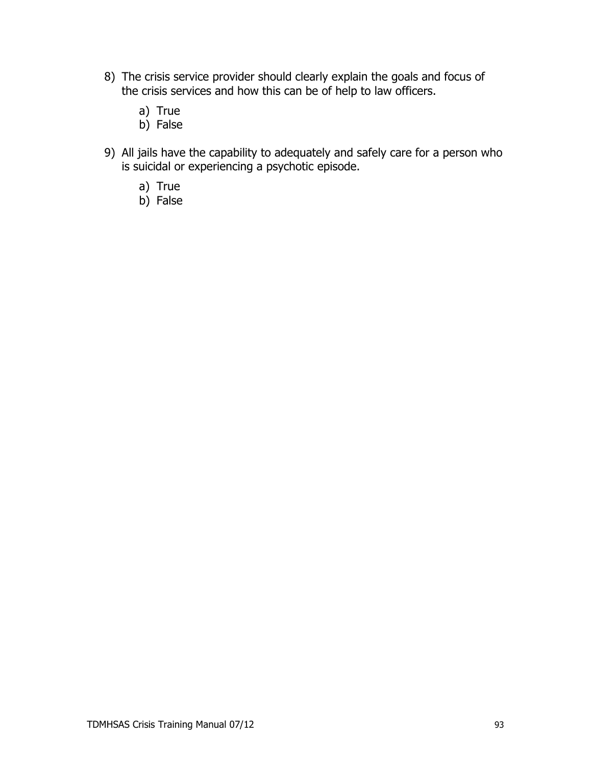- 8) The crisis service provider should clearly explain the goals and focus of the crisis services and how this can be of help to law officers.
	- a) True
	- b) False
- 9) All jails have the capability to adequately and safely care for a person who is suicidal or experiencing a psychotic episode.
	- a) True
	- b) False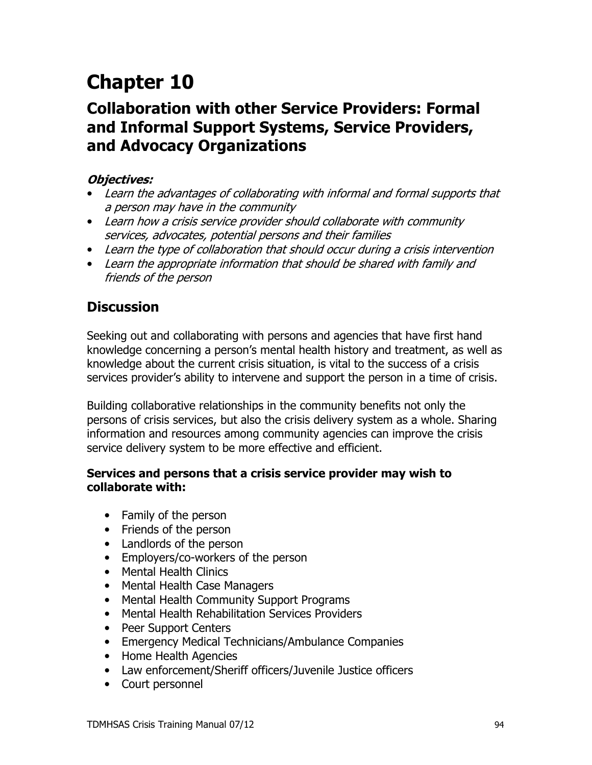# **Chapter 10**

## **Collaboration with other Service Providers: Formal** and Informal Support Systems, Service Providers, and Advocacy Organizations

#### **Objectives:**

- Learn the advantages of collaborating with informal and formal supports that a person may have in the community
- Learn how a crisis service provider should collaborate with community services, advocates, potential persons and their families
- Learn the type of collaboration that should occur during a crisis intervention
- Learn the appropriate information that should be shared with family and friends of the person

## **Discussion**

Seeking out and collaborating with persons and agencies that have first hand knowledge concerning a person's mental health history and treatment, as well as knowledge about the current crisis situation, is vital to the success of a crisis services provider's ability to intervene and support the person in a time of crisis.

Building collaborative relationships in the community benefits not only the persons of crisis services, but also the crisis delivery system as a whole. Sharing information and resources among community agencies can improve the crisis service delivery system to be more effective and efficient.

#### Services and persons that a crisis service provider may wish to collaborate with:

- Family of the person
- Friends of the person
- Landlords of the person
- Employers/co-workers of the person
- Mental Health Clinics
- Mental Health Case Managers
- Mental Health Community Support Programs
- Mental Health Rehabilitation Services Providers
- Peer Support Centers
- Emergency Medical Technicians/Ambulance Companies
- Home Health Agencies
- Law enforcement/Sheriff officers/Juvenile Justice officers
- Court personnel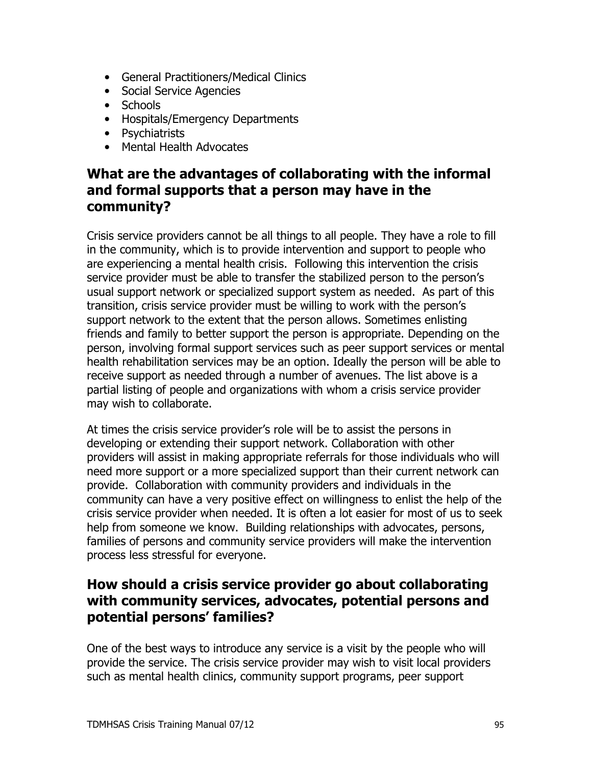- General Practitioners/Medical Clinics
- Social Service Agencies
- Schools
- Hospitals/Emergency Departments
- Psychiatrists
- Mental Health Advocates

## What are the advantages of collaborating with the informal and formal supports that a person may have in the community?

Crisis service providers cannot be all things to all people. They have a role to fill in the community, which is to provide intervention and support to people who are experiencing a mental health crisis. Following this intervention the crisis service provider must be able to transfer the stabilized person to the person's usual support network or specialized support system as needed. As part of this transition, crisis service provider must be willing to work with the person's support network to the extent that the person allows. Sometimes enlisting friends and family to better support the person is appropriate. Depending on the person, involving formal support services such as peer support services or mental health rehabilitation services may be an option. Ideally the person will be able to receive support as needed through a number of avenues. The list above is a partial listing of people and organizations with whom a crisis service provider may wish to collaborate.

At times the crisis service provider's role will be to assist the persons in developing or extending their support network. Collaboration with other providers will assist in making appropriate referrals for those individuals who will need more support or a more specialized support than their current network can provide. Collaboration with community providers and individuals in the community can have a very positive effect on willingness to enlist the help of the crisis service provider when needed. It is often a lot easier for most of us to seek help from someone we know. Building relationships with advocates, persons, families of persons and community service providers will make the intervention process less stressful for everyone.

## How should a crisis service provider go about collaborating with community services, advocates, potential persons and potential persons' families?

One of the best ways to introduce any service is a visit by the people who will provide the service. The crisis service provider may wish to visit local providers such as mental health clinics, community support programs, peer support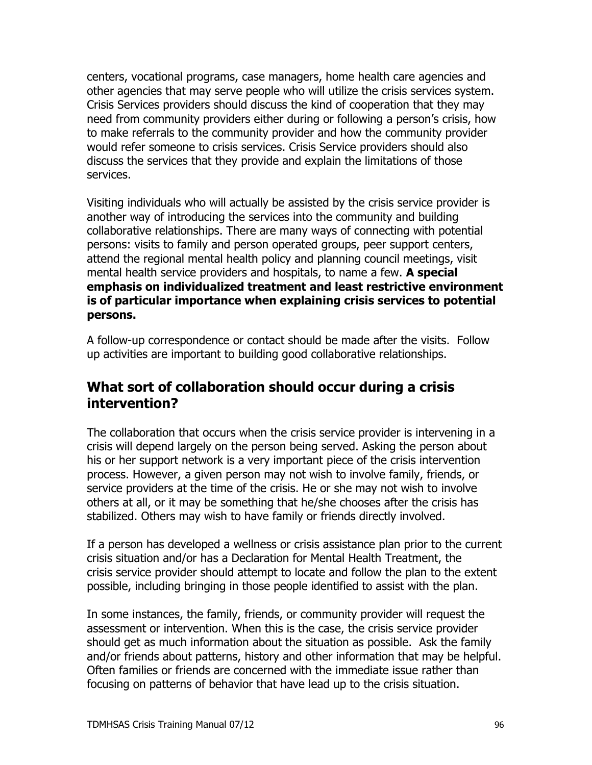centers, vocational programs, case managers, home health care agencies and other agencies that may serve people who will utilize the crisis services system. Crisis Services providers should discuss the kind of cooperation that they may need from community providers either during or following a person's crisis, how to make referrals to the community provider and how the community provider would refer someone to crisis services. Crisis Service providers should also discuss the services that they provide and explain the limitations of those services.

Visiting individuals who will actually be assisted by the crisis service provider is another way of introducing the services into the community and building collaborative relationships. There are many ways of connecting with potential persons: visits to family and person operated groups, peer support centers, attend the regional mental health policy and planning council meetings, visit mental health service providers and hospitals, to name a few. A special emphasis on individualized treatment and least restrictive environment is of particular importance when explaining crisis services to potential persons.

A follow-up correspondence or contact should be made after the visits. Follow up activities are important to building good collaborative relationships.

### What sort of collaboration should occur during a crisis intervention?

The collaboration that occurs when the crisis service provider is intervening in a crisis will depend largely on the person being served. Asking the person about his or her support network is a very important piece of the crisis intervention process. However, a given person may not wish to involve family, friends, or service providers at the time of the crisis. He or she may not wish to involve others at all, or it may be something that he/she chooses after the crisis has stabilized. Others may wish to have family or friends directly involved.

If a person has developed a wellness or crisis assistance plan prior to the current crisis situation and/or has a Declaration for Mental Health Treatment, the crisis service provider should attempt to locate and follow the plan to the extent possible, including bringing in those people identified to assist with the plan.

In some instances, the family, friends, or community provider will request the assessment or intervention. When this is the case, the crisis service provider should get as much information about the situation as possible. Ask the family and/or friends about patterns, history and other information that may be helpful. Often families or friends are concerned with the immediate issue rather than focusing on patterns of behavior that have lead up to the crisis situation.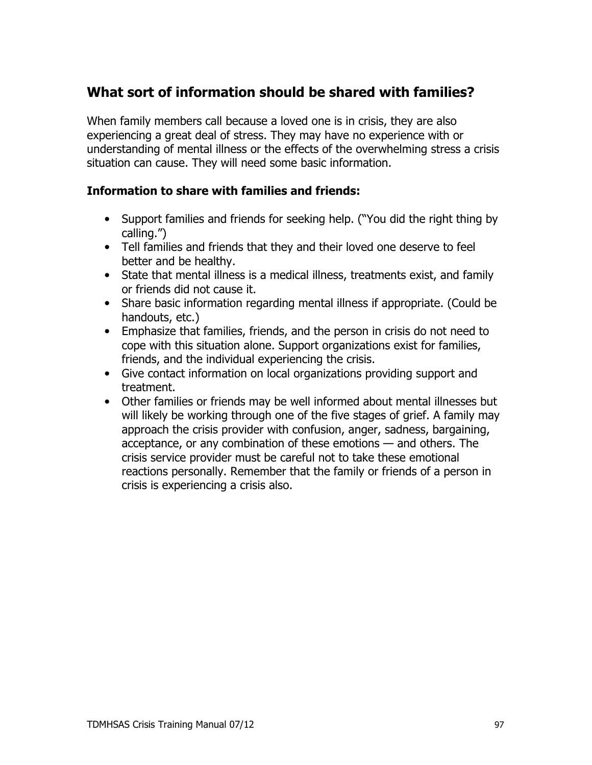## What sort of information should be shared with families?

When family members call because a loved one is in crisis, they are also experiencing a great deal of stress. They may have no experience with or understanding of mental illness or the effects of the overwhelming stress a crisis situation can cause. They will need some basic information.

#### **Information to share with families and friends:**

- Support families and friends for seeking help. ("You did the right thing by calling.")
- Tell families and friends that they and their loved one deserve to feel better and be healthy.
- State that mental illness is a medical illness, treatments exist, and family or friends did not cause it.
- Share basic information regarding mental illness if appropriate. (Could be handouts, etc.)
- Emphasize that families, friends, and the person in crisis do not need to cope with this situation alone. Support organizations exist for families, friends, and the individual experiencing the crisis.
- Give contact information on local organizations providing support and treatment.
- Other families or friends may be well informed about mental illnesses but will likely be working through one of the five stages of grief. A family may approach the crisis provider with confusion, anger, sadness, bargaining, acceptance, or any combination of these emotions - and others. The crisis service provider must be careful not to take these emotional reactions personally. Remember that the family or friends of a person in crisis is experiencing a crisis also.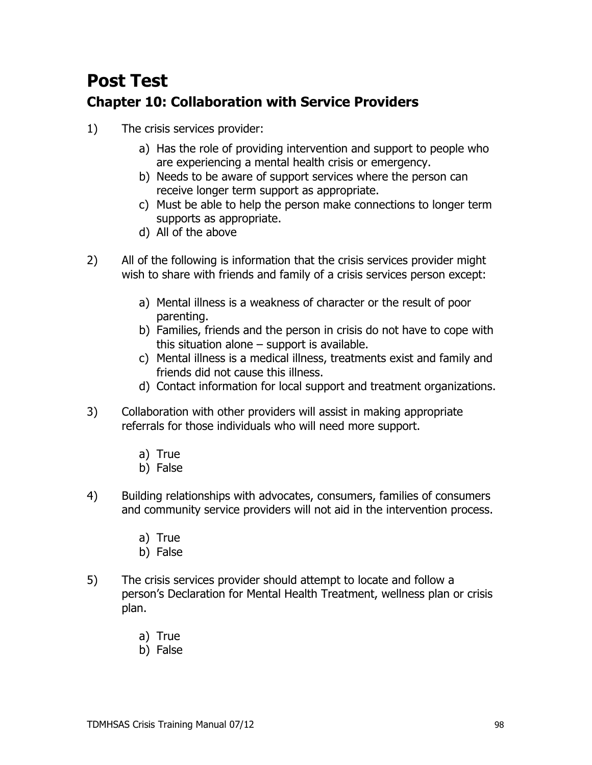## **Post Test Chapter 10: Collaboration with Service Providers**

- $1)$ The crisis services provider:
	- a) Has the role of providing intervention and support to people who are experiencing a mental health crisis or emergency.
	- b) Needs to be aware of support services where the person can receive longer term support as appropriate.
	- c) Must be able to help the person make connections to longer term supports as appropriate.
	- d) All of the above
- $2)$ All of the following is information that the crisis services provider might wish to share with friends and family of a crisis services person except:
	- a) Mental illness is a weakness of character or the result of poor parenting.
	- b) Families, friends and the person in crisis do not have to cope with this situation alone  $-$  support is available.
	- c) Mental illness is a medical illness, treatments exist and family and friends did not cause this illness.
	- d) Contact information for local support and treatment organizations.
- $3)$ Collaboration with other providers will assist in making appropriate referrals for those individuals who will need more support.
	- a) True
	- b) False
- $4)$ Building relationships with advocates, consumers, families of consumers and community service providers will not aid in the intervention process.
	- a) True
	- b) False
- $5)$ The crisis services provider should attempt to locate and follow a person's Declaration for Mental Health Treatment, wellness plan or crisis plan.
	- a) True
	- b) False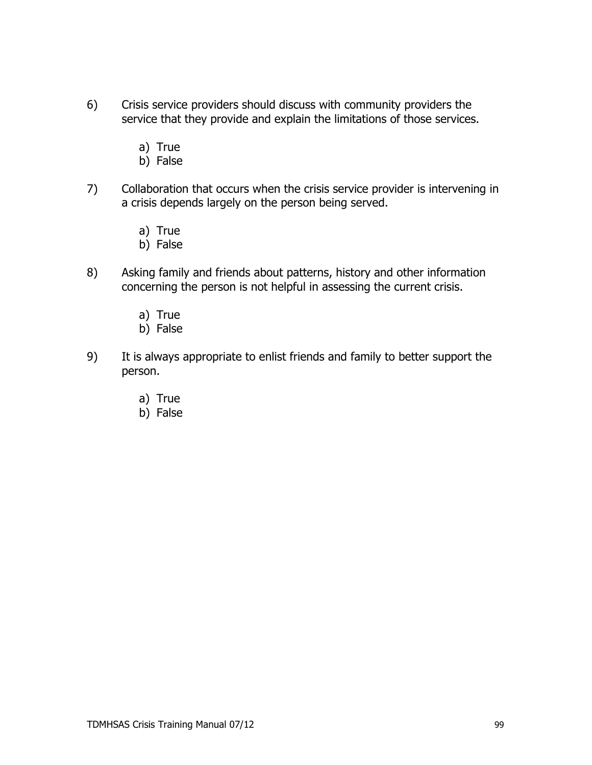- Crisis service providers should discuss with community providers the  $6)$ service that they provide and explain the limitations of those services.
	- a) True
	- b) False
- $7)$ Collaboration that occurs when the crisis service provider is intervening in a crisis depends largely on the person being served.
	- a) True
	- b) False
- $8)$ Asking family and friends about patterns, history and other information concerning the person is not helpful in assessing the current crisis.
	- a) True
	- b) False
- 9) It is always appropriate to enlist friends and family to better support the person.
	- a) True
	- b) False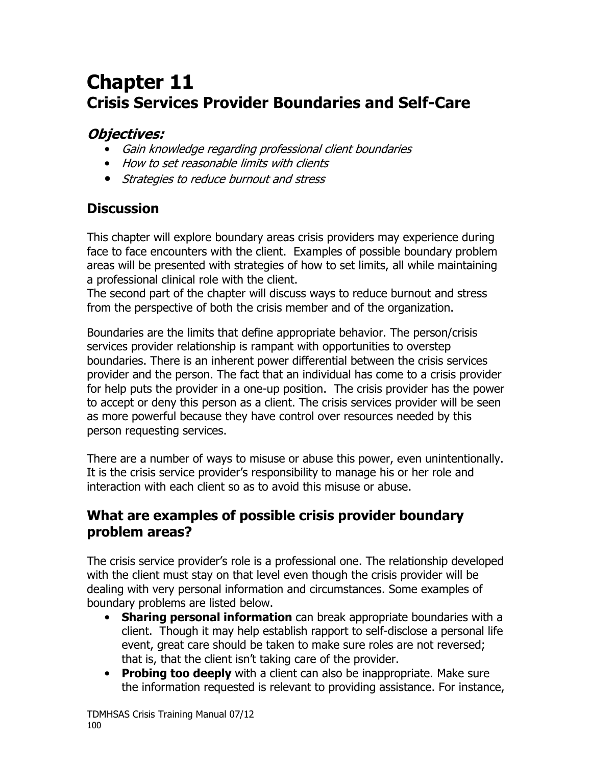# **Chapter 11 Crisis Services Provider Boundaries and Self-Care**

## **Objectives:**

- Gain knowledge regarding professional client boundaries
- How to set reasonable limits with clients
- Strategies to reduce burnout and stress

## **Discussion**

This chapter will explore boundary areas crisis providers may experience during face to face encounters with the client. Examples of possible boundary problem areas will be presented with strategies of how to set limits, all while maintaining a professional clinical role with the client.

The second part of the chapter will discuss ways to reduce burnout and stress from the perspective of both the crisis member and of the organization.

Boundaries are the limits that define appropriate behavior. The person/crisis services provider relationship is rampant with opportunities to overstep boundaries. There is an inherent power differential between the crisis services provider and the person. The fact that an individual has come to a crisis provider for help puts the provider in a one-up position. The crisis provider has the power to accept or deny this person as a client. The crisis services provider will be seen as more powerful because they have control over resources needed by this person requesting services.

There are a number of ways to misuse or abuse this power, even unintentionally. It is the crisis service provider's responsibility to manage his or her role and interaction with each client so as to avoid this misuse or abuse.

## What are examples of possible crisis provider boundary problem areas?

The crisis service provider's role is a professional one. The relationship developed with the client must stay on that level even though the crisis provider will be dealing with very personal information and circumstances. Some examples of boundary problems are listed below.

- Sharing personal information can break appropriate boundaries with a client. Though it may help establish rapport to self-disclose a personal life event, great care should be taken to make sure roles are not reversed; that is, that the client isn't taking care of the provider.
- Probing too deeply with a client can also be inappropriate. Make sure the information requested is relevant to providing assistance. For instance,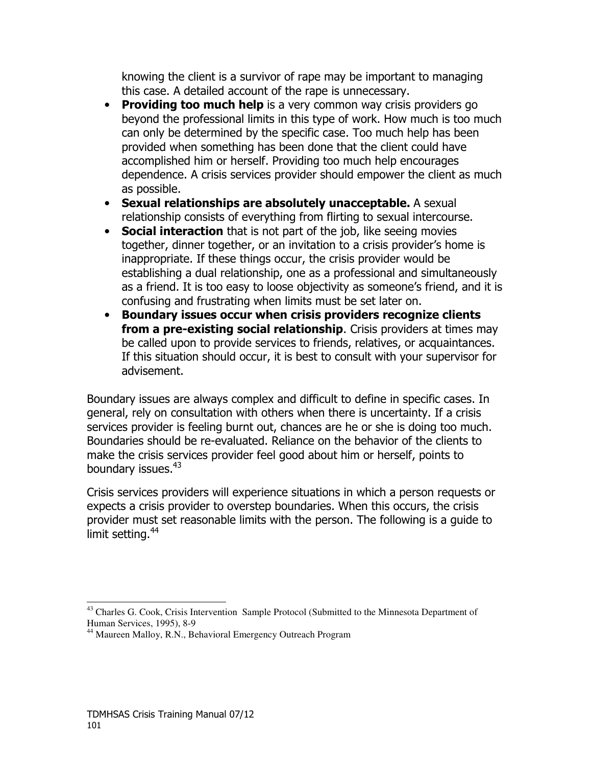knowing the client is a survivor of rape may be important to managing this case. A detailed account of the rape is unnecessary.

- Providing too much help is a very common way crisis providers go beyond the professional limits in this type of work. How much is too much can only be determined by the specific case. Too much help has been provided when something has been done that the client could have accomplished him or herself. Providing too much help encourages dependence. A crisis services provider should empower the client as much as possible.
- Sexual relationships are absolutely unacceptable. A sexual relationship consists of everything from flirting to sexual intercourse.
- Social interaction that is not part of the job, like seeing movies together, dinner together, or an invitation to a crisis provider's home is inappropriate. If these things occur, the crisis provider would be establishing a dual relationship, one as a professional and simultaneously as a friend. It is too easy to loose objectivity as someone's friend, and it is confusing and frustrating when limits must be set later on.
- Boundary issues occur when crisis providers recognize clients from a pre-existing social relationship. Crisis providers at times may be called upon to provide services to friends, relatives, or acquaintances. If this situation should occur, it is best to consult with your supervisor for advisement.

Boundary issues are always complex and difficult to define in specific cases. In general, rely on consultation with others when there is uncertainty. If a crisis services provider is feeling burnt out, chances are he or she is doing too much. Boundaries should be re-evaluated. Reliance on the behavior of the clients to make the crisis services provider feel good about him or herself, points to boundary issues.<sup>43</sup>

Crisis services providers will experience situations in which a person requests or expects a crisis provider to overstep boundaries. When this occurs, the crisis provider must set reasonable limits with the person. The following is a guide to limit setting.<sup>44</sup>

<sup>&</sup>lt;sup>43</sup> Charles G. Cook, Crisis Intervention Sample Protocol (Submitted to the Minnesota Department of Human Services, 1995), 8-9

<sup>&</sup>lt;sup>44</sup> Maureen Malloy, R.N., Behavioral Emergency Outreach Program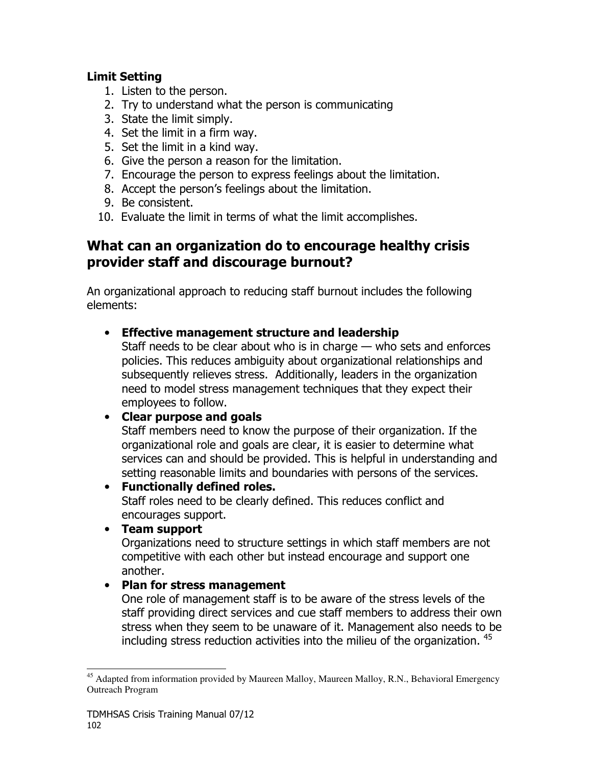#### **Limit Setting**

- 1. Listen to the person.
- 2. Try to understand what the person is communicating
- 3. State the limit simply.
- 4. Set the limit in a firm way.
- 5. Set the limit in a kind way.
- 6. Give the person a reason for the limitation.
- 7. Encourage the person to express feelings about the limitation.
- 8. Accept the person's feelings about the limitation.
- 9. Be consistent.
- 10. Evaluate the limit in terms of what the limit accomplishes.

## What can an organization do to encourage healthy crisis provider staff and discourage burnout?

An organizational approach to reducing staff burnout includes the following elements:

#### • Effective management structure and leadership

Staff needs to be clear about who is in charge - who sets and enforces policies. This reduces ambiguity about organizational relationships and subsequently relieves stress. Additionally, leaders in the organization need to model stress management techniques that they expect their employees to follow.

#### • Clear purpose and goals

Staff members need to know the purpose of their organization. If the organizational role and goals are clear, it is easier to determine what services can and should be provided. This is helpful in understanding and setting reasonable limits and boundaries with persons of the services.

#### • Functionally defined roles.

Staff roles need to be clearly defined. This reduces conflict and encourages support.

• Team support

Organizations need to structure settings in which staff members are not competitive with each other but instead encourage and support one another.

#### • Plan for stress management

One role of management staff is to be aware of the stress levels of the staff providing direct services and cue staff members to address their own stress when they seem to be unaware of it. Management also needs to be including stress reduction activities into the milieu of the organization. 45

<sup>&</sup>lt;sup>45</sup> Adapted from information provided by Maureen Malloy, Maureen Malloy, R.N., Behavioral Emergency Outreach Program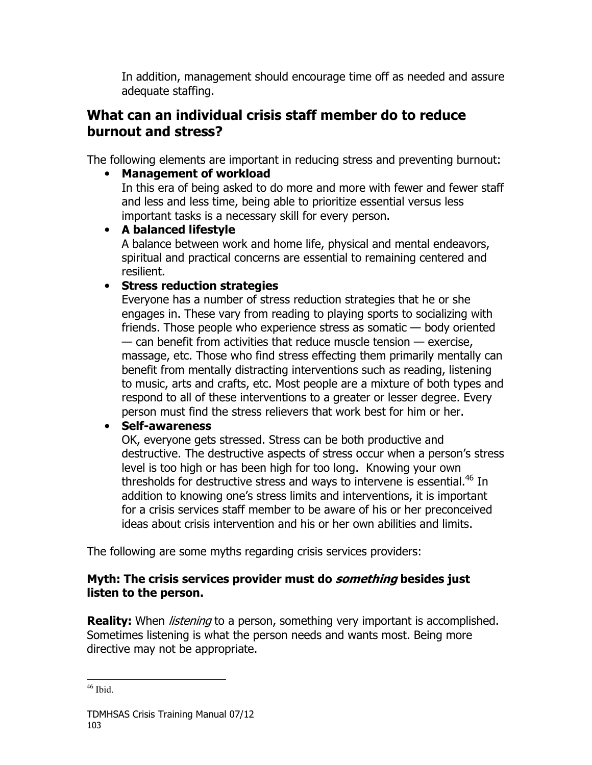In addition, management should encourage time off as needed and assure adequate staffing.

## What can an individual crisis staff member do to reduce burnout and stress?

The following elements are important in reducing stress and preventing burnout:

**Management of workload** 

In this era of being asked to do more and more with fewer and fewer staff and less and less time, being able to prioritize essential versus less important tasks is a necessary skill for every person.

#### • A balanced lifestyle

A balance between work and home life, physical and mental endeavors, spiritual and practical concerns are essential to remaining centered and resilient.

#### • Stress reduction strategies

Everyone has a number of stress reduction strategies that he or she engages in. These vary from reading to playing sports to socializing with friends. Those people who experience stress as somatic  $-$  body oriented  $-$  can benefit from activities that reduce muscle tension  $-$  exercise, massage, etc. Those who find stress effecting them primarily mentally can benefit from mentally distracting interventions such as reading, listening to music, arts and crafts, etc. Most people are a mixture of both types and respond to all of these interventions to a greater or lesser degree. Every person must find the stress relievers that work best for him or her.

#### • Self-awareness

OK, everyone gets stressed. Stress can be both productive and destructive. The destructive aspects of stress occur when a person's stress level is too high or has been high for too long. Knowing your own thresholds for destructive stress and ways to intervene is essential.<sup>46</sup> In addition to knowing one's stress limits and interventions, it is important for a crisis services staff member to be aware of his or her preconceived ideas about crisis intervention and his or her own abilities and limits.

The following are some myths regarding crisis services providers:

#### Myth: The crisis services provider must do *something* besides just listen to the person.

**Reality:** When *listening* to a person, something very important is accomplished. Sometimes listening is what the person needs and wants most. Being more directive may not be appropriate.

 $46$  Ibid.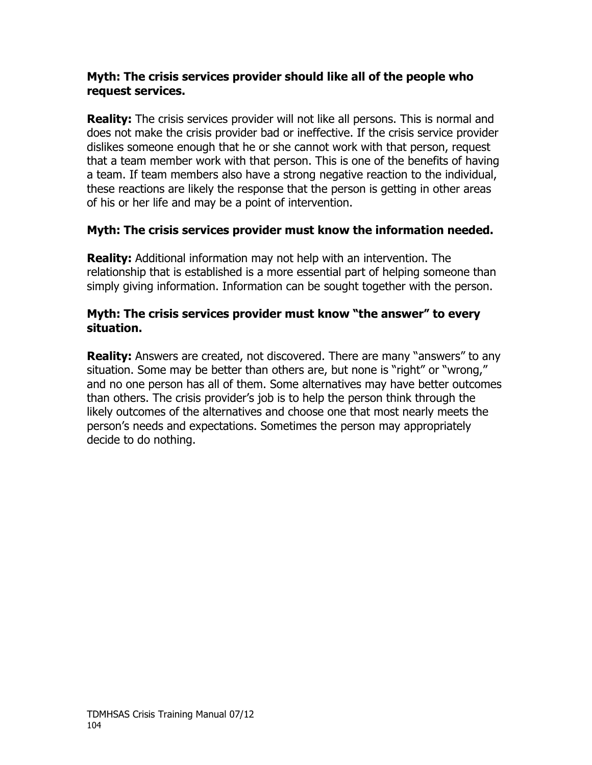#### Myth: The crisis services provider should like all of the people who request services.

**Reality:** The crisis services provider will not like all persons. This is normal and does not make the crisis provider bad or ineffective. If the crisis service provider dislikes someone enough that he or she cannot work with that person, request that a team member work with that person. This is one of the benefits of having a team. If team members also have a strong negative reaction to the individual, these reactions are likely the response that the person is getting in other areas of his or her life and may be a point of intervention.

#### Myth: The crisis services provider must know the information needed.

**Reality:** Additional information may not help with an intervention. The relationship that is established is a more essential part of helping someone than simply giving information. Information can be sought together with the person.

#### Myth: The crisis services provider must know "the answer" to every situation.

**Reality:** Answers are created, not discovered. There are many "answers" to any situation. Some may be better than others are, but none is "right" or "wrong," and no one person has all of them. Some alternatives may have better outcomes than others. The crisis provider's job is to help the person think through the likely outcomes of the alternatives and choose one that most nearly meets the person's needs and expectations. Sometimes the person may appropriately decide to do nothing.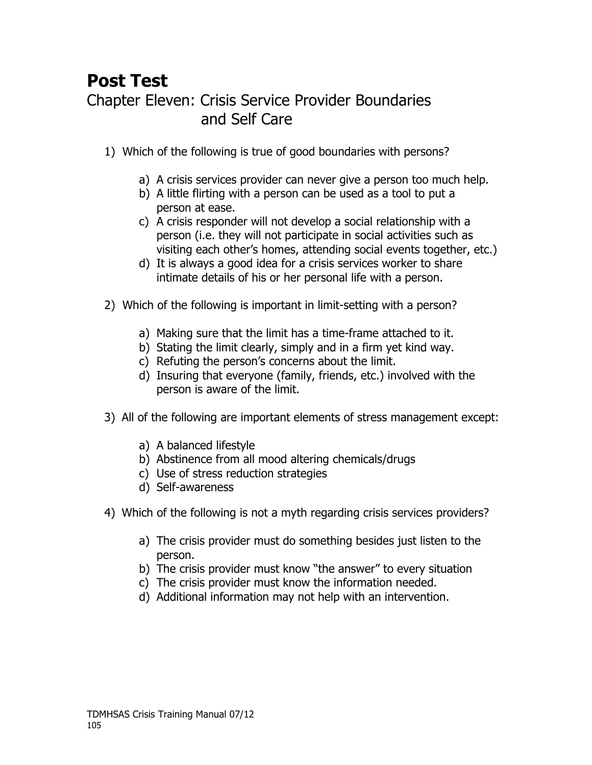# **Post Test Chapter Eleven: Crisis Service Provider Boundaries** and Self Care

- 1) Which of the following is true of good boundaries with persons?
	- a) A crisis services provider can never give a person too much help.
	- b) A little flirting with a person can be used as a tool to put a person at ease.
	- c) A crisis responder will not develop a social relationship with a person (i.e. they will not participate in social activities such as visiting each other's homes, attending social events together, etc.)
	- d) It is always a good idea for a crisis services worker to share intimate details of his or her personal life with a person.
- 2) Which of the following is important in limit-setting with a person?
	- a) Making sure that the limit has a time-frame attached to it.
	- b) Stating the limit clearly, simply and in a firm yet kind way.
	- c) Refuting the person's concerns about the limit.
	- d) Insuring that everyone (family, friends, etc.) involved with the person is aware of the limit.
- 3) All of the following are important elements of stress management except:
	- a) A balanced lifestyle
	- b) Abstinence from all mood altering chemicals/drugs
	- c) Use of stress reduction strategies
	- d) Self-awareness
- 4) Which of the following is not a myth regarding crisis services providers?
	- a) The crisis provider must do something besides just listen to the person.
	- b) The crisis provider must know "the answer" to every situation
	- c) The crisis provider must know the information needed.
	- d) Additional information may not help with an intervention.